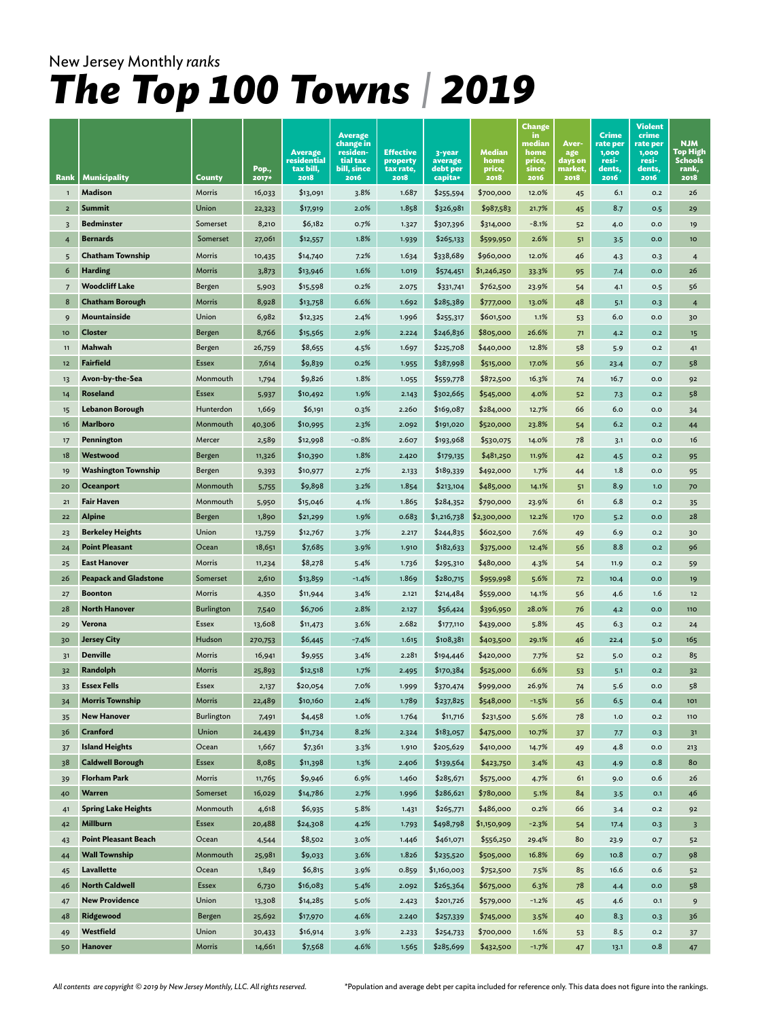| Rank           | <b>Municipality</b>          | County            | Pop.,<br>2017* | <b>Average</b><br>residential<br>tax bill,<br>2018 | Average<br>change in<br>residen-<br>tial tax<br>bill, since<br>2016 | <b>Effective</b><br>property<br>tax rate,<br>2018 | 3-year<br>average<br>debt per<br>capita* | Median<br>home<br>price,<br>2018 | <b>Change</b><br>in<br>median<br>home<br>price,<br>since<br>2016 | Aver-<br>age<br>days on<br>market,<br>2018 | <b>Crime</b><br>rate per<br>1,000<br>resi-<br>dents,<br>2016 | Violent<br>crime<br>rate per<br>1,000<br>resi-<br>dents,<br>2016 | <b>NJM</b><br>Top High<br>Schools<br>rank,<br>2018 |
|----------------|------------------------------|-------------------|----------------|----------------------------------------------------|---------------------------------------------------------------------|---------------------------------------------------|------------------------------------------|----------------------------------|------------------------------------------------------------------|--------------------------------------------|--------------------------------------------------------------|------------------------------------------------------------------|----------------------------------------------------|
| $\mathbf{1}$   | Madison                      | Morris            | 16,033         | \$13,091                                           | 3.8%                                                                | 1.687                                             | \$255,594                                | \$700,000                        | 12.0%                                                            | 45                                         | 6.1                                                          | O.2                                                              | 26                                                 |
| $\overline{2}$ | Summit                       | Union             | 22,323         | \$17,919                                           | 2.0%                                                                | 1.858                                             | \$326,981                                | \$987,583                        | 21.7%                                                            | 45                                         | 8.7                                                          | 0.5                                                              | 29                                                 |
| 3              | <b>Bedminster</b>            | Somerset          | 8,210          | \$6,182                                            | 0.7%                                                                | 1.327                                             | \$307,396                                | \$314,000                        | $-8.1%$                                                          | 52                                         | 4.0                                                          | 0.0                                                              | 19                                                 |
|                | <b>Bernards</b>              | Somerset          | 27,061         | \$12,557                                           | 1.8%                                                                | 1.939                                             | \$265,133                                | \$599,950                        | 2.6%                                                             | 51                                         | 3.5                                                          | 0.0                                                              | 10 <sub>o</sub>                                    |
| 5              | <b>Chatham Township</b>      | Morris            | 10,435         | \$14,740                                           | 7.2%                                                                | 1.634                                             | \$338,689                                | \$960,000                        | 12.0%                                                            | 46                                         | 4.3                                                          | 0.3                                                              | $\overline{4}$                                     |
| 6              | <b>Harding</b>               | Morris            | 3,873          | \$13,946                                           | 1.6%                                                                | 1.019                                             | \$574,451                                | \$1,246,250                      | 33.3%                                                            | 95                                         | 7.4                                                          | 0.0                                                              | 26                                                 |
| $\overline{7}$ | <b>Woodcliff Lake</b>        | Bergen            | 5,903          | \$15,598                                           | 0.2%                                                                | 2.075                                             | \$331,741                                | \$762,500                        | 23.9%                                                            | 54                                         | 4.1                                                          | O.5                                                              | 56                                                 |
| 8              | <b>Chatham Borough</b>       | Morris            | 8,928          | \$13,758                                           | 6.6%                                                                | 1.692                                             | \$285,389                                | \$777,000                        | 13.0%                                                            | 48                                         | 5.1                                                          | O.3                                                              | $\overline{4}$                                     |
| 9              | Mountainside                 | Union             | 6,982          | \$12,325                                           | 2.4%                                                                | 1.996                                             | \$255,317                                | \$601,500                        | 1.1%                                                             | 53                                         | 6.0                                                          | 0.0                                                              | 30                                                 |
| 10             | <b>Closter</b>               | Bergen            | 8,766          | \$15,565                                           | 2.9%                                                                | 2.224                                             | \$246,836                                | \$805,000                        | 26.6%                                                            | 71                                         | 4.2                                                          | 0.2                                                              | 15                                                 |
| 11             | Mahwah                       | Bergen            | 26,759         | \$8,655                                            | 4.5%                                                                | 1.697                                             | \$225,708                                | \$440,000                        | 12.8%                                                            | 58                                         | 5.9                                                          | O.2                                                              | 41                                                 |
| 12             | <b>Fairfield</b>             | Essex             | 7,614          | \$9,839                                            | 0.2%                                                                | 1.955                                             | \$387,998                                | \$515,000                        | 17.0%                                                            | 56                                         | 23.4                                                         | 0.7                                                              | 58                                                 |
| 13             | Avon-by-the-Sea              | Monmouth          | 1,794          | \$9,826                                            | 1.8%                                                                | 1.055                                             | \$559,778                                | \$872,500                        | 16.3%                                                            | 74                                         | 16.7                                                         | 0.0                                                              | 92                                                 |
| 14             | Roseland                     | <b>Essex</b>      | 5,937          | \$10,492                                           | 1.9%                                                                | 2.143                                             | \$302,665                                | \$545,000                        | 4.0%                                                             | 52                                         | 7.3                                                          | 0.2                                                              | 58                                                 |
| 15             | <b>Lebanon Borough</b>       | Hunterdon         | 1,669          | \$6,191                                            | 0.3%                                                                | 2.260                                             | \$169,087                                | \$284,000                        | 12.7%                                                            | 66                                         | 6.0                                                          | 0.0                                                              | 34                                                 |
| 16             | <b>Marlboro</b>              | Monmouth          | 40,306         | \$10,995                                           | 2.3%                                                                | 2.092                                             | \$191,020                                | \$520,000                        | 23.8%                                                            | 54                                         | 6.2                                                          | 0.2                                                              | 44                                                 |
| 17             | Pennington                   | Mercer            | 2,589          | \$12,998                                           | $-0.8%$                                                             | 2.607                                             | \$193,968                                | \$530,075                        | 14.0%                                                            | 78                                         | 3.1                                                          | 0.0                                                              | 16                                                 |
| 18             | Westwood                     | Bergen            | 11,326         | \$10,390                                           | 1.8%                                                                | 2.420                                             | \$179,135                                | \$481,250                        | 11.9%                                                            | 42                                         | 4.5                                                          | 0.2                                                              | 95                                                 |
| 19             | <b>Washington Township</b>   | Bergen            | 9,393          | \$10,977                                           | 2.7%                                                                | 2.133                                             | \$189,339                                | \$492,000                        | 1.7%                                                             | 44                                         | 1.8                                                          | 0.0                                                              | 95                                                 |
| 20             | <b>Oceanport</b>             | Monmouth          | 5,755          | \$9,898                                            | 3.2%                                                                | 1.854                                             | \$213,104                                | \$485,000                        | 14.1%                                                            | 51                                         | 8.9                                                          | 1.0                                                              | 70                                                 |
| 21             | <b>Fair Haven</b>            | Monmouth          | 5,950          | \$15,046                                           | 4.1%                                                                | 1.865                                             | \$284,352                                | \$790,000                        | 23.9%                                                            | 61                                         | 6.8                                                          | O.2                                                              | 35                                                 |
| 22             | Alpine                       | Bergen            | 1,890          | \$21,299                                           | 1.9%                                                                | 0.683                                             | \$1,216,738                              | \$2,300,000                      | 12.2%                                                            | 170                                        | 5.2                                                          | O.O                                                              | 28                                                 |
| 23             | <b>Berkeley Heights</b>      | Union             | 13,759         | \$12,767                                           | 3.7%                                                                | 2.217                                             | \$244,835                                | \$602,500                        | 7.6%                                                             | 49                                         | 6.9                                                          | 0.2                                                              | 30                                                 |
| 24             | <b>Point Pleasant</b>        | Ocean             | 18,651         | \$7,685                                            | 3.9%                                                                | 1.910                                             | \$182,633                                | \$375,000                        | 12.4%                                                            | 56                                         | 8.8                                                          | 0.2                                                              | 96                                                 |
| 25             | <b>East Hanover</b>          | Morris            | 11,234         | \$8,278                                            | 5.4%                                                                | 1.736                                             | \$295,310                                | \$480,000                        | 4.3%                                                             | 54                                         | 11.9                                                         | 0.2                                                              | 59                                                 |
| 26             | <b>Peapack and Gladstone</b> | Somerset          | 2,610          | \$13,859                                           | $-1.4%$                                                             | 1.869                                             | \$280,715                                | \$959,998                        | 5.6%                                                             | 72                                         | 10.4                                                         | 0.0                                                              | 19                                                 |
| 27             | <b>Boonton</b>               | Morris            | 4,350          | \$11,944                                           | 3.4%                                                                | 2.121                                             | \$214,484                                | \$559,000                        | 14.1%                                                            | 56                                         | 4.6                                                          | 1.6                                                              | $12$                                               |
| 28             | <b>North Hanover</b>         | <b>Burlington</b> | 7,540          | \$6,706                                            | 2.8%                                                                | 2.127                                             | \$56,424                                 | \$396,950                        | 28.0%                                                            | 76                                         | 4.2                                                          | 0.0                                                              | <b>110</b>                                         |
| 29             | Verona                       | Essex             | 13,608         | \$11,473                                           | 3.6%                                                                | 2.682                                             | \$177,110                                | \$439,000                        | 5.8%                                                             | 45                                         | 6.3                                                          | 0.2                                                              | 24                                                 |
| 30             | <b>Jersey City</b>           | Hudson            | 270,753        | \$6,445                                            | $-7.4%$                                                             | 1.615                                             | \$108,381                                | \$403,500                        | 29.1%                                                            | 46                                         | 22.4                                                         | 5.0                                                              | 165                                                |
| 31             | <b>Denville</b>              | Morris            | 16,941         | \$9,955                                            | 3.4%                                                                | 2.281                                             | \$194,446                                | \$420,000                        | 7.7%                                                             | 52                                         | 5.0                                                          | 0.2                                                              | 85                                                 |
| 32             | Randolph                     | Morris            | 25,893         | \$12,518                                           | 1.7%                                                                | 2.495                                             | \$170,384                                | \$525,000                        | 6.6%                                                             | 53                                         | 5.1                                                          | 0.2                                                              | 32                                                 |
| 33             | <b>Essex Fells</b>           | Essex             | 2,137          | \$20,054                                           | 7.0%                                                                | 1.999                                             | \$370,474                                | \$999,000                        | 26.9%                                                            | 74                                         | 5.6                                                          | 0.0                                                              | 58                                                 |
| 34             | <b>Morris Township</b>       | Morris            | 22,489         | \$10,160                                           | 2.4%                                                                | 1.789                                             | \$237,825                                | \$548,000                        | $-1.5%$                                                          | 56                                         | 6.5                                                          | 0.4                                                              | 101                                                |
| 35             | <b>New Hanover</b>           | Burlington        | 7,491          | \$4,458                                            | 1.0%                                                                | 1.764                                             | \$11,716                                 | \$231,500                        | 5.6%                                                             | 78                                         | 1.0                                                          | 0.2                                                              | 110                                                |
| 36             | Cranford                     | Union             | 24,439         | \$11,734                                           | 8.2%                                                                | 2.324                                             | \$183,057                                | \$475,000                        | 10.7%                                                            | 37                                         | 7.7                                                          | 0.3                                                              | 31                                                 |
| 37             | <b>Island Heights</b>        | Ocean             | 1,667          | \$7,361                                            | 3.3%                                                                | 1.910                                             | \$205,629                                | \$410,000                        | 14.7%                                                            | 49                                         | 4.8                                                          | $_{\mathsf{O.O}}$                                                | 213                                                |
| 38             | <b>Caldwell Borough</b>      | Essex             | 8,085          | \$11,398                                           | 1.3%                                                                | 2.406                                             | \$139,564                                | \$423,750                        | 3.4%                                                             | 43                                         | 4.9                                                          | 0.8                                                              | 80                                                 |
| 39             | <b>Florham Park</b>          | Morris            | 11,765         | \$9,946                                            | 6.9%                                                                | 1.460                                             | \$285,671                                | \$575,000                        | 4.7%                                                             | 61                                         | 9.0                                                          | 0.6                                                              | 26                                                 |
| 40             | Warren                       | Somerset          | 16,029         | \$14,786                                           | 2.7%                                                                | 1.996                                             | \$286,621                                | \$780,000                        | 5.1%                                                             | 84                                         | 3.5                                                          | O.1                                                              | 46                                                 |
| 41             | <b>Spring Lake Heights</b>   | Monmouth          | 4,618          | \$6,935                                            | 5.8%                                                                | 1.431                                             | \$265,771                                | \$486,000                        | 0.2%                                                             | 66                                         | 3.4                                                          | O.2                                                              | 92                                                 |
| 42             | <b>Millburn</b>              | Essex             | 20,488         | \$24,308                                           | 4.2%                                                                | 1.793                                             | \$498,798                                | \$1,150,909                      | $-2.3%$                                                          | 54                                         | 17.4                                                         | O.3                                                              | $\overline{\mathbf{3}}$                            |
| 43             | <b>Point Pleasant Beach</b>  | Ocean             | 4,544          | \$8,502                                            | 3.0%                                                                | 1.446                                             | \$461,071                                | \$556,250                        | 29.4%                                                            | 80                                         | 23.9                                                         | 0.7                                                              | 52                                                 |
| 44             | <b>Wall Township</b>         | Monmouth          | 25,981         | \$9,033                                            | 3.6%                                                                | 1.826                                             | \$235,520                                | \$505,000                        | 16.8%                                                            | 69                                         | 10.8                                                         | 0.7                                                              | 98                                                 |
| 45             | <b>Lavallette</b>            | Ocean             | 1,849          | \$6,815                                            | 3.9%                                                                | 0.859                                             | \$1,160,003                              | \$752,500                        | 7.5%                                                             | 85                                         | 16.6                                                         | 0.6                                                              | 52                                                 |
| 46             | <b>North Caldwell</b>        | Essex             | 6,730          | \$16,083                                           | 5.4%                                                                | 2.092                                             | \$265,364                                | \$675,000                        | 6.3%                                                             | 78                                         | 4.4                                                          | 0.0                                                              | 58                                                 |
| 47             | <b>New Providence</b>        | Union             | 13,308         | \$14,285                                           | 5.0%                                                                | 2.423                                             | \$201,726                                | \$579,000                        | $-1.2%$                                                          | 45                                         | 4.6                                                          | $O.1$                                                            | 9                                                  |
| 48             | Ridgewood                    | Bergen            | 25,692         | \$17,970                                           | 4.6%                                                                | 2.240                                             | \$257,339                                | \$745,000                        | 3.5%                                                             | 40                                         | 8.3                                                          | 0.3                                                              | 36                                                 |
| 49             | Westfield                    | Union             | 30,433         | \$16,914                                           | 3.9%                                                                | 2.233                                             | \$254,733                                | \$700,000                        | 1.6%                                                             | 53                                         | 8.5                                                          | O.2                                                              | 37                                                 |
| 50             | <b>Hanover</b>               | Morris            | 14,661         | \$7,568                                            | 4.6%                                                                | 1.565                                             | \$285,699                                | \$432,500                        | $-1.7%$                                                          | 47                                         | 13.1                                                         | 0.8                                                              | 47                                                 |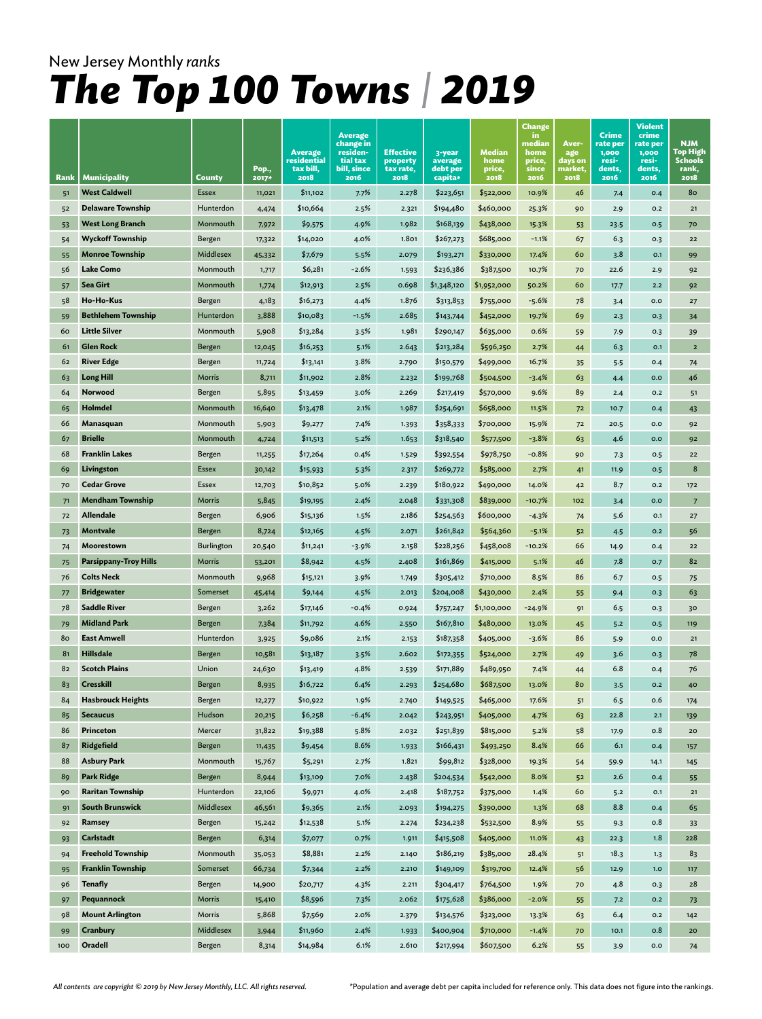| Rank | <b>Municipality</b>          | County       | Pop.,<br>2017* | Average<br>residential<br>tax bill,<br>2018 | <b>Average</b><br>change in<br>residen-<br>tial tax<br>bill, since<br>2016 | <b>Effective</b><br>property<br>tax rate,<br>2018 | 3-year<br>average<br>debt per<br>capita* | Median<br>home<br>price,<br>2018 | <b>Change</b><br>in<br>median<br>home<br>price,<br>since<br>2016 | Aver-<br>age<br>days on<br>market,<br>2018 | <b>Crime</b><br>rate per<br>1,000<br>resi-<br>dents,<br>2016 | Violent<br>crime<br>rate per<br>1,000<br>resi-<br>dents,<br>2016 | <b>NJM</b><br>Top High<br>Schools<br>rank,<br>2018 |
|------|------------------------------|--------------|----------------|---------------------------------------------|----------------------------------------------------------------------------|---------------------------------------------------|------------------------------------------|----------------------------------|------------------------------------------------------------------|--------------------------------------------|--------------------------------------------------------------|------------------------------------------------------------------|----------------------------------------------------|
| 51   | <b>West Caldwell</b>         | <b>Essex</b> | 11,021         | \$11,102                                    | 7.7%                                                                       | 2.278                                             | \$223,651                                | \$522,000                        | 10.9%                                                            | 46                                         | 7.4                                                          | 0.4                                                              | 80                                                 |
| 52   | <b>Delaware Township</b>     | Hunterdon    | 4,474          | \$10,664                                    | 2.5%                                                                       | 2.321                                             | \$194,480                                | \$460,000                        | 25.3%                                                            | 90                                         | 2.9                                                          | O.2                                                              | 21                                                 |
| 53   | <b>West Long Branch</b>      | Monmouth     | 7,972          | \$9,575                                     | 4.9%                                                                       | 1.982                                             | \$168,139                                | \$438,000                        | 15.3%                                                            | 53                                         | 23.5                                                         | 0.5                                                              | 70                                                 |
| 54   | <b>Wyckoff Township</b>      | Bergen       | 17,322         | \$14,020                                    | 4.0%                                                                       | 1.801                                             | \$267,273                                | \$685,000                        | $-1.1%$                                                          | 67                                         | 6.3                                                          | O.3                                                              | 22                                                 |
| 55   | <b>Monroe Township</b>       | Middlesex    | 45,332         | \$7,679                                     | 5.5%                                                                       | 2.079                                             | \$193,271                                | \$330,000                        | 17.4%                                                            | 60                                         | 3.8                                                          | O.1                                                              | 99                                                 |
| 56   | <b>Lake Como</b>             | Monmouth     | 1,717          | \$6,281                                     | $-2.6%$                                                                    | 1.593                                             | \$236,386                                | \$387,500                        | 10.7%                                                            | 70                                         | 22.6                                                         | 2.9                                                              | 92                                                 |
| 57   | Sea Girt                     | Monmouth     | 1,774          | \$12,913                                    | 2.5%                                                                       | 0.698                                             | \$1,348,120                              | \$1,952,000                      | 50.2%                                                            | 60                                         | 17.7                                                         | 2.2                                                              | 92                                                 |
| 58   | Ho-Ho-Kus                    | Bergen       | 4,183          | \$16,273                                    | 4.4%                                                                       | 1.876                                             | \$313,853                                | \$755,000                        | $-5.6%$                                                          | 78                                         | 3.4                                                          | 0.0                                                              | 27                                                 |
| 59   | <b>Bethlehem Township</b>    | Hunterdon    | 3,888          | \$10,083                                    | $-1.5%$                                                                    | 2.685                                             | \$143,744                                | \$452,000                        | 19.7%                                                            | 69                                         | 2.3                                                          | O.3                                                              | 34                                                 |
| 60   | <b>Little Silver</b>         | Monmouth     | 5,908          | \$13,284                                    | 3.5%                                                                       | 1.981                                             | \$290,147                                | \$635,000                        | 0.6%                                                             | 59                                         | 7.9                                                          | O.3                                                              | 39                                                 |
| 61   | <b>Glen Rock</b>             | Bergen       | 12,045         | \$16,253                                    | 5.1%                                                                       | 2.643                                             | \$213,284                                | \$596,250                        | 2.7%                                                             | 44                                         | 6.3                                                          | O.1                                                              | $\overline{2}$                                     |
| 62   | <b>River Edge</b>            | Bergen       | 11,724         | \$13,141                                    | 3.8%                                                                       | 2.790                                             | \$150,579                                | \$499,000                        | 16.7%                                                            | 35                                         | 5.5                                                          | 0.4                                                              | 74                                                 |
| 63   | <b>Long Hill</b>             | Morris       | 8,711          | \$11,902                                    | 2.8%                                                                       | 2.232                                             | \$199,768                                | \$504,500                        | $-3.4%$                                                          | 63                                         | 4.4                                                          | 0.0                                                              | 46                                                 |
| 64   | Norwood                      | Bergen       | 5,895          | \$13,459                                    | 3.0%                                                                       | 2.269                                             | \$217,419                                | \$570,000                        | 9.6%                                                             | 89                                         | 2.4                                                          | O.2                                                              | 51                                                 |
| 65   | Holmdel                      | Monmouth     | 16,640         | \$13,478                                    | 2.1%                                                                       | 1.987                                             | \$254,691                                | \$658,000                        | 11.5%                                                            | 72                                         | 10.7                                                         | 0.4                                                              | 43                                                 |
| 66   | Manasquan                    | Monmouth     | 5,903          | \$9,277                                     | 7.4%                                                                       | 1.393                                             | \$358,333                                | \$700,000                        | 15.9%                                                            | 72                                         | 20.5                                                         | 0.0                                                              | 92                                                 |
| 67   | <b>Brielle</b>               | Monmouth     | 4,724          | \$11,513                                    | 5.2%                                                                       | 1.653                                             | \$318,540                                | \$577,500                        | $-3.8%$                                                          | 63                                         | 4.6                                                          | 0.0                                                              | 92                                                 |
| 68   | <b>Franklin Lakes</b>        | Bergen       | 11,255         | \$17,264                                    | 0.4%                                                                       | 1.529                                             | \$392,554                                | \$978,750                        | $-0.8%$                                                          | 90                                         | 7.3                                                          | 0.5                                                              | 22                                                 |
| 69   | Livingston                   | <b>Essex</b> | 30,142         | \$15,933                                    | 5.3%                                                                       | 2.317                                             | \$269,772                                | \$585,000                        | 2.7%                                                             | 41                                         | 11.9                                                         | 0.5                                                              | 8                                                  |
| 70   | <b>Cedar Grove</b>           | <b>Essex</b> | 12,703         | \$10,852                                    | 5.0%                                                                       | 2.239                                             | \$180,922                                | \$490,000                        | 14.0%                                                            | 42                                         | 8.7                                                          | 0.2                                                              | 172                                                |
| 71   | <b>Mendham Township</b>      | Morris       | 5,845          | \$19,195                                    | 2.4%                                                                       | 2.048                                             | \$331,308                                | \$839,000                        | $-10.7%$                                                         | 102                                        | 3.4                                                          | 0.0                                                              | $\overline{7}$                                     |
| 72   | <b>Allendale</b>             | Bergen       | 6,906          | \$15,136                                    | 1.5%                                                                       | 2.186                                             | \$254,563                                | \$600,000                        | $-4.3%$                                                          | 74                                         | 5.6                                                          | O.1                                                              | 27                                                 |
| 73   | Montvale                     | Bergen       | 8,724          | \$12,165                                    | 4.5%                                                                       | 2.071                                             | \$261,842                                | \$564,360                        | $-5.1%$                                                          | 52                                         | 4.5                                                          | 0.2                                                              | 56                                                 |
| 74   | Moorestown                   | Burlington   | 20,540         | \$11,241                                    | $-3.9%$                                                                    | 2.158                                             | \$228,256                                | \$458,008                        | $-10.2%$                                                         | 66                                         | 14.9                                                         | 0.4                                                              | 22                                                 |
| 75   | <b>Parsippany-Troy Hills</b> | Morris       | 53,201         | \$8,942                                     | 4.5%                                                                       | 2.408                                             | \$161,869                                | \$415,000                        | 5.1%                                                             | 46                                         | 7.8                                                          | 0.7                                                              | 82                                                 |
| 76   | <b>Colts Neck</b>            | Monmouth     | 9,968          | \$15,121                                    | 3.9%                                                                       | 1.749                                             | \$305,412                                | \$710,000                        | 8.5%                                                             | 86                                         | 6.7                                                          | O.5                                                              | 75                                                 |
| 77   | <b>Bridgewater</b>           | Somerset     | 45,414         | \$9,144                                     | 4.5%                                                                       | 2.013                                             | \$204,008                                | \$430,000                        | 2.4%                                                             | 55                                         | 9.4                                                          | 0.3                                                              | 63                                                 |
| 78   | <b>Saddle River</b>          | Bergen       | 3,262          | \$17,146                                    | $-0.4%$                                                                    | 0.924                                             | \$757,247                                | \$1,100,000                      | $-24.9%$                                                         | 91                                         | 6.5                                                          | O.3                                                              | 30                                                 |
| 79   | <b>Midland Park</b>          | Bergen       | 7,384          | \$11,792                                    | 4.6%                                                                       | 2.550                                             | \$167,810                                | \$480,000                        | 13.0%                                                            | 45                                         | 5.2                                                          | 0.5                                                              | 119                                                |
| 80   | <b>East Amwell</b>           | Hunterdon    | 3,925          | \$9,086                                     | 2.1%                                                                       | 2.153                                             | \$187,358                                | \$405,000                        | $-3.6%$                                                          | 86                                         | 5.9                                                          | 0.0                                                              | 21                                                 |
| 81   | <b>Hillsdale</b>             | Bergen       | 10,581         | \$13,187                                    | 3.5%                                                                       | 2.602                                             | \$172,355                                | \$524,000                        | 2.7%                                                             | 49                                         | 3.6                                                          | 0.3                                                              | 78                                                 |
| 82   | <b>Scotch Plains</b>         | Union        | 24,630         | \$13,419                                    | 4.8%                                                                       | 2.539                                             | \$171,889                                | \$489,950                        | 7.4%                                                             | 44                                         | 6.8                                                          | 0.4                                                              | 76                                                 |
| 83   | <b>Cresskill</b>             | Bergen       | 8,935          | \$16,722                                    | 6.4%                                                                       | 2.293                                             | \$254,680                                | \$687,500                        | 13.0%                                                            | 80                                         | 3.5                                                          | O.2                                                              | 40                                                 |
| 84   | <b>Hasbrouck Heights</b>     | Bergen       | 12,277         | \$10,922                                    | 1.9%                                                                       | 2.740                                             | \$149,525                                | \$465,000                        | 17.6%                                                            | 51                                         | 6.5                                                          | 0.6                                                              | 174                                                |
| 85   | <b>Secaucus</b>              | Hudson       | 20,215         | \$6,258                                     | $-6.4%$                                                                    | 2.042                                             | \$243,951                                | \$405,000                        | 4.7%                                                             | 63                                         | 22.8                                                         | $2.1$                                                            | 139                                                |
| 86   | Princeton                    | Mercer       | 31,822         | \$19,388                                    | 5.8%                                                                       | 2.032                                             | \$251,839                                | \$815,000                        | 5.2%                                                             | 58                                         | 17.9                                                         | 0.8                                                              | 20                                                 |
| 87   | Ridgefield                   | Bergen       | 11,435         | \$9,454                                     | 8.6%                                                                       | 1.933                                             | \$166,431                                | \$493,250                        | 8.4%                                                             | 66                                         | 6.1                                                          | 0.4                                                              | 157                                                |
| 88   | <b>Asbury Park</b>           | Monmouth     | 15,767         | \$5,291                                     | 2.7%                                                                       | 1.821                                             | \$99,812                                 | \$328,000                        | 19.3%                                                            | 54                                         | 59.9                                                         | 14.1                                                             | 145                                                |
| 89   | <b>Park Ridge</b>            | Bergen       | 8,944          | \$13,109                                    | 7.0%                                                                       | 2.438                                             | \$204,534                                | \$542,000                        | 8.0%                                                             | 52                                         | 2.6                                                          | O.4                                                              | 55                                                 |
| 90   | <b>Raritan Township</b>      | Hunterdon    | 22,106         | \$9,971                                     | 4.0%                                                                       | 2.418                                             | \$187,752                                | \$375,000                        | 1.4%                                                             | 60                                         | 5.2                                                          | $0.1\,$                                                          | 21                                                 |
| 91   | <b>South Brunswick</b>       | Middlesex    | 46,561         | \$9,365                                     | 2.1%                                                                       | 2.093                                             | \$194,275                                | \$390,000                        | 1.3%                                                             | 68                                         | 8.8                                                          | O.4                                                              | 65                                                 |
| 92   | Ramsey                       | Bergen       | 15,242         | \$12,538                                    | 5.1%                                                                       | 2.274                                             | \$234,238                                | \$532,500                        | 8.9%                                                             | 55                                         | 9.3                                                          | 0.8                                                              | 33                                                 |
| 93   | Carlstadt                    | Bergen       | 6,314          | \$7,077                                     | 0.7%                                                                       | 1.911                                             | \$415,508                                | \$405,000                        | 11.0%                                                            | 43                                         | 22.3                                                         | 1.8                                                              | 228                                                |
| 94   | <b>Freehold Township</b>     | Monmouth     | 35,053         | \$8,881                                     | 2.2%                                                                       | 2.140                                             | \$186,219                                | \$385,000                        | 28.4%                                                            | 51                                         | 18.3                                                         | 1.3                                                              | 83                                                 |
| 95   | <b>Franklin Township</b>     | Somerset     | 66,734         | \$7,344                                     | 2.2%                                                                       | 2.210                                             | \$149,109                                | \$319,700                        | 12.4%                                                            | 56                                         | 12.9                                                         | 1.0                                                              | 117                                                |
| 96   | <b>Tenafly</b>               | Bergen       | 14,900         | \$20,717                                    | 4.3%                                                                       | 2.211                                             | \$304,417                                | \$764,500                        | 1.9%                                                             | 70                                         | 4.8                                                          | O.3                                                              | 28                                                 |
| 97   | Pequannock                   | Morris       | 15,410         | \$8,596                                     | 7.3%                                                                       | 2.062                                             | \$175,628                                | \$386,000                        | $-2.0%$                                                          | 55                                         | 7.2                                                          | O.2                                                              | 73                                                 |
| 98   | <b>Mount Arlington</b>       | Morris       | 5,868          | \$7,569                                     | 2.0%                                                                       | 2.379                                             | \$134,576                                | \$323,000                        | 13.3%                                                            | 63                                         | 6.4                                                          | O.2                                                              | 142                                                |
| 99   | Cranbury                     | Middlesex    | 3,944          | \$11,960                                    | 2.4%                                                                       | 1.933                                             | \$400,904                                | \$710,000                        | $-1.4%$                                                          | 70                                         | 10.1                                                         | 0.8                                                              | $20$                                               |
| 100  | Oradell                      | Bergen       | 8,314          | \$14,984                                    | 6.1%                                                                       | 2.610                                             | \$217,994                                | \$607,500                        | 6.2%                                                             | 55                                         | 3.9                                                          | O.O                                                              | 74                                                 |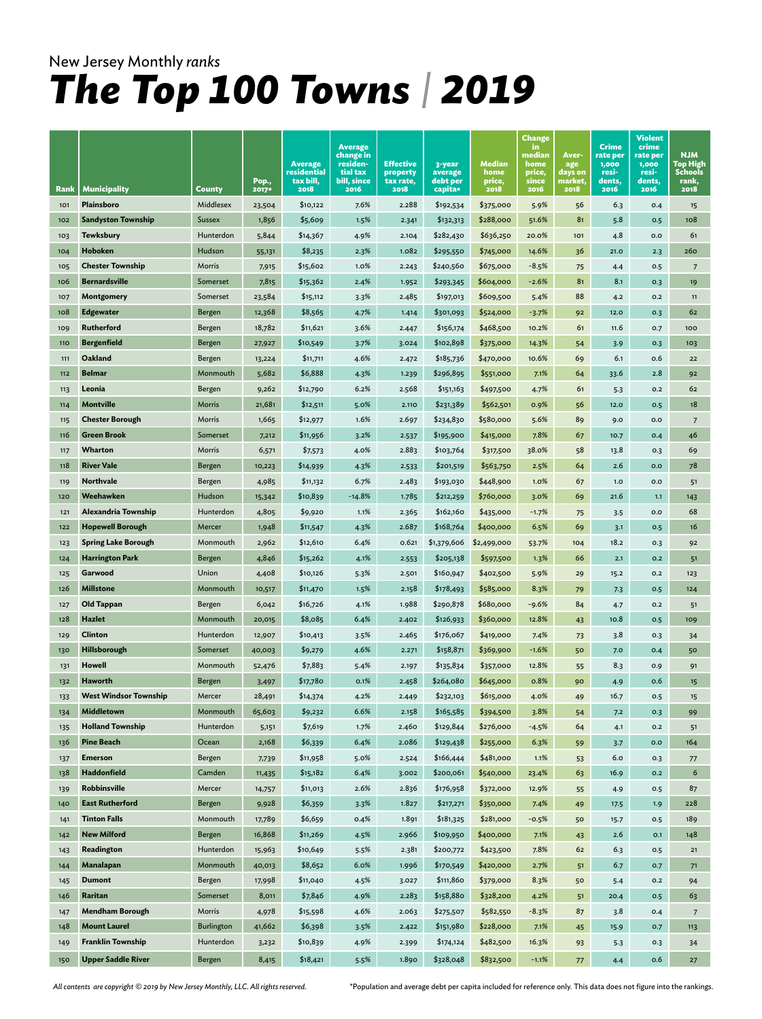|             |                                                 |                    | Pop.,           | <b>Average</b><br>residential<br>tax bill, | <b>Average</b><br>change in<br>residen-<br>tial tax<br>bill, since | <b>Effective</b><br>property<br>tax rate, | 3-year<br>average<br>debt per | Median<br>home<br>price, | <b>Change</b><br>in.<br>median<br>home<br>price,<br>since | Aver-<br>age<br>days on<br>market, | Crime<br>rate per<br>1,000<br>resi-<br>dents, | Violent<br>crime<br>rate per<br>1,000<br>resi-<br>dents, | <b>NJM</b><br>Top High<br><b>Schools</b><br>rank, |
|-------------|-------------------------------------------------|--------------------|-----------------|--------------------------------------------|--------------------------------------------------------------------|-------------------------------------------|-------------------------------|--------------------------|-----------------------------------------------------------|------------------------------------|-----------------------------------------------|----------------------------------------------------------|---------------------------------------------------|
| <b>Rank</b> | <b>Municipality</b>                             | County             | <b>2017*</b>    | 2018                                       | 2016                                                               | 2018                                      | capita*                       | 2018                     | 2016                                                      | 2018                               | 2016                                          | 2016                                                     | 2018                                              |
| 101         | Plainsboro                                      | Middlesex          | 23,504          | \$10,122                                   | 7.6%                                                               | 2.288                                     | \$192,534                     | \$375,000                | 5.9%                                                      | 56                                 | 6.3                                           | 0.4                                                      | 15                                                |
| 102         | <b>Sandyston Township</b>                       | <b>Sussex</b>      | 1,856           | \$5,609                                    | 1.5%                                                               | 2.341                                     | \$132,313                     | \$288,000                | 51.6%                                                     | 81                                 | 5.8                                           | O.5                                                      | 108                                               |
| 103         | <b>Tewksbury</b>                                | Hunterdon          | 5,844           | \$14,367                                   | 4.9%                                                               | 2.104                                     | \$282,430                     | \$636,250                | 20.0%                                                     | 101                                | 4.8                                           | 0.0                                                      | 61                                                |
| 104         | Hoboken                                         | Hudson             | 55,131          | \$8,235                                    | 2.3%                                                               | 1.082                                     | \$295,550                     | \$745,000                | 14.6%                                                     | 36                                 | 21.0                                          | 2.3                                                      | 260                                               |
| 105         | <b>Chester Township</b><br><b>Bernardsville</b> | Morris<br>Somerset | 7,915           | \$15,602                                   | 1.0%                                                               | 2.243                                     | \$240,560                     | \$675,000                | $-8.5%$                                                   | 75<br>81                           | 4.4<br>8.1                                    | 0.5                                                      | $\overline{7}$                                    |
| 106         |                                                 | Somerset           | 7,815           | \$15,362                                   | 2.4%                                                               | 1.952                                     | \$293,345                     | \$604,000                | $-2.6%$                                                   | 88                                 |                                               | O.3                                                      | 19                                                |
| 107         | Montgomery                                      |                    | 23,584          | \$15,112                                   | 3.3%                                                               | 2.485                                     | \$197,013                     | \$609,500                | 5.4%                                                      |                                    | 4.2                                           | 0.2                                                      | 11<br>62                                          |
| 108         | <b>Edgewater</b><br>Rutherford                  | Bergen             | 12,368          | \$8,565                                    | 4.7%<br>3.6%                                                       | 1.414                                     | \$301,093                     | \$524,000                | $-3.7%$                                                   | 92                                 | 12.0                                          | 0.3                                                      |                                                   |
| 109         | <b>Bergenfield</b>                              | Bergen             | 18,782          | \$11,621                                   |                                                                    | 2.447                                     | \$156,174                     | \$468,500                | 10.2%                                                     | 61                                 | 11.6                                          | O.7                                                      | 100                                               |
| 110         | Oakland                                         | Bergen             | 27,927          | \$10,549                                   | 3.7%<br>4.6%                                                       | 3.024                                     | \$102,898                     | \$375,000                | 14.3%                                                     | 54                                 | 3.9                                           | 0.3                                                      | 103                                               |
| 111<br>112  | <b>Belmar</b>                                   | Bergen<br>Monmouth | 13,224<br>5,682 | \$11,711<br>\$6,888                        | 4.3%                                                               | 2.472                                     | \$185,736<br>\$296,895        | \$470,000                | 10.6%<br>7.1%                                             | 69                                 | 6.1<br>33.6                                   | 0.6<br>2.8                                               | 22<br>92                                          |
| 113         | Leonia                                          | Bergen             | 9,262           | \$12,790                                   | 6.2%                                                               | 1.239<br>2.568                            | \$151,163                     | \$551,000<br>\$497,500   | 4.7%                                                      | 64<br>61                           |                                               | 0.2                                                      | 62                                                |
| 114         | <b>Montville</b>                                | Morris             | 21,681          | \$12,511                                   | 5.0%                                                               | 2.110                                     | \$231,389                     | \$562,501                | 0.9%                                                      | 56                                 | 5.3<br>12.0                                   | 0.5                                                      | 18                                                |
| 115         | <b>Chester Borough</b>                          | Morris             | 1,665           | \$12,977                                   | 1.6%                                                               | 2.697                                     | \$234,830                     | \$580,000                | 5.6%                                                      | 89                                 | 9.0                                           | 0.0                                                      | 7                                                 |
| 116         | <b>Green Brook</b>                              | Somerset           | 7,212           | \$11,956                                   | 3.2%                                                               | 2.537                                     | \$195,900                     | \$415,000                | 7.8%                                                      | 67                                 | 10.7                                          | 0.4                                                      | 46                                                |
| 117         | Wharton                                         | Morris             | 6,571           |                                            | 4.0%                                                               | 2.883                                     | \$103,764                     | \$317,500                | 38.0%                                                     | 58                                 | 13.8                                          | 0.3                                                      | 69                                                |
| 118         | <b>River Vale</b>                               | Bergen             | 10,223          | \$7,573<br>\$14,939                        | 4.3%                                                               |                                           | \$201,519                     | \$563,750                | 2.5%                                                      | 64                                 | 2.6                                           | 0.0                                                      | 78                                                |
| 119         | <b>Northvale</b>                                | Bergen             | 4,985           | \$11,132                                   | 6.7%                                                               | 2.533<br>2.483                            | \$193,030                     | \$448,900                | 1.0%                                                      | 67                                 | 1.0                                           | 0.0                                                      | 51                                                |
| 120         | Weehawken                                       | Hudson             | 15,342          | \$10,839                                   | $-14.8%$                                                           | 1.785                                     | \$212,259                     | \$760,000                | 3.0%                                                      | 69                                 | 21.6                                          | 1,1                                                      | 143                                               |
| 121         | Alexandria Township                             | Hunterdon          | 4,805           | \$9,920                                    | 1.1%                                                               | 2.365                                     | \$162,160                     | \$435,000                | $-1.7%$                                                   | 75                                 | 3.5                                           | 0.0                                                      | 68                                                |
| 122         | <b>Hopewell Borough</b>                         | Mercer             | 1,948           | \$11,547                                   | 4.3%                                                               | 2.687                                     | \$168,764                     | \$400,000                | 6.5%                                                      | 69                                 | 3.1                                           | 0.5                                                      | 16                                                |
| 123         | <b>Spring Lake Borough</b>                      | Monmouth           | 2,962           | \$12,610                                   | 6.4%                                                               | 0.621                                     | \$1,379,606                   | \$2,499,000              | 53.7%                                                     | 104                                | 18.2                                          | O.3                                                      | 92                                                |
| 124         | <b>Harrington Park</b>                          | Bergen             | 4,846           | \$15,262                                   | 4.1%                                                               | 2.553                                     | \$205,138                     | \$597,500                | 1.3%                                                      | 66                                 | 2.1                                           | 0.2                                                      | 51                                                |
| 125         | Garwood                                         | Union              | 4,408           | \$10,126                                   | 5.3%                                                               | 2.501                                     | \$160,947                     | \$402,500                | 5.9%                                                      | 29                                 | 15.2                                          | 0.2                                                      | 123                                               |
| 126         | <b>Millstone</b>                                | Monmouth           | 10,517          | \$11,470                                   | 1.5%                                                               | 2.158                                     | \$178,493                     | \$585,000                | 8.3%                                                      | 79                                 | 7.3                                           | 0.5                                                      | 124                                               |
| 127         | Old Tappan                                      | Bergen             | 6,042           | \$16,726                                   | 4.1%                                                               | 1.988                                     | \$290,878                     | \$680,000                | $-9.6%$                                                   | 84                                 | 4.7                                           | 0.2                                                      | 51                                                |
| 128         | <b>Hazlet</b>                                   | Monmouth           | 20,015          | \$8,085                                    | 6.4%                                                               | 2.402                                     | \$126,933                     | \$360,000                | 12.8%                                                     | 43                                 | 10.8                                          | O.5                                                      | 109                                               |
| 129         | Clinton                                         | Hunterdon          | 12,907          | \$10,413                                   | 3.5%                                                               | 2.465                                     | \$176,067                     | \$419,000                | 7.4%                                                      | 73                                 | 3.8                                           | O.3                                                      | 34                                                |
| 130         | Hillsborough                                    | Somerset           | 40,003          | \$9,279                                    | 4.6%                                                               | 2.271                                     | \$158,871                     | \$369,900                | $-1.6%$                                                   | 50                                 | 7.0                                           | 0.4                                                      | 50                                                |
| 131         | <b>Howell</b>                                   | Monmouth           | 52,476          | \$7,883                                    | 5.4%                                                               | 2.197                                     | \$135,834                     | \$357,000                | 12.8%                                                     | 55                                 | 8.3                                           | 0.9                                                      | 91                                                |
| 132         | Haworth                                         | Bergen             | 3,497           | \$17,780                                   | 0.1%                                                               | 2.458                                     | \$264,080                     | \$645,000                | 0.8%                                                      | 90                                 | 4.9                                           | 0.6                                                      | 15                                                |
| 133         | <b>West Windsor Township</b>                    | Mercer             | 28,491          | \$14,374                                   | 4.2%                                                               | 2.449                                     | \$232,103                     | \$615,000                | 4.0%                                                      | 49                                 | 16.7                                          | 0.5                                                      | 15                                                |
| 134         | Middletown                                      | Monmouth           | 65,603          | \$9,232                                    | 6.6%                                                               | 2.158                                     | \$165,585                     | \$394,500                | 3.8%                                                      | 54                                 | 7.2                                           | 0.3                                                      | 99                                                |
| 135         | <b>Holland Township</b>                         | Hunterdon          | 5,151           | \$7,619                                    | 1.7%                                                               | 2.460                                     | \$129,844                     | \$276,000                | $-4.5%$                                                   | 64                                 | 4.1                                           | O.2                                                      | 51                                                |
| 136         | <b>Pine Beach</b>                               | Ocean              | 2,168           | \$6,339                                    | 6.4%                                                               | 2.086                                     | \$129,438                     | \$255,000                | 6.3%                                                      | 59                                 | 3.7                                           | 0.0                                                      | 164                                               |
| 137         | <b>Emerson</b>                                  | Bergen             | 7,739           | \$11,958                                   | 5.0%                                                               | 2.524                                     | \$166,444                     | \$481,000                | 1.1%                                                      | 53                                 | 6.0                                           | 0.3                                                      | 77                                                |
| 138         | Haddonfield                                     | Camden             | 11,435          | \$15,182                                   | 6.4%                                                               | 3.002                                     | \$200,061                     | \$540,000                | 23.4%                                                     | 63                                 | 16.9                                          | O.2                                                      | 6                                                 |
| 139         | Robbinsville                                    | Mercer             | 14,757          | \$11,013                                   | 2.6%                                                               | 2.836                                     | \$176,958                     | \$372,000                | 12.9%                                                     | 55                                 | 4.9                                           | 0.5                                                      | 87                                                |
| 140         | <b>East Rutherford</b>                          | Bergen             | 9,928           | \$6,359                                    | 3.3%                                                               | 1.827                                     | \$217,271                     | \$350,000                | 7.4%                                                      | 49                                 | 17.5                                          | 1.9                                                      | 228                                               |
| 141         | <b>Tinton Falls</b>                             | Monmouth           | 17,789          | \$6,659                                    | 0.4%                                                               | 1.891                                     | \$181,325                     | \$281,000                | $-0.5%$                                                   | 50                                 | 15.7                                          | 0.5                                                      | 189                                               |
| 142         | <b>New Milford</b>                              | Bergen             | 16,868          | \$11,269                                   | 4.5%                                                               | 2.966                                     | \$109,950                     | \$400,000                | 7.1%                                                      | 43                                 | 2.6                                           | O.1                                                      | 148                                               |
| 143         | Readington                                      | Hunterdon          | 15,963          | \$10,649                                   | 5.5%                                                               | 2.381                                     | \$200,772                     | \$423,500                | 7.8%                                                      | 62                                 | 6.3                                           | 0.5                                                      | 21                                                |
| 144         | Manalapan                                       | Monmouth           | 40,013          | \$8,652                                    | 6.0%                                                               | 1.996                                     | \$170,549                     | \$420,000                | 2.7%                                                      | 51                                 | 6.7                                           | 0.7                                                      | 71                                                |
| 145         | <b>Dumont</b>                                   | Bergen             | 17,998          | \$11,040                                   | 4.5%                                                               | 3.027                                     | \$111,860                     | \$379,000                | 8.3%                                                      | 50                                 | 5.4                                           | O.2                                                      | 94                                                |
| 146         | Raritan                                         | Somerset           | 8,011           | \$7,846                                    | 4.9%                                                               | 2.283                                     | \$158,880                     | \$328,200                | 4.2%                                                      | 51                                 | 20.4                                          | 0.5                                                      | 63                                                |
| 147         | <b>Mendham Borough</b>                          | Morris             | 4,978           | \$15,598                                   | 4.6%                                                               | 2.063                                     | \$275,507                     | \$582,550                | $-8.3%$                                                   | 87                                 | 3.8                                           | 0.4                                                      | $\overline{7}$                                    |
| 148         | <b>Mount Laurel</b>                             | Burlington         | 41,662          | \$6,398                                    | 3.5%                                                               | 2.422                                     | \$151,980                     | \$228,000                | 7.1%                                                      | 45                                 | 15.9                                          | 0.7                                                      | 113                                               |
| 149         | <b>Franklin Township</b>                        | Hunterdon          | 3,232           | \$10,839                                   | 4.9%                                                               | 2.399                                     | \$174,124                     | \$482,500                | 16.3%                                                     | 93                                 | 5.3                                           | 0.3                                                      | 34                                                |
| 150         | <b>Upper Saddle River</b>                       | Bergen             | 8,415           | \$18,421                                   | 5.5%                                                               | 1.890                                     | \$328,048                     | \$832,500                | $-1.1%$                                                   | 77                                 | 4.4                                           | 0.6                                                      | 27                                                |

*All contents are copyright © 2019 by New Jersey Monthly, LLC. All rights reserved.* 

\*Population and average debt per capita included for reference only. This data does not figure into the rankings.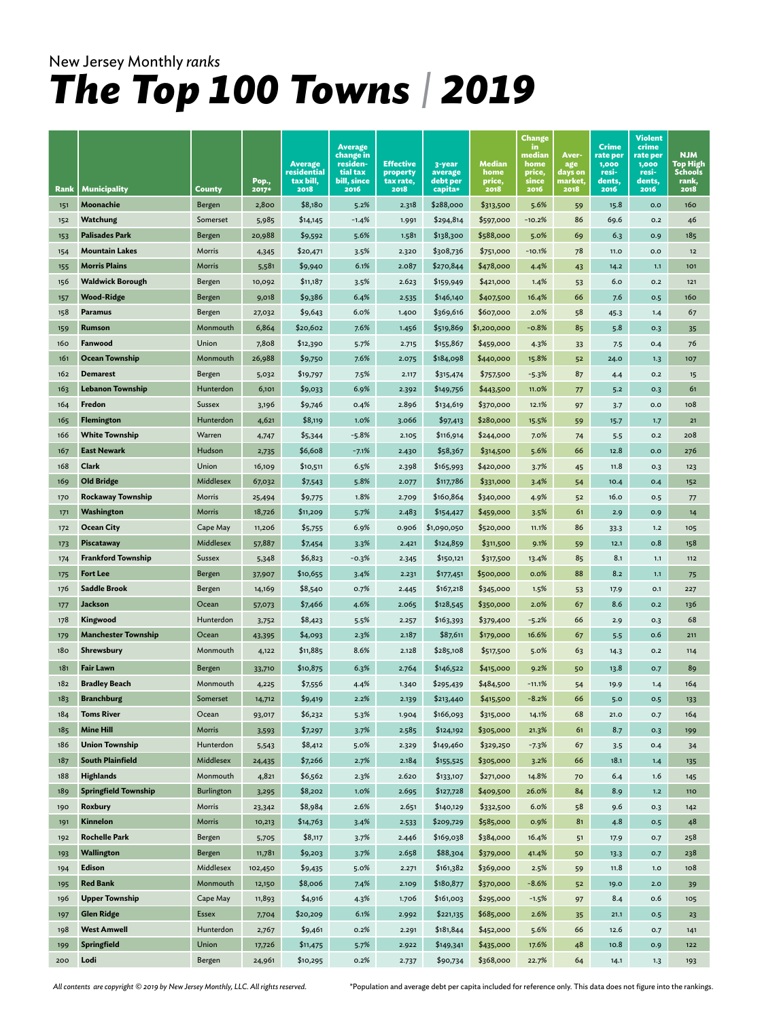|                 |                                               |                     |                  |                                            | <b>Average</b>                                   |                                           |                               |                          | <b>Change</b><br>in.              |                                    | <b>Crime</b>                         | <b>Violent</b><br>crime              |                                                   |
|-----------------|-----------------------------------------------|---------------------|------------------|--------------------------------------------|--------------------------------------------------|-------------------------------------------|-------------------------------|--------------------------|-----------------------------------|------------------------------------|--------------------------------------|--------------------------------------|---------------------------------------------------|
|                 |                                               |                     | Pop.,            | <b>Average</b><br>residential<br>tax bill, | change in<br>residen-<br>tial tax<br>bill, since | <b>Effective</b><br>property<br>tax rate, | 3-year<br>average<br>debt per | Median<br>home<br>price, | median<br>home<br>price,<br>since | Aver-<br>age<br>days on<br>market, | rate per<br>1,000<br>resi-<br>dents, | rate per<br>1,000<br>resi-<br>dents, | <b>NJM</b><br>Top High<br><b>Schools</b><br>rank, |
| Rank            | Municipality                                  | County              | 2017*            | 2018                                       | 2016                                             | 2018                                      | capita*                       | 2018                     | 2016                              | 2018                               | 2016                                 | 2016                                 | 2018                                              |
| 151             | Moonachie                                     | Bergen              | 2,800            | \$8,180                                    | 5.2%                                             | 2.318                                     | \$288,000                     | \$313,500                | 5.6%                              | 59                                 | 15.8                                 | O.O                                  | 160                                               |
| 152             | Watchung                                      | Somerset            | 5,985            | \$14,145                                   | $-1.4%$                                          | 1.991                                     | \$294,814                     | \$597,000                | $-10.2%$                          | 86                                 | 69.6                                 | O.2                                  | 46                                                |
| 153             | <b>Palisades Park</b>                         | Bergen              | 20,988           | \$9,592                                    | 5.6%                                             | 1.581                                     | \$138,300                     | \$588,000                | 5.0%                              | 69                                 | 6.3                                  | 0.9                                  | 185                                               |
| 154             | <b>Mountain Lakes</b>                         | Morris              | 4,345            | \$20,471                                   | 3.5%                                             | 2.320                                     | \$308,736                     | \$751,000                | $-10.1%$                          | 78                                 | 11.0                                 | O.O                                  | $12$                                              |
| 155             | <b>Morris Plains</b>                          | Morris              | 5,581            | \$9,940                                    | 6.1%                                             | 2.087                                     | \$270,844                     | \$478,000                | 4.4%                              | 43                                 | 14.2                                 | 1.1                                  | 101                                               |
| 156             | <b>Waldwick Borough</b>                       | Bergen              | 10,092           | \$11,187                                   | 3.5%                                             | 2.623                                     | \$159,949                     | \$421,000                | 1.4%                              | 53                                 | 6.0                                  | 0.2                                  | 121                                               |
| 157             | <b>Wood-Ridge</b>                             | Bergen              | 9,018            | \$9,386                                    | 6.4%                                             | 2.535                                     | \$146,140                     | \$407,500                | 16.4%                             | 66                                 | 7.6                                  | 0.5                                  | 160                                               |
| 158             | Paramus                                       | Bergen              | 27,032           | \$9,643                                    | 6.0%                                             | 1.400                                     | \$369,616                     | \$607,000                | 2.0%                              | 58                                 | 45.3                                 | 1.4                                  | 67                                                |
| 159             | Rumson                                        | Monmouth            | 6,864            | \$20,602                                   | 7.6%                                             | 1.456                                     | \$519,869                     | \$1,200,000              | $-0.8%$                           | 85                                 | 5.8                                  | 0.3                                  | 35                                                |
| 160             | Fanwood                                       | Union               | 7,808            | \$12,390                                   | 5.7%                                             | 2.715                                     | \$155,867                     | \$459,000                | 4.3%                              | 33                                 | 7.5                                  | 0.4                                  | 76                                                |
| 161             | <b>Ocean Township</b>                         | Monmouth            | 26,988           | \$9,750                                    | 7.6%                                             | 2.075                                     | \$184,098                     | \$440,000                | 15.8%                             | 52                                 | 24.0                                 | 1.3                                  | 107                                               |
| 162             | <b>Demarest</b>                               | Bergen              | 5,032            | \$19,797                                   | 7.5%                                             | 2.117                                     | \$315,474                     | \$757,500                | $-5.3%$                           | 87                                 | 4.4                                  | 0.2                                  | 15                                                |
| 163             | <b>Lebanon Township</b>                       | Hunterdon           | 6,101            | \$9,033                                    | 6.9%                                             | 2.392                                     | \$149,756                     | \$443,500                | 11.0%                             | 77                                 | 5.2                                  | O.3                                  | 61                                                |
| 164             | Fredon                                        | Sussex              | 3,196            | \$9,746                                    | 0.4%                                             | 2.896                                     | \$134,619                     | \$370,000                | 12.1%                             | 97                                 | 3.7                                  | 0.0                                  | 108                                               |
| 165             | <b>Flemington</b>                             | Hunterdon           | 4,621            | \$8,119                                    | 1.0%                                             | 3.066                                     | \$97,413                      | \$280,000                | 15.5%                             | 59                                 | 15.7                                 | 1.7                                  | 21                                                |
| 166             | <b>White Township</b>                         | Warren              | 4,747            | \$5,344                                    | $-5.8%$                                          | 2.105                                     | \$116,914                     | \$244,000                | 7.0%                              | 74                                 | 5.5                                  | O.2                                  | 208                                               |
| 167             | <b>East Newark</b>                            | Hudson              | 2,735            | \$6,608                                    | $-7.1%$                                          | 2.430                                     | \$58,367                      | \$314,500                | 5.6%                              | 66                                 | 12.8                                 | 0.0                                  | 276                                               |
| 168             | Clark                                         | Union               | 16,109           | \$10,511                                   | 6.5%                                             | 2.398                                     | \$165,993                     | \$420,000                | 3.7%                              | 45                                 | 11.8                                 | O.3                                  | 123                                               |
| 169             | <b>Old Bridge</b><br><b>Rockaway Township</b> | Middlesex<br>Morris | 67,032           | \$7,543                                    | 5.8%<br>1.8%                                     | 2.077                                     | \$117,786                     | \$331,000                | 3.4%                              | 54                                 | 10.4                                 | 0.4                                  | 152                                               |
| 170             | Washington                                    | Morris              | 25,494           | \$9,775                                    | 5.7%                                             | 2.709                                     | \$160,864                     | \$340,000                | 4.9%                              | 52<br>61                           | 16.0                                 | 0.5                                  | 77                                                |
| 171             | <b>Ocean City</b>                             | Cape May            | 18,726<br>11,206 | \$11,209                                   | 6.9%                                             | 2.483<br>0.906                            | \$154,427<br>\$1,090,050      | \$459,000<br>\$520,000   | 3.5%<br>11.1%                     | 86                                 | 2.9                                  | 0.9<br>1.2                           | 14<br>105                                         |
| 172             | <b>Piscataway</b>                             | <b>Middlesex</b>    | 57,887           | \$5,755                                    | 3.3%                                             | 2.421                                     | \$124,859                     | \$311,500                | 9.1%                              |                                    | 33.3<br>12.1                         | 0.8                                  | 158                                               |
| 173<br>174      | <b>Frankford Township</b>                     | Sussex              | 5,348            | \$7,454<br>\$6,823                         | $-0.3%$                                          | 2.345                                     | \$150,121                     | \$317,500                | 13.4%                             | 59<br>85                           | 8.1                                  | 1.1                                  | 112                                               |
| 175             | <b>Fort Lee</b>                               | Bergen              |                  | \$10,655                                   | 3.4%                                             | 2.231                                     | \$177,451                     | \$500,000                | 0.0%                              | 88                                 | 8.2                                  | 1,1                                  |                                                   |
| 176             | <b>Saddle Brook</b>                           | Bergen              | 37,907<br>14,169 | \$8,540                                    | 0.7%                                             | 2.445                                     | \$167,218                     | \$345,000                | 1.5%                              |                                    | 17.9                                 | O.1                                  | 75<br>227                                         |
| 177             | Jackson                                       | Ocean               | 57,073           | \$7,466                                    | 4.6%                                             | 2.065                                     | \$128,545                     | \$350,000                | 2.0%                              | 53<br>67                           | 8.6                                  | 0.2                                  | 136                                               |
| 178             | Kingwood                                      | Hunterdon           | 3,752            | \$8,423                                    | 5.5%                                             | 2.257                                     | \$163,393                     | \$379,400                | $-5.2%$                           | 66                                 | 2.9                                  | 0.3                                  | 68                                                |
| 179             | <b>Manchester Township</b>                    | Ocean               | 43,395           | \$4,093                                    | 2.3%                                             | 2.187                                     | \$87,611                      | \$179,000                | 16.6%                             | 67                                 | 5.5                                  | 0.6                                  | 211                                               |
| 180             | Shrewsbury                                    | Monmouth            | 4,122            | \$11,885                                   | 8.6%                                             | 2.128                                     | \$285,108                     | \$517,500                | 5.0%                              | 63                                 | 14.3                                 | 0.2                                  | 114                                               |
|                 |                                               |                     |                  |                                            |                                                  |                                           |                               |                          |                                   |                                    |                                      |                                      |                                                   |
| 181<br>182      | <b>Fair Lawn</b>                              | Bergen<br>Monmouth  | 33,710           | \$10,875                                   | 6.3%                                             | 2.764                                     | \$146,522                     | \$415,000                | 9.2%<br>$-11.1%$                  | 50                                 | 13.8                                 | 0.7                                  | 89                                                |
| 18 <sub>3</sub> | <b>Bradley Beach</b><br><b>Branchburg</b>     | Somerset            | 4,225            | \$7,556<br>\$9,419                         | 4.4%<br>2.2%                                     | 1.340                                     | \$295,439<br>\$213,440        | \$484,500<br>\$415,500   | $-8.2%$                           | 54<br>66                           | 19.9                                 | 1.4                                  | 164                                               |
| 184             | <b>Toms River</b>                             | Ocean               | 14,712           | \$6,232                                    | 5.3%                                             | 2.139<br>1.904                            | \$166,093                     | \$315,000                | 14.1%                             | 68                                 | 5.0<br>21.0                          | 0.5<br>0.7                           | 133<br>164                                        |
| 185             | <b>Mine Hill</b>                              | Morris              | 93,017           | \$7,297                                    | 3.7%                                             | 2.585                                     | \$124,192                     | \$305,000                | 21.3%                             | 61                                 | 8.7                                  | O.3                                  | 199                                               |
| 186             | <b>Union Township</b>                         | Hunterdon           | 3,593<br>5,543   | \$8,412                                    | 5.0%                                             | 2.329                                     | \$149,460                     | \$329,250                | $-7.3%$                           | 67                                 | 3.5                                  | 0.4                                  | 34                                                |
| 187             | <b>South Plainfield</b>                       | Middlesex           | 24,435           | \$7,266                                    | 2.7%                                             | 2.184                                     | \$155,525                     | \$305,000                | 3.2%                              | 66                                 | 18.1                                 | 1.4                                  | 135                                               |
| 188             | <b>Highlands</b>                              | Monmouth            | 4,821            | \$6,562                                    | 2.3%                                             | 2.620                                     | \$133,107                     | \$271,000                | 14.8%                             | 70                                 | 6.4                                  | 1.6                                  | 145                                               |
| 189             | <b>Springfield Township</b>                   | Burlington          | 3,295            | \$8,202                                    | 1.0%                                             | 2.695                                     | \$127,728                     | \$409,500                | 26.0%                             | 84                                 | 8.9                                  | 1.2                                  | <b>110</b>                                        |
| 190             | Roxbury                                       | Morris              | 23,342           | \$8,984                                    | 2.6%                                             | 2.651                                     | \$140,129                     | \$332,500                | 6.0%                              | 58                                 | 9.6                                  | O.3                                  | 142                                               |
| 191             | Kinnelon                                      | Morris              | 10,213           | \$14,763                                   | 3.4%                                             | 2.533                                     | \$209,729                     | \$585,000                | 0.9%                              | 81                                 | 4.8                                  | 0.5                                  | 48                                                |
| 192             | <b>Rochelle Park</b>                          | Bergen              | 5,705            | \$8,117                                    | 3.7%                                             | 2.446                                     | \$169,038                     | \$384,000                | 16.4%                             | 51                                 | 17.9                                 | 0.7                                  | 258                                               |
| 193             | Wallington                                    | Bergen              | 11,781           | \$9,203                                    | 3.7%                                             | 2.658                                     | \$88,304                      | \$379,000                | 41.4%                             | 50                                 | 13.3                                 | 0.7                                  | 238                                               |
| 194             | Edison                                        | Middlesex           | 102,450          | \$9,435                                    | 5.0%                                             | 2.271                                     | \$161,382                     | \$369,000                | 2.5%                              | 59                                 | 11.8                                 | 1.0                                  | 108                                               |
| 195             | <b>Red Bank</b>                               | Monmouth            | 12,150           | \$8,006                                    | 7.4%                                             | 2.109                                     | \$180,877                     | \$370,000                | $-8.6%$                           | 52                                 | 19.0                                 | 2.0                                  | 39                                                |
| 196             | <b>Upper Township</b>                         | Cape May            | 11,893           | \$4,916                                    | 4.3%                                             | 1.706                                     | \$161,003                     | \$295,000                | $-1.5%$                           | 97                                 | 8.4                                  | 0.6                                  | 105                                               |
| 197             | <b>Glen Ridge</b>                             | Essex               | 7,704            | \$20,209                                   | 6.1%                                             | 2.992                                     | \$221,135                     | \$685,000                | 2.6%                              | 35                                 | 21.1                                 | 0.5                                  | 23                                                |
| 198             | <b>West Amwell</b>                            | Hunterdon           | 2,767            | \$9,461                                    | 0.2%                                             | 2.291                                     | \$181,844                     | \$452,000                | 5.6%                              | 66                                 | 12.6                                 | 0.7                                  | 141                                               |
| 199             | <b>Springfield</b>                            | Union               | 17,726           | \$11,475                                   | 5.7%                                             | 2.922                                     | \$149,341                     | \$435,000                | 17.6%                             | 48                                 | 10.8                                 | O.9                                  | 122                                               |
| 200             | Lodi                                          | Bergen              | 24,961           | \$10,295                                   | 0.2%                                             | 2.737                                     | \$90,734                      | \$368,000                | 22.7%                             | 64                                 | 14.1                                 | 1.3                                  | 193                                               |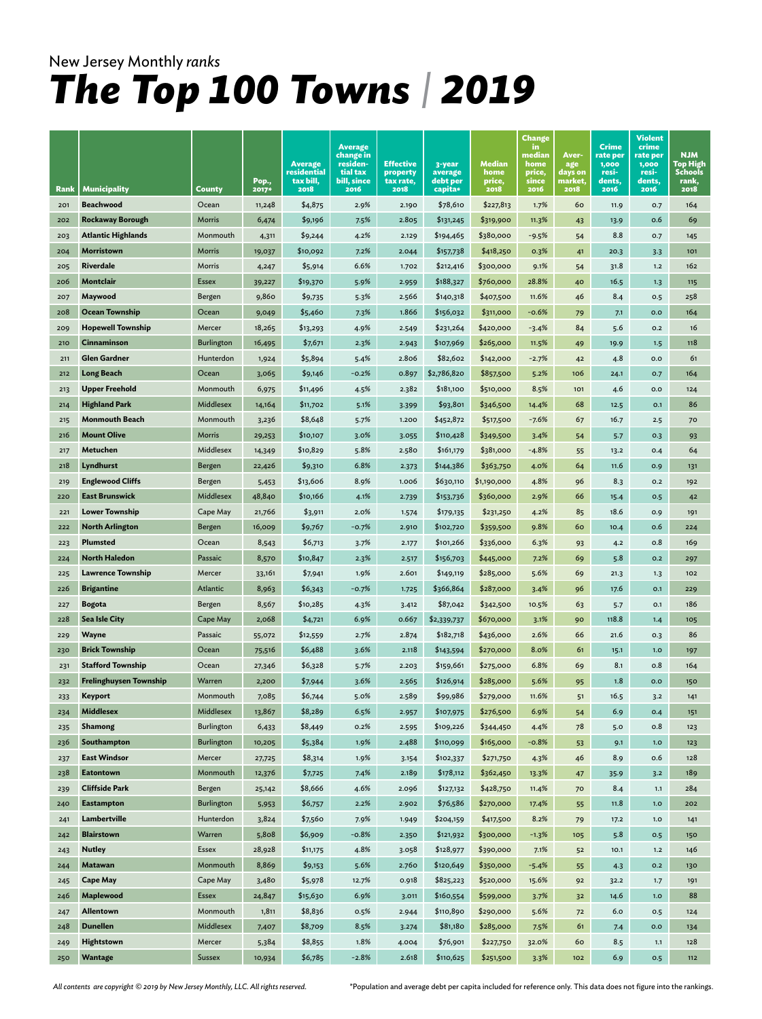|            |                                                  |                    | Pop.,          | <b>Average</b><br>residential<br>tax bill, | <b>Average</b><br>change in<br>residen-<br>tial tax<br>bill, since | <b>Effective</b><br>property<br>tax rate, | 3-year<br>average<br>debt per | Median<br>home<br>price, | <b>Change</b><br>in.<br>median<br>home<br>price,<br>since | Aver-<br>age<br>days on<br>market | Crime<br>rate per<br>1,000<br>resi-<br>dents, | Violent<br>crime<br>rate per<br>1,000<br>resi-<br>dents, | <b>NJM</b><br>Top High<br><b>Schools</b><br>rank, |
|------------|--------------------------------------------------|--------------------|----------------|--------------------------------------------|--------------------------------------------------------------------|-------------------------------------------|-------------------------------|--------------------------|-----------------------------------------------------------|-----------------------------------|-----------------------------------------------|----------------------------------------------------------|---------------------------------------------------|
| Rank       | <b>Municipality</b>                              | <b>County</b>      | 2017*          | 2018                                       | 2016                                                               | 2018                                      | capita*                       | 2018                     | 2016                                                      | 2018                              | 2016                                          | 2016                                                     | 2018                                              |
| 201        | Beachwood                                        | Ocean              | 11,248         | \$4,875                                    | 2.9%                                                               | 2.190                                     | \$78,610                      | \$227,813                | 1.7%                                                      | 60                                | 11.9                                          | 0.7                                                      | 164                                               |
| 202        | <b>Rockaway Borough</b>                          | Morris             | 6,474          | \$9,196                                    | 7.5%                                                               | 2.805                                     | \$131,245                     | \$319,900                | 11.3%                                                     | 43                                | 13.9                                          | 0.6                                                      | 69                                                |
| 203        | <b>Atlantic Highlands</b>                        | Monmouth           | 4,311          | \$9,244                                    | 4.2%                                                               | 2.129                                     | \$194,465                     | \$380,000                | -9.5%                                                     | 54                                | 8.8                                           | 0.7                                                      | 145                                               |
| 204        | Morristown                                       | Morris             | 19,037         | \$10,092                                   | 7.2%                                                               | 2.044                                     | \$157,738                     | \$418,250                | 0.3%                                                      | 41                                | 20.3                                          | 3.3                                                      | 101                                               |
| 205        | <b>Riverdale</b>                                 | Morris             | 4,247          | \$5,914                                    | 6.6%                                                               | 1.702                                     | \$212,416                     | \$300,000                | 9.1%                                                      | 54                                | 31.8                                          | 1.2                                                      | 162                                               |
| 206        | Montclair                                        | <b>Essex</b>       | 39,227         | \$19,370                                   | 5.9%                                                               | 2.959                                     | \$188,327                     | \$760,000                | 28.8%                                                     | 40                                | 16.5                                          | 1.3                                                      | 115                                               |
| 207        | Maywood                                          | Bergen             | 9,860          | \$9,735                                    | 5.3%                                                               | 2.566                                     | \$140,318                     | \$407,500                | 11.6%                                                     | 46                                | 8.4                                           | 0.5                                                      | 258                                               |
| 208        | <b>Ocean Township</b>                            | Ocean              | 9,049          | \$5,460                                    | 7.3%                                                               | 1.866                                     | \$156,032                     | \$311,000                | $-0.6%$                                                   | 79                                | 7.1                                           | 0.0                                                      | 164                                               |
| 209        | <b>Hopewell Township</b>                         | Mercer             | 18,265         | \$13,293                                   | 4.9%                                                               | 2.549                                     | \$231,264                     | \$420,000                | $-3.4%$                                                   | 84                                | 5.6                                           | O.2                                                      | 16                                                |
| 210        | Cinnaminson                                      | <b>Burlington</b>  | 16,495         | \$7,671                                    | 2.3%                                                               | 2.943                                     | \$107,969                     | \$265,000                | 11.5%                                                     | 49                                | 19.9                                          | 1.5                                                      | 118                                               |
| 211        | <b>Glen Gardner</b>                              | Hunterdon          | 1,924          | \$5,894                                    | 5.4%                                                               | 2.806                                     | \$82,602                      | \$142,000                | $-2.7%$                                                   | 42                                | 4.8                                           | 0.0                                                      | 61                                                |
| 212        | <b>Long Beach</b>                                | Ocean              | 3,065          | \$9,146                                    | $-0.2%$                                                            | 0.897                                     | \$2,786,820                   | \$857,500                | 5.2%                                                      | 106                               | 24.1                                          | O.7                                                      | 164                                               |
| 213        | <b>Upper Freehold</b>                            | Monmouth           | 6,975          | \$11,496                                   | 4.5%                                                               | 2.382                                     | \$181,100                     | \$510,000                | 8.5%                                                      | 101                               | 4.6                                           | 0.0                                                      | 124                                               |
| 214        | <b>Highland Park</b>                             | Middlesex          | 14,164         | \$11,702                                   | 5.1%                                                               | 3.399                                     | \$93,801                      | \$346,500                | 14.4%                                                     | 68                                | 12.5                                          | 0.1                                                      | 86                                                |
| 215        | <b>Monmouth Beach</b>                            | Monmouth           | 3,236          | \$8,648                                    | 5.7%                                                               | 1.200                                     | \$452,872                     | \$517,500                | $-7.6%$                                                   | 67                                | 16.7                                          | 2.5                                                      | 70                                                |
| 216        | <b>Mount Olive</b>                               | Morris             | 29,253         | \$10,107                                   | 3.0%                                                               | 3.055                                     | \$110,428                     | \$349,500                | 3.4%                                                      | 54                                | 5.7                                           | O.3                                                      | 93                                                |
| 217        | Metuchen                                         | Middlesex          | 14,349         | \$10,829                                   | 5.8%                                                               | 2.580                                     | \$161,179                     | \$381,000                | $-4.8%$                                                   | 55                                | 13.2                                          | 0.4                                                      | 64                                                |
| 218        | Lyndhurst                                        | Bergen             | 22,426         | \$9,310                                    | 6.8%                                                               | 2.373                                     | \$144,386                     | \$363,750                | 4.0%                                                      | 64                                | 11.6                                          | O.9                                                      | 131                                               |
| 219        | <b>Englewood Cliffs</b>                          | Bergen             | 5,453          | \$13,606                                   | 8.9%                                                               | 1.006                                     | \$630,110                     | \$1,190,000              | 4.8%                                                      | 96                                | 8.3                                           | O.2                                                      | 192                                               |
| 220        | <b>East Brunswick</b>                            | Middlesex          | 48,840         | \$10,166                                   | 4.1%                                                               | 2.739                                     | \$153,736                     | \$360,000                | 2.9%                                                      | 66                                | 15.4                                          | 0.5                                                      | 42                                                |
| 221        | <b>Lower Township</b>                            | Cape May           | 21,766         | \$3,911                                    | 2.0%                                                               | 1.574                                     | \$179,135                     | \$231,250                | 4.2%                                                      | 85                                | 18.6                                          | O.9                                                      | 191                                               |
| 222        | <b>North Arlington</b>                           | Bergen             | 16,009         | \$9,767                                    | $-0.7%$                                                            | 2.910                                     | \$102,720                     | \$359,500                | 9.8%                                                      | 60                                | 10.4                                          | 0.6                                                      | 224                                               |
| 223        | Plumsted                                         | Ocean<br>Passaic   | 8,543          | \$6,713                                    | 3.7%                                                               | 2.177                                     | \$101,266                     | \$336,000                | 6.3%                                                      | 93                                | 4.2                                           | 0.8                                                      | 169                                               |
| 224        | <b>North Haledon</b><br><b>Lawrence Township</b> | Mercer             | 8,570          | \$10,847                                   | 2.3%<br>1.9%                                                       | 2.517<br>2.601                            | \$156,703                     | \$445,000                | 7.2%                                                      | 69                                | 5.8                                           | 0.2                                                      | 297                                               |
| 225        |                                                  |                    | 33,161         | \$7,941                                    | $-0.7%$                                                            |                                           | \$149,119<br>\$366,864        | \$285,000                | 5.6%                                                      | 69                                | 21.3                                          | 1.3                                                      | 102                                               |
| 226        | <b>Brigantine</b><br><b>Bogota</b>               | Atlantic<br>Bergen | 8,963<br>8,567 | \$6,343<br>\$10,285                        | 4.3%                                                               | 1.725                                     | \$87,042                      | \$287,000<br>\$342,500   | 3.4%<br>10.5%                                             | 96                                | 17.6                                          | O.1<br>O.1                                               | 229<br>186                                        |
| 227<br>228 | <b>Sea Isle City</b>                             | Cape May           | 2,068          | \$4,721                                    | 6.9%                                                               | 3.412<br>0.667                            | \$2,339,737                   | \$670,000                | 3.1%                                                      | 63<br>90                          | 5.7<br>118.8                                  |                                                          | 105                                               |
| 229        | Wayne                                            | Passaic            | 55,072         | \$12,559                                   | 2.7%                                                               | 2.874                                     | \$182,718                     | \$436,000                | 2.6%                                                      | 66                                | 21.6                                          | 1.4<br>0.3                                               | 86                                                |
| 230        | <b>Brick Township</b>                            | Ocean              | 75,516         | \$6,488                                    | 3.6%                                                               | 2.118                                     | \$143,594                     | \$270,000                | 8.0%                                                      | 61                                | 15.1                                          | 1.0                                                      | 197                                               |
| 231        | <b>Stafford Township</b>                         | Ocean              | 27,346         | \$6,328                                    | 5.7%                                                               | 2.203                                     | \$159,661                     | \$275,000                | 6.8%                                                      | 69                                | 8.1                                           | O.8                                                      | 164                                               |
| 232        | <b>Frelinghuysen Township</b>                    | Warren             | 2,200          | \$7,944                                    | 3.6%                                                               | 2.565                                     | \$126,914                     | \$285,000                | 5.6%                                                      | 95                                | 1.8                                           | 0.0                                                      | 150                                               |
| 233        | Keyport                                          | Monmouth           | 7,085          | \$6,744                                    | 5.0%                                                               | 2.589                                     | \$99,986                      | \$279,000                | 11.6%                                                     | 51                                | 16.5                                          | 3.2                                                      | 141                                               |
| 234        | <b>Middlesex</b>                                 | Middlesex          | 13,867         | \$8,289                                    | 6.5%                                                               | 2.957                                     | \$107,975                     | \$276,500                | 6.9%                                                      | 54                                | 6.9                                           | O.4                                                      | 151                                               |
| 235        | Shamong                                          | Burlington         | 6,433          | \$8,449                                    | 0.2%                                                               | 2.595                                     | \$109,226                     | \$344,450                | 4.4%                                                      | 78                                | 5.0                                           | 0.8                                                      | 123                                               |
| 236        | Southampton                                      | Burlington         | 10,205         | \$5,384                                    | 1.9%                                                               | 2.488                                     | \$110,099                     | \$165,000                | $-0.8%$                                                   | 53                                | 9.1                                           | 1.0                                                      | 123                                               |
| 237        | <b>East Windsor</b>                              | Mercer             | 27,725         | \$8,314                                    | 1.9%                                                               | 3.154                                     | \$102,337                     | \$271,750                | 4.3%                                                      | 46                                | 8.9                                           | 0.6                                                      | 128                                               |
| 238        | Eatontown                                        | Monmouth           | 12,376         | \$7,725                                    | 7.4%                                                               | 2.189                                     | \$178,112                     | \$362,450                | 13.3%                                                     | 47                                | 35.9                                          | 3.2                                                      | 189                                               |
| 239        | <b>Cliffside Park</b>                            | Bergen             | 25,142         | \$8,666                                    | 4.6%                                                               | 2.096                                     | \$127,132                     | \$428,750                | 11.4%                                                     | 70                                | 8.4                                           | $1.1$                                                    | 284                                               |
| 240        | <b>Eastampton</b>                                | Burlington         | 5,953          | \$6,757                                    | 2.2%                                                               | 2.902                                     | \$76,586                      | \$270,000                | 17.4%                                                     | 55                                | 11.8                                          | 1.0                                                      | 202                                               |
| 241        | Lambertville                                     | Hunterdon          | 3,824          | \$7,560                                    | 7.9%                                                               | 1.949                                     | \$204,159                     | \$417,500                | 8.2%                                                      | 79                                | 17.2                                          | 1.0                                                      | 141                                               |
| 242        | <b>Blairstown</b>                                | Warren             | 5,808          | \$6,909                                    | $-0.8%$                                                            | 2.350                                     | \$121,932                     | \$300,000                | $-1.3%$                                                   | 105                               | 5.8                                           | 0.5                                                      | 150                                               |
| 243        | <b>Nutley</b>                                    | Essex              | 28,928         | \$11,175                                   | 4.8%                                                               | 3.058                                     | \$128,977                     | \$390,000                | 7.1%                                                      | 52                                | 10.1                                          | $1.2$                                                    | 146                                               |
| 244        | Matawan                                          | Monmouth           | 8,869          | \$9,153                                    | 5.6%                                                               | 2.760                                     | \$120,649                     | \$350,000                | $-5.4%$                                                   | 55                                | 4.3                                           | O.2                                                      | 130                                               |
| 245        | Cape May                                         | Cape May           | 3,480          | \$5,978                                    | 12.7%                                                              | 0.918                                     | \$825,223                     | \$520,000                | 15.6%                                                     | 92                                | 32.2                                          | 1.7                                                      | 191                                               |
| 246        | Maplewood                                        | Essex              | 24,847         | \$15,630                                   | 6.9%                                                               | 3.011                                     | \$160,554                     | \$599,000                | 3.7%                                                      | 32                                | 14.6                                          | 1.0                                                      | 88                                                |
| 247        | <b>Allentown</b>                                 | Monmouth           | 1,811          | \$8,836                                    | 0.5%                                                               | 2.944                                     | \$110,890                     | \$290,000                | 5.6%                                                      | 72                                | 6.0                                           | 0.5                                                      | 124                                               |
| 248        | <b>Dunellen</b>                                  | Middlesex          | 7,407          | \$8,709                                    | 8.5%                                                               | 3.274                                     | \$81,180                      | \$285,000                | 7.5%                                                      | 61                                | 7.4                                           | O.O                                                      | 134                                               |
| 249        | Hightstown                                       | Mercer             | 5,384          | \$8,855                                    | 1.8%                                                               | 4.004                                     | \$76,901                      | \$227,750                | 32.0%                                                     | 60                                | 8.5                                           | $1.1$                                                    | 128                                               |
| 250        | Wantage                                          | Sussex             | 10,934         | \$6,785                                    | $-2.8%$                                                            | 2.618                                     | \$110,625                     | \$251,500                | 3.3%                                                      | 102                               | 6.9                                           | 0.5                                                      | 112                                               |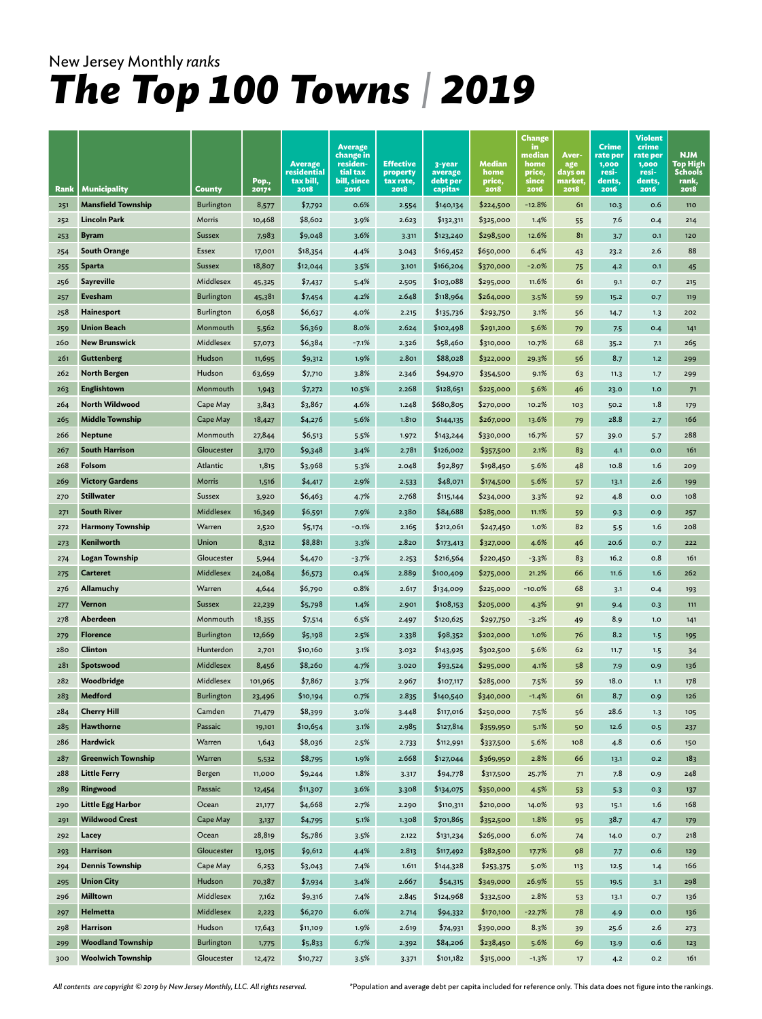|      |                           |                   |         |                          | <b>Average</b>          |                       |                     |                | <b>Change</b><br>in. |                    | <b>Crime</b>      | <b>Violent</b><br>crime |                         |
|------|---------------------------|-------------------|---------|--------------------------|-------------------------|-----------------------|---------------------|----------------|----------------------|--------------------|-------------------|-------------------------|-------------------------|
|      |                           |                   |         | <b>Average</b>           | change in<br>residen-   | Effective             | 3-year              | Median         | median<br>home       | Aver-<br>age       | rate per<br>1,000 | rate per<br>1,000       | <b>NJM</b><br>Top High  |
|      |                           |                   | Pop.,   | residential<br>tax bill, | tial tax<br>bill, since | property<br>tax rate, | average<br>debt per | home<br>price, | price,<br>since      | days on<br>market, | resi-<br>dents,   | resi-<br>dents,         | <b>Schools</b><br>rank, |
| Rank | Municipality              | County            | 2017*   | 2018                     | 2016                    | 2018                  | capita*             | 2018           | 2016                 | 2018               | 2016              | 2016                    | 2018                    |
| 251  | <b>Mansfield Township</b> | Burlington        | 8,577   | \$7,792                  | 0.6%                    | 2.554                 | \$140,134           | \$224,500      | $-12.8%$             | 61                 | 10.3              | 0.6                     | 110                     |
| 252  | <b>Lincoln Park</b>       | Morris            | 10,468  | \$8,602                  | 3.9%                    | 2.623                 | \$132,311           | \$325,000      | 1.4%                 | 55                 | 7.6               | 0.4                     | 214                     |
| 253  | <b>Byram</b>              | Sussex            | 7,983   | \$9,048                  | 3.6%                    | 3.311                 | \$123,240           | \$298,500      | 12.6%                | 81                 | 3.7               | O.1                     | 120                     |
| 254  | <b>South Orange</b>       | Essex             | 17,001  | \$18,354                 | 4.4%                    | 3.043                 | \$169,452           | \$650,000      | 6.4%                 | 43                 | 23.2              | 2.6                     | 88                      |
| 255  | <b>Sparta</b>             | Sussex            | 18,807  | \$12,044                 | 3.5%                    | 3.101                 | \$166,204           | \$370,000      | $-2.0%$              | 75                 | 4.2               | O.1                     | 45                      |
| 256  | <b>Sayreville</b>         | Middlesex         | 45,325  | \$7,437                  | 5.4%                    | 2.505                 | \$103,088           | \$295,000      | 11.6%                | 61                 | 9.1               | 0.7                     | 215                     |
| 257  | <b>Evesham</b>            | Burlington        | 45,381  | \$7,454                  | 4.2%                    | 2.648                 | \$118,964           | \$264,000      | 3.5%                 | 59                 | 15.2              | 0.7                     | 119                     |
| 258  | <b>Hainesport</b>         | Burlington        | 6,058   | \$6,637                  | 4.0%                    | 2.215                 | \$135,736           | \$293,750      | 3.1%                 | 56                 | 14.7              | 1.3                     | 202                     |
| 259  | <b>Union Beach</b>        | Monmouth          | 5,562   | \$6,369                  | 8.0%                    | 2.624                 | \$102,498           | \$291,200      | 5.6%                 | 79                 | 7.5               | 0.4                     | 141                     |
| 260  | <b>New Brunswick</b>      | Middlesex         | 57,073  | \$6,384                  | $-7.1%$                 | 2.326                 | \$58,460            | \$310,000      | 10.7%                | 68                 | 35.2              | 7.1                     | 265                     |
| 261  | Guttenberg                | Hudson            | 11,695  | \$9,312                  | 1.9%                    | 2.801                 | \$88,028            | \$322,000      | 29.3%                | 56                 | 8.7               | 1.2                     | 299                     |
| 262  | North Bergen              | Hudson            | 63,659  | \$7,710                  | 3.8%                    | 2.346                 | \$94,970            | \$354,500      | 9.1%                 | 63                 | 11.3              | 1.7                     | 299                     |
| 263  | <b>Englishtown</b>        | Monmouth          | 1,943   | \$7,272                  | 10.5%                   | 2.268                 | \$128,651           | \$225,000      | 5.6%                 | 46                 | 23.0              | 1.0                     | 71                      |
| 264  | North Wildwood            | Cape May          | 3,843   | \$3,867                  | 4.6%                    | 1.248                 | \$680,805           | \$270,000      | 10.2%                | 103                | 50.2              | 1.8                     | 179                     |
| 265  | <b>Middle Township</b>    | Cape May          | 18,427  | \$4,276                  | 5.6%                    | 1.810                 | \$144,135           | \$267,000      | 13.6%                | 79                 | 28.8              | 2.7                     | 166                     |
| 266  | <b>Neptune</b>            | Monmouth          | 27,844  | \$6,513                  | 5.5%                    | 1.972                 | \$143,244           | \$330,000      | 16.7%                | 57                 | 39.0              | 5.7                     | 288                     |
| 267  | <b>South Harrison</b>     | Gloucester        | 3,170   | \$9,348                  | 3.4%                    | 2.781                 | \$126,002           | \$357,500      | 2.1%                 | 83                 | 4.1               | 0.0                     | 161                     |
| 268  | Folsom                    | Atlantic          | 1,815   | \$3,968                  | 5.3%                    | 2.048                 | \$92,897            | \$198,450      | 5.6%                 | 48                 | 10.8              | 1.6                     | 209                     |
| 269  | <b>Victory Gardens</b>    | Morris            | 1,516   | \$4,417                  | 2.9%                    | 2.533                 | \$48,071            | \$174,500      | 5.6%                 | 57                 | 13.1              | 2.6                     | 199                     |
| 270  | <b>Stillwater</b>         | Sussex            | 3,920   | \$6,463                  | 4.7%                    | 2.768                 | \$115,144           | \$234,000      | 3.3%                 | 92                 | 4.8               | 0.0                     | 108                     |
| 271  | <b>South River</b>        | <b>Middlesex</b>  | 16,349  | \$6,591                  | 7.9%                    | 2.380                 | \$84,688            | \$285,000      | 11.1%                | 59                 | 9.3               | 0.9                     | 257                     |
| 272  | <b>Harmony Township</b>   | Warren            | 2,520   | \$5,174                  | $-0.1%$                 | 2.165                 | \$212,061           | \$247,450      | 1.0%                 | 82                 | 5.5               | 1.6                     | 208                     |
| 273  | Kenilworth                | Union             | 8,312   | \$8,881                  | 3.3%                    | 2.820                 | \$173,413           | \$327,000      | 4.6%                 | 46                 | 20.6              | 0.7                     | 222                     |
| 274  | Logan Township            | Gloucester        | 5,944   | \$4,470                  | $-3.7%$                 | 2.253                 | \$216,564           | \$220,450      | $-3.3%$              | 83                 | 16.2              | 0.8                     | 161                     |
| 275  | <b>Carteret</b>           | Middlesex         | 24,084  | \$6,573                  | 0.4%                    | 2.889                 | \$100,409           | \$275,000      | 21.2%                | 66                 | 11.6              | 1.6                     | 262                     |
| 276  | Allamuchy                 | Warren            | 4,644   | \$6,790                  | 0.8%                    | 2.617                 | \$134,009           | \$225,000      | $-10.0%$             | 68                 | 3.1               | 0.4                     | 193                     |
| 277  | Vernon                    | Sussex            | 22,239  | \$5,798                  | 1.4%                    | 2.901                 | \$108,153           | \$205,000      | 4.3%                 | 91                 | 9.4               | O.3                     | 111                     |
| 278  | Aberdeen                  | Monmouth          | 18,355  | \$7,514                  | 6.5%                    | 2.497                 | \$120,625           | \$297,750      | $-3.2%$              | 49                 | 8.9               | 1.0                     | 141                     |
| 279  | <b>Florence</b>           | <b>Burlington</b> | 12,669  | \$5,198                  | 2.5%                    | 2.338                 | \$98,352            | \$202,000      | 1.0%                 | 76                 | 8.2               | 1.5                     | 195                     |
| 280  | Clinton                   | Hunterdon         | 2,701   | \$10,160                 | 3.1%                    | 3.032                 | \$143,925           | \$302,500      | 5.6%                 | 62                 | 11.7              | 1.5                     | 34                      |
| 281  | Spotswood                 | <b>Middlesex</b>  | 8,456   | \$8,260                  | 4.7%                    | 3.020                 | \$93,524            | \$295,000      | 4.1%                 | 58                 | 7.9               | 0.9                     | 136                     |
| 282  | Woodbridge                | Middlesex         | 101,965 | \$7,867                  | 3.7%                    | 2.967                 | \$107,117           | \$285,000      | 7.5%                 | 59                 | 18.0              | 1.1                     | 178                     |
| 283  | Medford                   | Burlington        | 23,496  | \$10,194                 | 0.7%                    | 2.835                 | \$140,540           | \$340,000      | $-1.4%$              | 61                 | 8.7               | 0.9                     | 126                     |
| 284  | <b>Cherry Hill</b>        | Camden            | 71,479  | \$8,399                  | 3.0%                    | 3.448                 | \$117,016           | \$250,000      | 7.5%                 | 56                 | 28.6              | 1.3                     | 105                     |
| 285  | Hawthorne                 | Passaic           | 19,101  | \$10,654                 | 3.1%                    | 2.985                 | \$127,814           | \$359,950      | 5.1%                 | 50                 | 12.6              | 0.5                     | 237                     |
| 286  | <b>Hardwick</b>           | Warren            | 1,643   | \$8,036                  | 2.5%                    | 2.733                 | \$112,991           | \$337,500      | 5.6%                 | 108                | 4.8               | 0.6                     | 150                     |
| 287  | <b>Greenwich Township</b> | Warren            | 5,532   | \$8,795                  | 1.9%                    | 2.668                 | \$127,044           | \$369,950      | 2.8%                 | 66                 | 13.1              | 0.2                     | 183                     |
| 288  | <b>Little Ferry</b>       | Bergen            | 11,000  | \$9,244                  | 1.8%                    | 3.317                 | \$94,778            | \$317,500      | 25.7%                | 71                 | 7.8               | 0.9                     | 248                     |
| 289  | Ringwood                  | Passaic           | 12,454  | \$11,307                 | 3.6%                    | 3.308                 | \$134,075           | \$350,000      | 4.5%                 | 53                 | 5.3               | 0.3                     | 137                     |
| 290  | <b>Little Egg Harbor</b>  | Ocean             | 21,177  | \$4,668                  | 2.7%                    | 2.290                 | \$110,311           | \$210,000      | 14.0%                | 93                 | 15.1              | 1.6                     | 168                     |
| 291  | <b>Wildwood Crest</b>     | Cape May          | 3,137   | \$4,795                  | 5.1%                    | 1.308                 | \$701,865           | \$352,500      | 1.8%                 | 95                 | 38.7              | 4.7                     | 179                     |
| 292  | Lacey                     | Ocean             | 28,819  | \$5,786                  | 3.5%                    | 2.122                 | \$131,234           | \$265,000      | 6.0%                 | 74                 | 14.0              | 0.7                     | 218                     |
| 293  | <b>Harrison</b>           | Gloucester        | 13,015  | \$9,612                  | 4.4%                    | 2.813                 | \$117,492           | \$382,500      | 17.7%                | 98                 | 7.7               | 0.6                     | 129                     |
| 294  | <b>Dennis Township</b>    | Cape May          | 6,253   | \$3,043                  | 7.4%                    | 1.611                 | \$144,328           | \$253,375      | 5.0%                 | 113                | 12.5              | 1.4                     | 166                     |
| 295  | <b>Union City</b>         | Hudson            | 70,387  | \$7,934                  | 3.4%                    | 2.667                 | \$54,315            | \$349,000      | 26.9%                | 55                 | 19.5              | 3.1                     | 298                     |
| 296  | Milltown                  | Middlesex         | 7,162   | \$9,316                  | 7.4%                    | 2.845                 | \$124,968           | \$332,500      | 2.8%                 | 53                 | 13.1              | 0.7                     | 136                     |
| 297  | Helmetta                  | Middlesex         | 2,223   | \$6,270                  | 6.0%                    | 2.714                 | \$94,332            | \$170,100      | $-22.7%$             | 78                 | 4.9               | 0.0                     | 136                     |
| 298  | <b>Harrison</b>           | Hudson            | 17,643  | \$11,109                 | 1.9%                    | 2.619                 | \$74,931            | \$390,000      | 8.3%                 | 39                 | 25.6              | 2.6                     | 273                     |
| 299  | <b>Woodland Township</b>  | <b>Burlington</b> | 1,775   | \$5,833                  | 6.7%                    | 2.392                 | \$84,206            | \$238,450      | 5.6%                 | 69                 | 13.9              | 0.6                     | 123                     |
| 300  | <b>Woolwich Township</b>  | Gloucester        | 12,472  | \$10,727                 | 3.5%                    | 3.371                 | \$101,182           | \$315,000      | $-1.3%$              | 17                 | 4.2               | O.2                     | 161                     |

*All contents are copyright © 2019 by New Jersey Monthly, LLC. All rights reserved.* 

\*Population and average debt per capita included for reference only. This data does not figure into the rankings.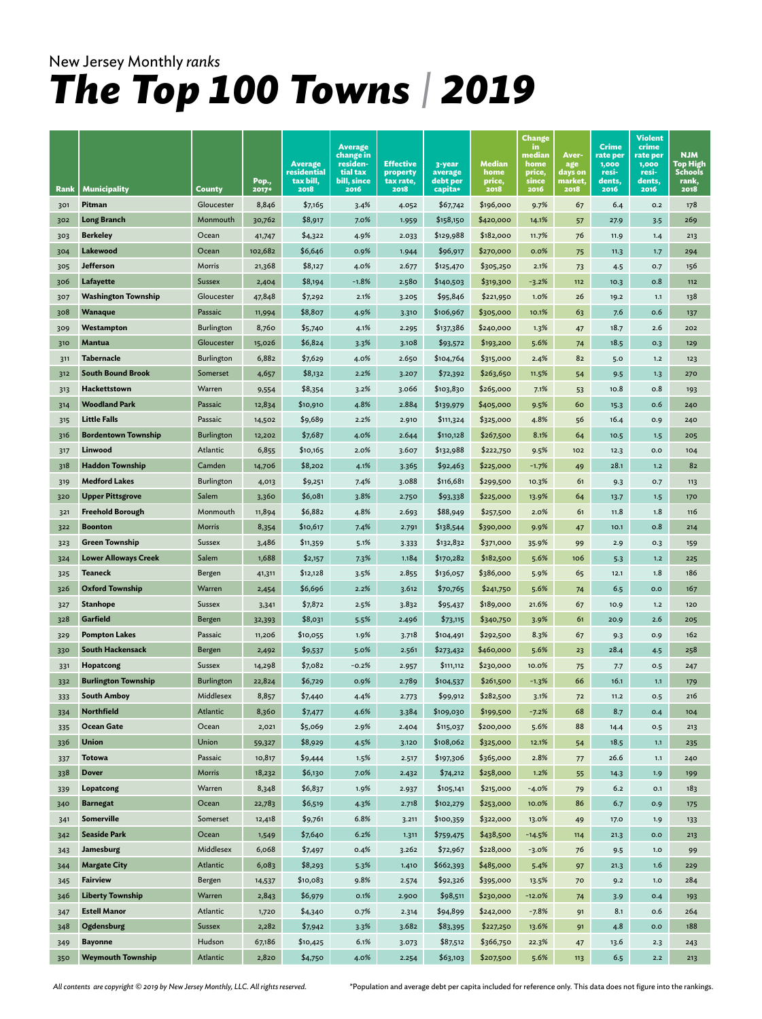|      |                             |                   | Pop.,   | <b>Average</b><br>residential<br>tax bill, | <b>Average</b><br>change in<br>residen-<br>tial tax<br>bill, since | <b>Effective</b><br>property<br>tax rate, | 3-year<br>average<br>debt per | Median<br>home<br>price, | <b>Change</b><br>in.<br>median<br>home<br>price,<br>since | Aver-<br>age<br>days on<br>market | Crime<br>rate per<br>1,000<br>resi-<br>dents, | Violent<br>crime<br>rate per<br>1,000<br>resi-<br>dents, | <b>NJM</b><br>Top High<br><b>Schools</b><br>rank, |
|------|-----------------------------|-------------------|---------|--------------------------------------------|--------------------------------------------------------------------|-------------------------------------------|-------------------------------|--------------------------|-----------------------------------------------------------|-----------------------------------|-----------------------------------------------|----------------------------------------------------------|---------------------------------------------------|
| Rank | <b>Municipality</b>         | <b>County</b>     | 2017*   | 2018                                       | 2016                                                               | 2018                                      | capita*                       | 2018                     | 2016                                                      | 2018                              | 2016                                          | 2016                                                     | 2018                                              |
| 301  | Pitman                      | Gloucester        | 8,846   | \$7,165                                    | 3.4%                                                               | 4.052                                     | \$67,742                      | \$196,000                | 9.7%                                                      | 67                                | 6.4                                           | O.2                                                      | 178                                               |
| 302  | <b>Long Branch</b>          | Monmouth          | 30,762  | \$8,917                                    | 7.0%                                                               | 1.959                                     | \$158,150                     | \$420,000                | 14.1%                                                     | 57                                | 27.9                                          | 3.5                                                      | 269                                               |
| 303  | <b>Berkeley</b>             | Ocean             | 41,747  | \$4,322                                    | 4.9%                                                               | 2.033                                     | \$129,988                     | \$182,000                | 11.7%                                                     | 76                                | 11.9                                          | 1.4                                                      | 213                                               |
| 304  | Lakewood                    | Ocean             | 102,682 | \$6,646                                    | 0.9%                                                               | 1.944                                     | \$96,917                      | \$270,000                | 0.0%                                                      | 75                                | 11.3                                          | 1.7                                                      | 294                                               |
| 305  | <b>Jefferson</b>            | Morris            | 21,368  | \$8,127                                    | 4.0%                                                               | 2.677                                     | \$125,470                     | \$305,250                | 2.1%                                                      | 73                                | 4.5                                           | 0.7                                                      | 156                                               |
| 306  | Lafayette                   | <b>Sussex</b>     | 2,404   | \$8,194                                    | $-1.8%$                                                            | 2.580                                     | \$140,503                     | \$319,300                | $-3.2%$                                                   | 112                               | 10.3                                          | 0.8                                                      | 112                                               |
| 307  | <b>Washington Township</b>  | Gloucester        | 47,848  | \$7,292                                    | 2.1%                                                               | 3.205                                     | \$95,846                      | \$221,950                | 1.0%                                                      | 26                                | 19.2                                          | 1.1                                                      | 138                                               |
| 308  | <b>Wanaque</b>              | Passaic           | 11,994  | \$8,807                                    | 4.9%                                                               | 3.310                                     | \$106,967                     | \$305,000                | 10.1%                                                     | 63                                | 7.6                                           | 0.6                                                      | 137                                               |
| 309  | Westampton                  | <b>Burlington</b> | 8,760   | \$5,740                                    | 4.1%                                                               | 2.295                                     | \$137,386                     | \$240,000                | 1.3%                                                      | 47                                | 18.7                                          | 2.6                                                      | 202                                               |
| 310  | Mantua                      | Gloucester        | 15,026  | \$6,824                                    | 3.3%                                                               | 3.108                                     | \$93,572                      | \$193,200                | 5.6%                                                      | 74                                | 18.5                                          | 0.3                                                      | 129                                               |
| 311  | Tabernacle                  | <b>Burlington</b> | 6,882   | \$7,629                                    | 4.0%                                                               | 2.650                                     | \$104,764                     | \$315,000                | 2.4%                                                      | 82                                | 5.0                                           | 1.2                                                      | 123                                               |
| 312  | <b>South Bound Brook</b>    | Somerset          | 4,657   | \$8,132                                    | 2.2%                                                               | 3.207                                     | \$72,392                      | \$263,650                | 11.5%                                                     | 54                                | 9.5                                           | 1.3                                                      | 270                                               |
| 313  | Hackettstown                | Warren            | 9,554   | \$8,354                                    | 3.2%                                                               | 3.066                                     | \$103,830                     | \$265,000                | 7.1%                                                      | 53                                | 10.8                                          | 0.8                                                      | 193                                               |
| 314  | <b>Woodland Park</b>        | Passaic           | 12,834  | \$10,910                                   | 4.8%                                                               | 2.884                                     | \$139,979                     | \$405,000                | 9.5%                                                      | 60                                | 15.3                                          | 0.6                                                      | 240                                               |
| 315  | <b>Little Falls</b>         | Passaic           | 14,502  | \$9,689                                    | 2.2%                                                               | 2.910                                     | \$111,324                     | \$325,000                | 4.8%                                                      | 56                                | 16.4                                          | 0.9                                                      | 240                                               |
| 316  | <b>Bordentown Township</b>  | <b>Burlington</b> | 12,202  | \$7,687                                    | 4.0%                                                               | 2.644                                     | \$110,128                     | \$267,500                | 8.1%                                                      | 64                                | 10.5                                          | 1.5                                                      | 205                                               |
| 317  | Linwood                     | Atlantic          | 6,855   | \$10,165                                   | 2.0%                                                               | 3.607                                     | \$132,988                     | \$222,750                | 9.5%                                                      | 102                               | 12.3                                          | 0.0                                                      | 104                                               |
| 318  | <b>Haddon Township</b>      | Camden            | 14,706  | \$8,202                                    | 4.1%                                                               | 3.365                                     | \$92,463                      | \$225,000                | $-1.7%$                                                   | 49                                | 28.1                                          | 1.2                                                      | 82                                                |
| 319  | <b>Medford Lakes</b>        | <b>Burlington</b> | 4,013   | \$9,251                                    | 7.4%                                                               | 3.088                                     | \$116,681                     | \$299,500                | 10.3%                                                     | 61                                | 9.3                                           | O.7                                                      | 113                                               |
| 320  | <b>Upper Pittsgrove</b>     | Salem             | 3,360   | \$6,081                                    | 3.8%                                                               | 2.750                                     | \$93,338                      | \$225,000                | 13.9%                                                     | 64                                | 13.7                                          | 1.5                                                      | 170                                               |
| 321  | <b>Freehold Borough</b>     | Monmouth          | 11,894  | \$6,882                                    | 4.8%                                                               | 2.693                                     | \$88,949                      | \$257,500                | 2.0%                                                      | 61                                | 11.8                                          | 1.8                                                      | 116                                               |
| 322  | <b>Boonton</b>              | Morris            | 8,354   | \$10,617                                   | 7.4%                                                               | 2.791                                     | \$138,544                     | \$390,000                | 9.9%                                                      | 47                                | 10.1                                          | 0.8                                                      | 214                                               |
| 323  | <b>Green Township</b>       | Sussex            | 3,486   | \$11,359                                   | 5.1%                                                               | 3.333                                     | \$132,832                     | \$371,000                | 35.9%                                                     | 99                                | 2.9                                           | 0.3                                                      | 159                                               |
| 324  | <b>Lower Alloways Creek</b> | Salem             | 1,688   | \$2,157                                    | 7.3%                                                               | 1.184                                     | \$170,282                     | \$182,500                | 5.6%                                                      | 106                               | 5.3                                           | 1.2                                                      | 225                                               |
| 325  | <b>Teaneck</b>              | Bergen            | 41,311  | \$12,128                                   | 3.5%                                                               | 2.855                                     | \$136,057                     | \$386,000                | 5.9%                                                      | 65                                | 12.1                                          | 1.8                                                      | 186                                               |
| 326  | <b>Oxford Township</b>      | Warren            | 2,454   | \$6,696                                    | 2.2%                                                               | 3.612                                     | \$70,765                      | \$241,750                | 5.6%                                                      | 74                                | 6.5                                           | 0.0                                                      | 167                                               |
| 327  | <b>Stanhope</b>             | Sussex            | 3,341   | \$7,872                                    | 2.5%                                                               | 3.832                                     | \$95,437                      | \$189,000                | 21.6%                                                     | 67                                | 10.9                                          | 1.2                                                      | 120                                               |
| 328  | Garfield                    | Bergen            | 32,393  | \$8,031                                    | 5.5%                                                               | 2.496                                     | \$73,115                      | \$340,750                | 3.9%                                                      | 61                                | 20.9                                          | 2.6                                                      | 205                                               |
| 329  | <b>Pompton Lakes</b>        | Passaic           | 11,206  | \$10,055                                   | 1.9%                                                               | 3.718                                     | \$104,491                     | \$292,500                | 8.3%                                                      | 67                                | 9.3                                           | 0.9                                                      | 162                                               |
| 330  | <b>South Hackensack</b>     | Bergen            | 2,492   | \$9,537                                    | 5.0%                                                               | 2.561                                     | \$273,432                     | \$460,000                | 5.6%                                                      | 23                                | 28.4                                          | 4.5                                                      | 258                                               |
| 331  | Hopatcong                   | Sussex            | 14,298  | \$7,082                                    | $-0.2%$                                                            | 2.957                                     | \$111,112                     | \$230,000                | 10.0%                                                     | 75                                | 7.7                                           | O.5                                                      | 247                                               |
| 332  | <b>Burlington Township</b>  | <b>Burlington</b> | 22,824  | \$6,729                                    | 0.9%                                                               | 2.789                                     | \$104,537                     | \$261,500                | $-1.3%$                                                   | 66                                | 16.1                                          | 1.1                                                      | 179                                               |
| 333  | <b>South Amboy</b>          | Middlesex         | 8,857   | \$7,440                                    | 4.4%                                                               | 2.773                                     | \$99,912                      | \$282,500                | 3.1%                                                      | 72                                | 11.2                                          | 0.5                                                      | 216                                               |
| 334  | <b>Northfield</b>           | Atlantic          | 8,360   | \$7,477                                    | 4.6%                                                               | 3.384                                     | \$109,030                     | \$199,500                | $-7.2%$                                                   | 68                                | 8.7                                           | O.4                                                      | 104                                               |
| 335  | Ocean Gate                  | Ocean             | 2,021   | \$5,069                                    | 2.9%                                                               | 2.404                                     | \$115,037                     | \$200,000                | 5.6%                                                      | 88                                | 14.4                                          | 0.5                                                      | 213                                               |
| 336  | <b>Union</b>                | Union             | 59,327  | \$8,929                                    | 4.5%                                                               | 3.120                                     | \$108,062                     | \$325,000                | 12.1%                                                     | 54                                | 18.5                                          | 1.1                                                      | 235                                               |
| 337  | <b>Totowa</b>               | Passaic           | 10,817  | \$9,444                                    | 1.5%                                                               | 2.517                                     | \$197,306                     | \$365,000                | 2.8%                                                      | 77                                | 26.6                                          | $1.1$                                                    | 240                                               |
| 338  | <b>Dover</b>                | Morris            | 18,232  | \$6,130                                    | 7.0%                                                               | 2.432                                     | \$74,212                      | \$258,000                | 1.2%                                                      | 55                                | 14.3                                          | 1.9                                                      | 199                                               |
| 339  | Lopatcong                   | Warren            | 8,348   | \$6,837                                    | 1.9%                                                               | 2.937                                     | \$105,141                     | \$215,000                | $-4.0%$                                                   | 79                                | $6.2$                                         | O.1                                                      | 183                                               |
| 340  | <b>Barnegat</b>             | Ocean             | 22,783  | \$6,519                                    | 4.3%                                                               | 2.718                                     | \$102,279                     | \$253,000                | 10.0%                                                     | 86                                | 6.7                                           | 0.9                                                      | 175                                               |
| 341  | Somerville                  | Somerset          | 12,418  | \$9,761                                    | 6.8%                                                               | 3.211                                     | \$100,359                     | \$322,000                | 13.0%                                                     | 49                                | 17.0                                          | 1.9                                                      | 133                                               |
| 342  | <b>Seaside Park</b>         | Ocean             | 1,549   | \$7,640                                    | 6.2%                                                               | 1.311                                     | \$759,475                     | \$438,500                | $-14.5%$                                                  | 114                               | 21.3                                          | 0.0                                                      | 213                                               |
| 343  | Jamesburg                   | Middlesex         | 6,068   | \$7,497                                    | 0.4%                                                               | 3.262                                     | \$72,967                      | \$228,000                | $-3.0%$                                                   | 76                                | 9.5                                           | 1.0                                                      | 99                                                |
| 344  | <b>Margate City</b>         | Atlantic          | 6,083   | \$8,293                                    | 5.3%                                                               | 1.410                                     | \$662,393                     | \$485,000                | 5.4%                                                      | 97                                | 21.3                                          | 1.6                                                      | 229                                               |
| 345  | <b>Fairview</b>             | Bergen            | 14,537  | \$10,083                                   | 9.8%                                                               | 2.574                                     | \$92,326                      | \$395,000                | 13.5%                                                     | 70                                | 9.2                                           | $1.0$                                                    | 284                                               |
| 346  | <b>Liberty Township</b>     | Warren            | 2,843   | \$6,979                                    | 0.1%                                                               | 2.900                                     | \$98,511                      | \$230,000                | $-12.0%$                                                  | 74                                | 3.9                                           | 0.4                                                      | 193                                               |
| 347  | <b>Estell Manor</b>         | Atlantic          | 1,720   | \$4,340                                    | 0.7%                                                               | 2.314                                     | \$94,899                      | \$242,000                | $-7.8%$                                                   | 91                                | 8.1                                           | 0.6                                                      | 264                                               |
| 348  | Ogdensburg                  | Sussex            | 2,282   | \$7,942                                    | 3.3%                                                               | 3.682                                     | \$83,395                      | \$227,250                | 13.6%                                                     | 91                                | 4.8                                           | O.O                                                      | 188                                               |
| 349  | <b>Bayonne</b>              | Hudson            | 67,186  | \$10,425                                   | 6.1%                                                               | 3.073                                     | \$87,512                      | \$366,750                | 22.3%                                                     | 47                                | 13.6                                          | 2.3                                                      | 243                                               |
| 350  | <b>Weymouth Township</b>    | Atlantic          | 2,820   | \$4,750                                    | 4.0%                                                               | 2.254                                     | \$63,103                      | \$207,500                | 5.6%                                                      | 113                               | 6.5                                           | $2.2$                                                    | 213                                               |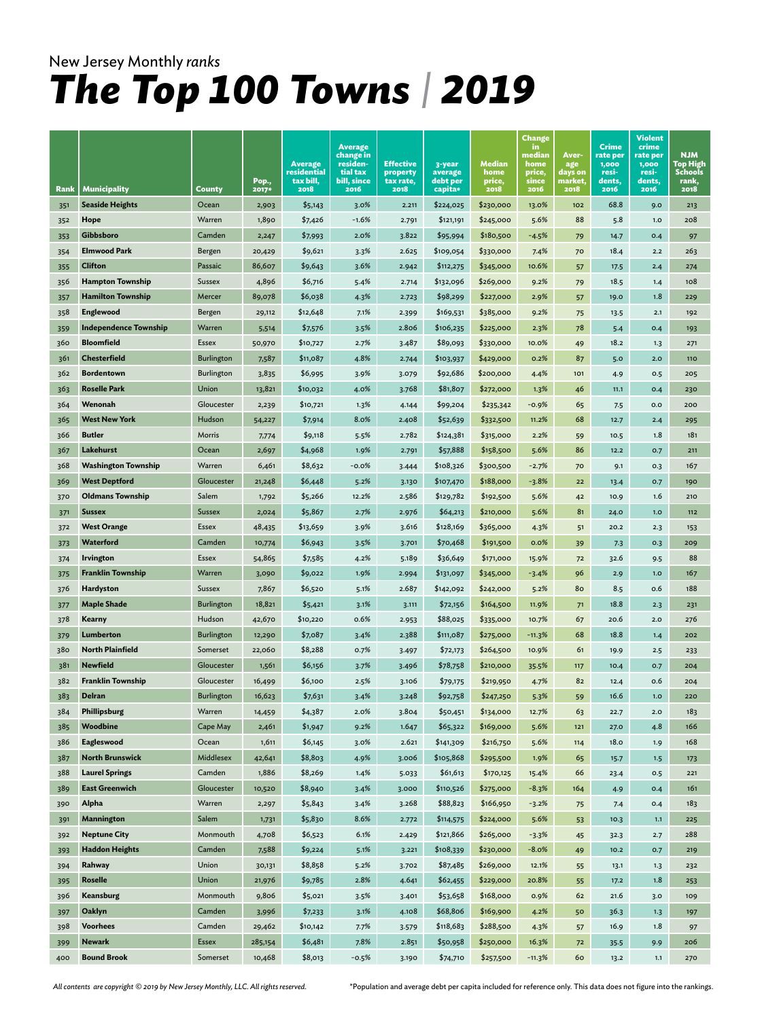| Rank       | <b>Municipality</b>          | County            | Pop.,<br>2017*  | <b>Average</b><br>residential<br>tax bill,<br>2018 | <b>Average</b><br>change in<br>residen-<br>tial tax<br>bill, since<br>2016 | <b>Effective</b><br>property<br>tax rate,<br>2018 | 3-year<br>average<br>debt per<br>capita* | Median<br>home<br>price,<br>2018 | Change<br>in.<br>median<br>home<br>price,<br>since<br>2016 | Aver-<br>age<br>days on<br>market,<br>2018 | Crime<br>rate per<br>1,000<br>resi-<br>dents,<br>2016 | Violent<br>crime<br>rate per<br>1,000<br>resi-<br>dents,<br>2016 | <b>NJM</b><br>Top High<br><b>Schools</b><br>rank,<br>2018 |
|------------|------------------------------|-------------------|-----------------|----------------------------------------------------|----------------------------------------------------------------------------|---------------------------------------------------|------------------------------------------|----------------------------------|------------------------------------------------------------|--------------------------------------------|-------------------------------------------------------|------------------------------------------------------------------|-----------------------------------------------------------|
| 351        | <b>Seaside Heights</b>       | Ocean             | 2,903           | \$5,143                                            | 3.0%                                                                       | 2.211                                             | \$224,025                                | \$230,000                        | 13.0%                                                      | 102                                        | 68.8                                                  | 9.0                                                              | 213                                                       |
| 352        | Hope                         | Warren            | 1,890           | \$7,426                                            | $-1.6%$                                                                    | 2.791                                             | \$121,191                                | \$245,000                        | 5.6%                                                       | 88                                         | 5.8                                                   | 1.0                                                              | 208                                                       |
|            | Gibbsboro                    | Camden            |                 |                                                    | 2.0%                                                                       | 3.822                                             |                                          | \$180,500                        |                                                            |                                            |                                                       | O.4                                                              |                                                           |
| 353<br>354 | <b>Elmwood Park</b>          | Bergen            | 2,247<br>20,429 | \$7,993<br>\$9,621                                 | 3.3%                                                                       | 2.625                                             | \$95,994<br>\$109,054                    | \$330,000                        | -4.5%<br>7.4%                                              | 79<br>70                                   | 14.7<br>18.4                                          | 2.2                                                              | 97<br>263                                                 |
| 355        | <b>Clifton</b>               | Passaic           | 86,607          | \$9,643                                            | 3.6%                                                                       | 2.942                                             | \$112,275                                | \$345,000                        | 10.6%                                                      | 57                                         | 17.5                                                  | 2.4                                                              | 274                                                       |
| 356        | <b>Hampton Township</b>      | Sussex            | 4,896           | \$6,716                                            | 5.4%                                                                       | 2.714                                             | \$132,096                                | \$269,000                        | 9.2%                                                       | 79                                         | 18.5                                                  | 1.4                                                              | 108                                                       |
| 357        | <b>Hamilton Township</b>     | Mercer            | 89,078          | \$6,038                                            | 4.3%                                                                       | 2.723                                             | \$98,299                                 | \$227,000                        | 2.9%                                                       | 57                                         | 19.0                                                  | 1.8                                                              | 229                                                       |
| 358        | <b>Englewood</b>             | Bergen            | 29,112          | \$12,648                                           | 7.1%                                                                       | 2.399                                             | \$169,531                                | \$385,000                        | 9.2%                                                       | 75                                         | 13.5                                                  | 2.1                                                              | 192                                                       |
| 359        | <b>Independence Township</b> | Warren            | 5,514           | \$7,576                                            | 3.5%                                                                       | 2.806                                             | \$106,235                                | \$225,000                        | 2.3%                                                       | 78                                         | 5.4                                                   | 0.4                                                              | 193                                                       |
| 360        | <b>Bloomfield</b>            | Essex             | 50,970          | \$10,727                                           | 2.7%                                                                       | 3.487                                             | \$89,093                                 | \$330,000                        | 10.0%                                                      | 49                                         | 18.2                                                  | 1.3                                                              | 271                                                       |
| 361        | Chesterfield                 | <b>Burlington</b> | 7,587           | \$11,087                                           | 4.8%                                                                       | 2.744                                             | \$103,937                                | \$429,000                        | 0.2%                                                       | 87                                         | 5.0                                                   | 2.0                                                              | 110                                                       |
| 362        | <b>Bordentown</b>            | <b>Burlington</b> | 3,835           | \$6,995                                            | 3.9%                                                                       | 3.079                                             | \$92,686                                 | \$200,000                        | 4.4%                                                       | 101                                        | 4.9                                                   | 0.5                                                              | 205                                                       |
| 363        | <b>Roselle Park</b>          | Union             | 13,821          | \$10,032                                           | 4.0%                                                                       | 3.768                                             | \$81,807                                 | \$272,000                        | 1.3%                                                       | 46                                         | 11.1                                                  | 0.4                                                              | 230                                                       |
| 364        | Wenonah                      | Gloucester        | 2,239           | \$10,721                                           | 1.3%                                                                       | 4.144                                             | \$99,204                                 | \$235,342                        | $-0.9%$                                                    | 65                                         | 7.5                                                   | 0.0                                                              | 200                                                       |
| 365        | <b>West New York</b>         | Hudson            | 54,227          | \$7,914                                            | 8.0%                                                                       | 2.408                                             | \$52,639                                 | \$332,500                        | 11.2%                                                      | 68                                         | 12.7                                                  | 2.4                                                              | 295                                                       |
| 366        | <b>Butler</b>                | Morris            | 7,774           | \$9,118                                            | 5.5%                                                                       | 2.782                                             | \$124,381                                | \$315,000                        | 2.2%                                                       | 59                                         | 10.5                                                  | 1.8                                                              | 181                                                       |
| 367        | Lakehurst                    | Ocean             | 2,697           | \$4,968                                            | 1.9%                                                                       | 2.791                                             | \$57,888                                 | \$158,500                        | 5.6%                                                       | 86                                         | 12.2                                                  | 0.7                                                              | 211                                                       |
| 368        | <b>Washington Township</b>   | Warren            | 6,461           | \$8,632                                            | -0.0%                                                                      | 3.444                                             | \$108,326                                | \$300,500                        | $-2.7%$                                                    | 70                                         | 9.1                                                   | O.3                                                              | 167                                                       |
| 369        | <b>West Deptford</b>         | Gloucester        | 21,248          | \$6,448                                            | 5.2%                                                                       | 3.130                                             | \$107,470                                | \$188,000                        | $-3.8%$                                                    | 22                                         | 13.4                                                  | O.7                                                              | 190                                                       |
| 370        | <b>Oldmans Township</b>      | Salem             | 1,792           | \$5,266                                            | 12.2%                                                                      | 2.586                                             | \$129,782                                | \$192,500                        | 5.6%                                                       | 42                                         | 10.9                                                  | 1.6                                                              | 210                                                       |
| 371        | <b>Sussex</b>                | <b>Sussex</b>     | 2,024           | \$5,867                                            | 2.7%                                                                       | 2.976                                             | \$64,213                                 | \$210,000                        | 5.6%                                                       | 81                                         | 24.0                                                  | 1.0                                                              | 112                                                       |
| 372        | <b>West Orange</b>           | Essex             | 48,435          | \$13,659                                           | 3.9%                                                                       | 3.616                                             | \$128,169                                | \$365,000                        | 4.3%                                                       | 51                                         | 20.2                                                  | 2.3                                                              | 153                                                       |
| 373        | Waterford                    | Camden            | 10,774          | \$6,943                                            | 3.5%                                                                       | 3.701                                             | \$70,468                                 | \$191,500                        | 0.0%                                                       | 39                                         | 7.3                                                   | 0.3                                                              | 209                                                       |
| 374        | <b>Irvington</b>             | Essex             | 54,865          | \$7,585                                            | 4.2%                                                                       | 5.189                                             | \$36,649                                 | \$171,000                        | 15.9%                                                      | 72                                         | 32.6                                                  | 9.5                                                              | 88                                                        |
| 375        | <b>Franklin Township</b>     | Warren            | 3,090           | \$9,022                                            | 1.9%                                                                       | 2.994                                             | \$131,097                                | \$345,000                        | -3.4%                                                      | 96                                         | 2.9                                                   | 1.0                                                              | 167                                                       |
| 376        | Hardyston                    | Sussex            | 7,867           | \$6,520                                            | 5.1%                                                                       | 2.687                                             | \$142,092                                | \$242,000                        | 5.2%                                                       | 80                                         | 8.5                                                   | 0.6                                                              | 188                                                       |
| 377        | <b>Maple Shade</b>           | Burlington        | 18,821          | \$5,421                                            | 3.1%                                                                       | 3.111                                             | \$72,156                                 | \$164,500                        | 11.9%                                                      | 71                                         | 18.8                                                  | 2.3                                                              | 231                                                       |
| 378        | Kearny                       | Hudson            | 42,670          | \$10,220                                           | 0.6%                                                                       | 2.953                                             | \$88,025                                 | \$335,000                        | 10.7%                                                      | 67                                         | 20.6                                                  | 2.0                                                              | 276                                                       |
| 379        | Lumberton                    | Burlington        | 12,290          | \$7,087                                            | 3.4%                                                                       | 2.388                                             | \$111,087                                | \$275,000                        | $-11.3%$                                                   | 68                                         | 18.8                                                  | 1.4                                                              | 202                                                       |
| 380        | <b>North Plainfield</b>      | Somerset          | 22,060          | \$8,288                                            | 0.7%                                                                       | 3.497                                             | \$72,173                                 | \$264,500                        | 10.9%                                                      | 61                                         | 19.9                                                  | 2.5                                                              | 233                                                       |
| 381        | <b>Newfield</b>              | Gloucester        | 1,561           | \$6,156                                            | 3.7%                                                                       | 3.496                                             | \$78,758                                 | \$210,000                        | 35.5%                                                      | 117                                        | 10.4                                                  | 0.7                                                              | 204                                                       |
| 382        | <b>Franklin Township</b>     | Gloucester        | 16,499          | \$6,100                                            | 2.5%                                                                       | 3.106                                             | \$79,175                                 | \$219,950                        | 4.7%                                                       | 82                                         | 12.4                                                  | 0.6                                                              | 204                                                       |
| 383        | <b>Delran</b>                | <b>Burlington</b> | 16,623          | \$7,631                                            | 3.4%                                                                       | 3.248                                             | \$92,758                                 | \$247,250                        | 5.3%                                                       | 59                                         | 16.6                                                  | 1.0                                                              | 220                                                       |
| 384        | Phillipsburg                 | Warren            | 14,459          | \$4,387                                            | 2.0%                                                                       | 3.804                                             | \$50,451                                 | \$134,000                        | 12.7%                                                      | 63                                         | 22.7                                                  | 2.0                                                              | 183                                                       |
| 385        | Woodbine                     | Cape May          | 2,461           | \$1,947                                            | 9.2%                                                                       | 1.647                                             | \$65,322                                 | \$169,000                        | 5.6%                                                       | 121                                        | 27.0                                                  | 4.8                                                              | 166                                                       |
| 386        | Eagleswood                   | Ocean             | 1,611           | \$6,145                                            | 3.0%                                                                       | 2.621                                             | \$141,309                                | \$216,750                        | 5.6%                                                       | 114                                        | 18.0                                                  | 1.9                                                              | 168                                                       |
| 387        | <b>North Brunswick</b>       | Middlesex         | 42,641          | \$8,803                                            | 4.9%                                                                       | 3.006                                             | \$105,868                                | \$295,500                        | 1.9%                                                       | 65                                         | 15.7                                                  | $1.5$                                                            | 173                                                       |
| 388        | <b>Laurel Springs</b>        | Camden            | 1,886           | \$8,269                                            | 1.4%                                                                       | 5.033                                             | \$61,613                                 | \$170,125                        | 15.4%                                                      | 66                                         | 23.4                                                  | 0.5                                                              | 221                                                       |
| 389        | <b>East Greenwich</b>        | Gloucester        | 10,520          | \$8,940                                            | 3.4%                                                                       | 3.000                                             | \$110,526                                | \$275,000                        | $-8.3%$                                                    | 164                                        | 4.9                                                   | 0.4                                                              | 161                                                       |
| 390        | Alpha                        | Warren            | 2,297           | \$5,843                                            | 3.4%                                                                       | 3.268                                             | \$88,823                                 | \$166,950                        | -3.2%                                                      | 75                                         | 7.4                                                   | 0.4                                                              | 183                                                       |
| 391        | Mannington                   | Salem             | 1,731           | \$5,830                                            | 8.6%                                                                       | 2.772                                             | \$114,575                                | \$224,000                        | 5.6%                                                       | 53                                         | 10.3                                                  | 1.1                                                              | 225                                                       |
| 392        | <b>Neptune City</b>          | Monmouth          | 4,708           | \$6,523                                            | 6.1%                                                                       | 2.429                                             | \$121,866                                | \$265,000                        | $-3.3%$                                                    | 45                                         | 32.3                                                  | 2.7                                                              | 288                                                       |
| 393        | <b>Haddon Heights</b>        | Camden            | 7,588           | \$9,224                                            | 5.1%                                                                       | 3.221                                             | \$108,339                                | \$230,000                        | $-8.0%$                                                    | 49                                         | 10.2                                                  | O.7                                                              | 219                                                       |
| 394        | Rahway                       | Union             | 30,131          | \$8,858                                            | 5.2%                                                                       | 3.702                                             | \$87,485                                 | \$269,000                        | 12.1%                                                      | 55                                         | 13.1                                                  | 1.3                                                              | 232                                                       |
| 395        | <b>Roselle</b>               | Union             | 21,976          | \$9,785                                            | 2.8%                                                                       | 4.641                                             | \$62,455                                 | \$229,000                        | 20.8%                                                      | 55                                         | 17.2                                                  | 1.8                                                              | 253                                                       |
| 396        | Keansburg                    | Monmouth          | 9,806           | \$5,021                                            | 3.5%                                                                       | 3.401                                             | \$53,658                                 | \$168,000                        | 0.9%                                                       | 62                                         | 21.6                                                  | 3.0                                                              | 109                                                       |
| 397        | Oaklyn                       | Camden            | 3,996           | \$7,233                                            | 3.1%                                                                       | 4.108                                             | \$68,806                                 | \$169,900                        | 4.2%                                                       | 50                                         | 36.3                                                  | 1.3                                                              | 197                                                       |
| 398        | <b>Voorhees</b>              | Camden            | 29,462          | \$10,142                                           | 7.7%                                                                       | 3.579                                             | \$118,683                                | \$288,500                        | 4.3%                                                       | 57                                         | 16.9                                                  | 1.8                                                              | 97                                                        |
| 399        | <b>Newark</b>                | Essex             | 285,154         | \$6,481                                            | 7.8%                                                                       | 2.851                                             | \$50,958                                 | \$250,000                        | 16.3%                                                      | 72                                         | 35.5                                                  | 9.9                                                              | 206                                                       |
| 400        | <b>Bound Brook</b>           | Somerset          | 10,468          | \$8,013                                            | $-0.5%$                                                                    | 3.190                                             | \$74,710                                 | \$257,500                        | $-11.3%$                                                   | 60                                         | 13.2                                                  | $1.1$                                                            | 270                                                       |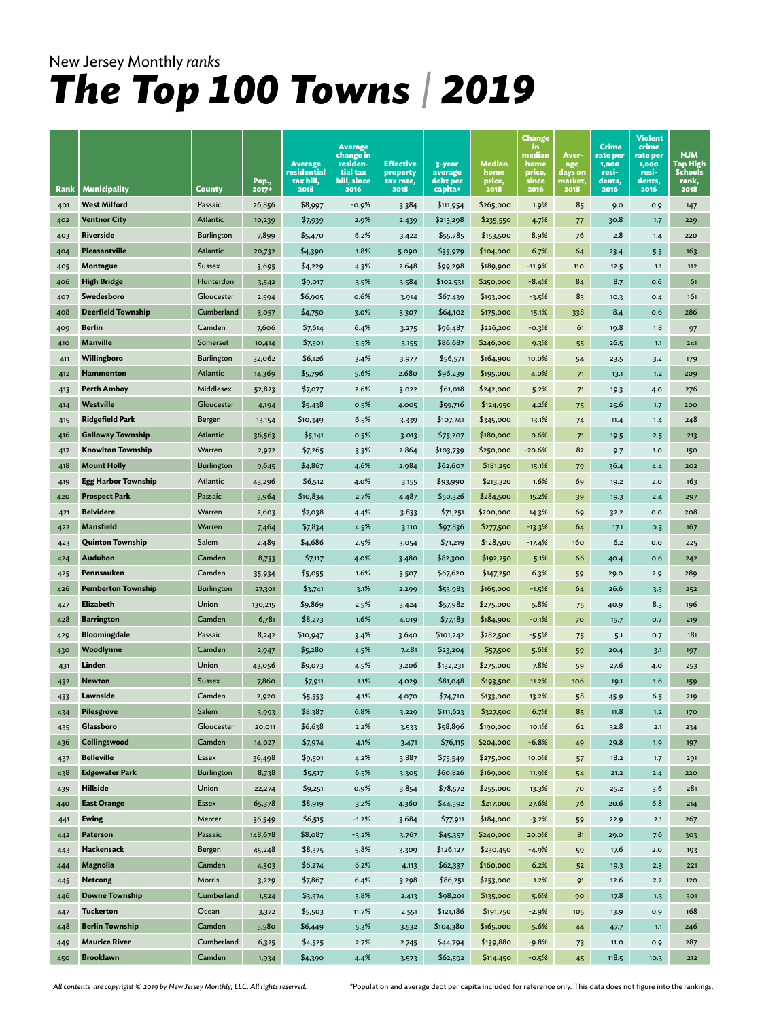|            |                                             |                   | Pop.,            | <b>Average</b><br>residential<br>tax bill, | <b>Average</b><br>change in<br>residen-<br>tial tax<br>bill, since | <b>Effective</b><br>property<br>tax rate, | 3-year<br>average<br>debt per | Median<br>home<br>price, | <b>Change</b><br>in.<br>median<br>home<br>price,<br>since | Aver-<br>age<br>days on<br>market, | Crime<br>rate per<br>1,000<br>resi-<br>dents, | Violent<br>crime<br>rate per<br>1,000<br>resi-<br>dents, | <b>NJM</b><br>Top High<br><b>Schools</b><br>rank, |
|------------|---------------------------------------------|-------------------|------------------|--------------------------------------------|--------------------------------------------------------------------|-------------------------------------------|-------------------------------|--------------------------|-----------------------------------------------------------|------------------------------------|-----------------------------------------------|----------------------------------------------------------|---------------------------------------------------|
| Rank       | <b>Municipality</b>                         | County            | 2017*            | 2018                                       | 2016                                                               | 2018                                      | capita*                       | 2018                     | 2016                                                      | 2018                               | 2016                                          | 2016                                                     | 2018                                              |
| 401        | <b>West Milford</b>                         | Passaic           | 26,856           | \$8,997                                    | $-0.9%$                                                            | 3.384                                     | \$111,954                     | \$265,000                | 1.9%                                                      | 85                                 | 9.0                                           | 0.9                                                      | 147                                               |
| 402        | <b>Ventnor City</b>                         | Atlantic          | 10,239           | \$7,939                                    | 2.9%                                                               | 2.439                                     | \$213,298                     | \$235,550                | 4.7%                                                      | 77                                 | 30.8                                          | 1.7                                                      | 229                                               |
| 403        | Riverside                                   | <b>Burlington</b> | 7,899            | \$5,470                                    | 6.2%                                                               | 3.422                                     | \$55,785                      | \$153,500                | 8.9%                                                      | 76                                 | 2.8                                           | 1.4                                                      | 220                                               |
| 404        | Pleasantville                               | Atlantic          | 20,732           | \$4,390                                    | 1.8%                                                               | 5.090                                     | \$35,979                      | \$104,000                | 6.7%                                                      | 64                                 | 23.4                                          | 5.5                                                      | 163                                               |
| 405        | Montague                                    | Sussex            | 3,695            | \$4,229                                    | 4.3%                                                               | 2.648                                     | \$99,298                      | \$189,900                | $-11.9%$                                                  | 110                                | 12.5                                          | 1.1                                                      | 112                                               |
| 406        | <b>High Bridge</b>                          | Hunterdon         | 3,542            | \$9,017                                    | 3.5%                                                               | 3.584                                     | \$102,531                     | \$250,000                | $-8.4%$                                                   | 84                                 | 8.7                                           | 0.6                                                      | 61                                                |
| 407        | Swedesboro                                  | Gloucester        | 2,594            | \$6,905                                    | 0.6%                                                               | 3.914                                     | \$67,439                      | \$193,000                | $-3.5%$                                                   | 83                                 | 10.3                                          | 0.4                                                      | 161                                               |
| 408        | <b>Deerfield Township</b>                   | Cumberland        | 3,057            | \$4,750                                    | 3.0%                                                               | 3.307                                     | \$64,102                      | \$175,000                | 15.1%                                                     | 338                                | 8.4                                           | 0.6                                                      | 286                                               |
| 409        | <b>Berlin</b>                               | Camden            | 7,606            | \$7,614                                    | 6.4%                                                               | 3.275                                     | \$96,487                      | \$226,200                | -0.3%                                                     | 61                                 | 19.8                                          | 1.8                                                      | 97                                                |
| 410        | <b>Manville</b>                             | Somerset          | 10,414           | \$7,501                                    | 5.5%                                                               | 3.155                                     | \$86,687                      | \$246,000                | 9.3%                                                      | 55                                 | 26.5                                          | 1.1                                                      | 241                                               |
| 411        | Willingboro                                 | Burlington        | 32,062           | \$6,126                                    | 3.4%                                                               | 3.977                                     | \$56,571                      | \$164,900                | 10.0%                                                     | 54                                 | 23.5                                          | 3.2                                                      | 179                                               |
| 412        | <b>Hammonton</b>                            | Atlantic          | 14,369           | \$5,796                                    | 5.6%                                                               | 2.680                                     | \$96,239                      | \$195,000                | 4.0%                                                      | 71                                 | 13.1                                          | $1.2$                                                    | 209                                               |
| 413        | <b>Perth Amboy</b>                          | Middlesex         | 52,823           | \$7,077                                    | 2.6%                                                               | 3.022                                     | \$61,018                      | \$242,000                | 5.2%                                                      | 71                                 | 19.3                                          | 4.0                                                      | 276                                               |
| 414        | Westville                                   | Gloucester        | 4,194            | \$5,438                                    | 0.5%                                                               | 4.005                                     | \$59,716                      | \$124,950                | 4.2%                                                      | 75                                 | 25.6                                          | 1.7                                                      | 200                                               |
| 415        | <b>Ridgefield Park</b>                      | Bergen            | 13,154           | \$10,349                                   | 6.5%                                                               | 3.339                                     | \$107,741                     | \$345,000                | 13.1%                                                     | 74                                 | 11.4                                          | 1.4                                                      | 248                                               |
| 416        | <b>Galloway Township</b>                    | Atlantic          | 36,563           | \$5,141                                    | 0.5%                                                               | 3.013                                     | \$75,207                      | \$180,000                | 0.6%                                                      | 71                                 | 19.5                                          | 2.5                                                      | 213                                               |
| 417        | <b>Knowlton Township</b>                    | Warren            | 2,972            | \$7,265                                    | 3.3%                                                               | 2.864                                     | \$103,739                     | \$250,000                | $-20.6%$                                                  | 82                                 | 9.7                                           | 1.0                                                      | 150                                               |
| 418        | <b>Mount Holly</b>                          | <b>Burlington</b> | 9,645            | \$4,867                                    | 4.6%                                                               | 2.984                                     | \$62,607                      | \$181,250                | 15.1%                                                     | 79                                 | 36.4                                          | 4.4                                                      | 202                                               |
| 419        | Egg Harbor Township<br><b>Prospect Park</b> | Atlantic          | 43,296           | \$6,512                                    | 4.0%                                                               | 3.155                                     | \$93,990                      | \$213,320                | 1.6%                                                      | 69                                 | 19.2                                          | 2.0                                                      | 163                                               |
| 420        | <b>Belvidere</b>                            | Passaic<br>Warren | 5,964            | \$10,834                                   | 2.7%                                                               | 4.487                                     | \$50,326                      | \$284,500<br>\$200,000   | 15.2%                                                     | 39                                 | 19.3                                          | 2.4<br>0.0                                               | 297<br>208                                        |
| 421        | <b>Mansfield</b>                            | Warren            | 2,603            | \$7,038                                    | 4.4%                                                               | 3.833<br>3.110                            | \$71,251                      |                          | 14.3%                                                     | 69                                 | 32.2                                          |                                                          | 167                                               |
| 422        | <b>Quinton Township</b>                     | Salem             | 7,464<br>2,489   | \$7,834<br>\$4,686                         | 4.5%<br>2.9%                                                       | 3.054                                     | \$97,836<br>\$71,219          | \$277,500<br>\$128,500   | $-13.3%$<br>$-17.4%$                                      | 64<br>160                          | 17.1<br>6.2                                   | 0.3<br>0.0                                               | 225                                               |
| 423<br>424 | Audubon                                     | Camden            |                  |                                            | 4.0%                                                               | 3.480                                     | \$82,300                      | \$192,250                | 5.1%                                                      | 66                                 |                                               | 0.6                                                      | 242                                               |
| 425        | Pennsauken                                  | Camden            | 8,733            | \$7,117<br>\$5,055                         | 1.6%                                                               | 3.507                                     | \$67,620                      | \$147,250                | 6.3%                                                      | 59                                 | 40.4<br>29.0                                  | 2.9                                                      | 289                                               |
| 426        | <b>Pemberton Township</b>                   | <b>Burlington</b> | 35,934<br>27,301 | \$3,741                                    | 3.1%                                                               | 2.299                                     | \$53,983                      | \$165,000                | $-1.5%$                                                   | 64                                 | 26.6                                          | 3.5                                                      | 252                                               |
| 427        | Elizabeth                                   | Union             | 130,215          | \$9,869                                    | 2.5%                                                               | 3.424                                     | \$57,982                      | \$275,000                | 5.8%                                                      | 75                                 | 40.9                                          | 8.3                                                      | 196                                               |
| 428        | <b>Barrington</b>                           | Camden            | 6,781            | \$8,273                                    | 1.6%                                                               | 4.019                                     | \$77,183                      | \$184,900                | $-0.1%$                                                   | 70                                 | 15.7                                          | O.7                                                      | 219                                               |
| 429        | <b>Bloomingdale</b>                         | Passaic           | 8,242            | \$10,947                                   | 3.4%                                                               | 3.640                                     | \$101,242                     | \$282,500                | -5.5%                                                     | 75                                 | 5.1                                           | O.7                                                      | 181                                               |
| 430        | Woodlynne                                   | Camden            | 2,947            | \$5,280                                    | 4.5%                                                               | 7.481                                     | \$23,204                      | \$57,500                 | 5.6%                                                      | 59                                 | 20.4                                          | 3.1                                                      | 197                                               |
| 431        | Linden                                      | Union             | 43,056           | \$9,073                                    | 4.5%                                                               | 3.206                                     | \$132,231                     | \$275,000                | 7.8%                                                      | 59                                 | 27.6                                          | 4.0                                                      | 253                                               |
| 432        | <b>Newton</b>                               | Sussex            | 7,860            | \$7,911                                    | 1.1%                                                               | 4.029                                     | \$81,048                      | \$193,500                | 11.2%                                                     | 106                                | 19.1                                          | 1.6                                                      | 159                                               |
| 433        | Lawnside                                    | Camden            | 2,920            | \$5,553                                    | 4.1%                                                               | 4.070                                     | \$74,710                      | \$133,000                | 13.2%                                                     | 58                                 | 45.9                                          | 6.5                                                      | 219                                               |
| 434        | <b>Pilesgrove</b>                           | Salem             | 3,993            | \$8,387                                    | 6.8%                                                               | 3.229                                     | \$111,623                     | \$327,500                | 6.7%                                                      | 85                                 | 11.8                                          | 1.2                                                      | 170                                               |
| 435        | Glassboro                                   | Gloucester        | 20,011           | \$6,638                                    | 2.2%                                                               | 3.533                                     | \$58,896                      | \$190,000                | 10.1%                                                     | 62                                 | 32.8                                          | 2.1                                                      | 234                                               |
| 436        | Collingswood                                | Camden            | 14,027           | \$7,974                                    | 4.1%                                                               | 3.471                                     | \$76,115                      | \$204,000                | $-6.8%$                                                   | 49                                 | 29.8                                          | 1.9                                                      | 197                                               |
| 437        | <b>Belleville</b>                           | Essex             | 36,498           | \$9,501                                    | 4.2%                                                               | 3.887                                     | \$75,549                      | \$275,000                | 10.0%                                                     | 57                                 | 18.2                                          | 1.7                                                      | 291                                               |
| 438        | <b>Edgewater Park</b>                       | Burlington        | 8,738            | \$5,517                                    | 6.5%                                                               | 3.305                                     | \$60,826                      | \$169,000                | 11.9%                                                     | 54                                 | 21.2                                          | 2.4                                                      | 220                                               |
| 439        | <b>Hillside</b>                             | Union             | 22,274           | \$9,251                                    | 0.9%                                                               | 3.854                                     | \$78,572                      | \$255,000                | 13.3%                                                     | 70                                 | 25.2                                          | 3.6                                                      | 281                                               |
| 440        | <b>East Orange</b>                          | Essex             | 65,378           | \$8,919                                    | 3.2%                                                               | 4.360                                     | \$44,592                      | \$217,000                | 27.6%                                                     | 76                                 | 20.6                                          | 6.8                                                      | 214                                               |
| 441        | <b>Ewing</b>                                | Mercer            | 36,549           | \$6,515                                    | $-1.2%$                                                            | 3.684                                     | \$77,911                      | \$184,000                | $-3.2%$                                                   | 59                                 | 22.9                                          | 2.1                                                      | 267                                               |
| 442        | Paterson                                    | Passaic           | 148,678          | \$8,087                                    | $-3.2%$                                                            | 3.767                                     | \$45,357                      | \$240,000                | 20.0%                                                     | 81                                 | 29.0                                          | 7.6                                                      | 303                                               |
| 443        | Hackensack                                  | Bergen            | 45,248           | \$8,375                                    | 5.8%                                                               | 3.309                                     | \$126,127                     | \$230,450                | $-4.9%$                                                   | 59                                 | 17.6                                          | $2.0$                                                    | 193                                               |
| 444        | Magnolia                                    | Camden            | 4,303            | \$6,274                                    | 6.2%                                                               | 4.113                                     | \$62,337                      | \$160,000                | 6.2%                                                      | 52                                 | 19.3                                          | 2.3                                                      | 221                                               |
| 445        | Netcong                                     | Morris            | 3,229            | \$7,867                                    | 6.4%                                                               | 3.298                                     | \$86,251                      | \$253,000                | 1.2%                                                      | 91                                 | 12.6                                          | $2.2$                                                    | 120                                               |
| 446        | <b>Downe Township</b>                       | Cumberland        | 1,524            | \$3,374                                    | 3.8%                                                               | 2.413                                     | \$98,201                      | \$135,000                | 5.6%                                                      | 90                                 | 17.8                                          | 1.3                                                      | 301                                               |
| 447        | <b>Tuckerton</b>                            | Ocean             | 3,372            | \$5,503                                    | 11.7%                                                              | 2.551                                     | \$121,186                     | \$191,750                | -2.9%                                                     | 105                                | 13.9                                          | 0.9                                                      | 168                                               |
| 448        | <b>Berlin Township</b>                      | Camden            | 5,580            | \$6,449                                    | 5.3%                                                               | 3.532                                     | \$104,380                     | \$165,000                | 5.6%                                                      | 44                                 | 47.7                                          | $1.1$                                                    | 246                                               |
| 449        | <b>Maurice River</b>                        | Cumberland        | 6,325            | \$4,525                                    | 2.7%                                                               | 2.745                                     | \$44,794                      | \$139,880                | $-9.8%$                                                   | 73                                 | 11.0                                          | 0.9                                                      | 287                                               |
| 450        | <b>Brooklawn</b>                            | Camden            | 1,934            | \$4,390                                    | 4.4%                                                               | 3.573                                     | \$62,592                      | \$114,450                | $-0.5%$                                                   | 45                                 | 118.5                                         | 10.3                                                     | 212                                               |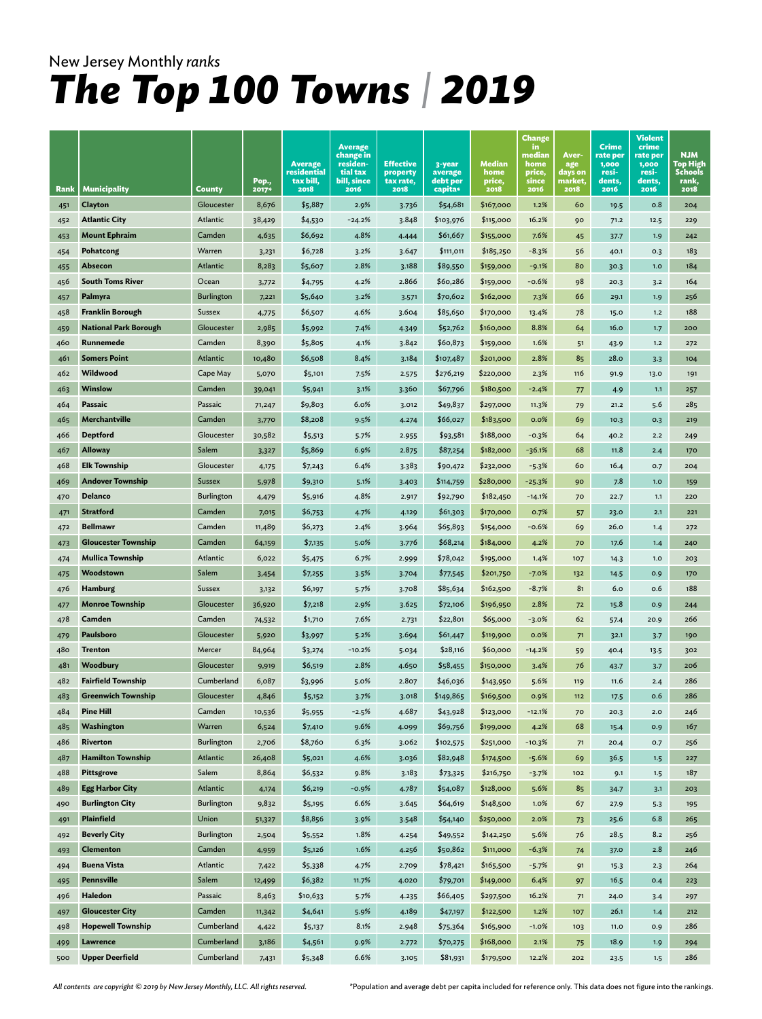| Clayton<br>Gloucester<br>8,676<br>\$5,887<br>2.9%<br>\$54,681<br>\$167,000<br>0.8<br>3.736<br>1.2%<br>60<br>19.5<br>451<br><b>Atlantic City</b><br>Atlantic<br>38,429<br>\$4,530<br>$-24.2%$<br>3.848<br>\$103,976<br>\$115,000<br>16.2%<br>90<br>452<br>71.2<br>12.5<br><b>Mount Ephraim</b><br>Camden<br>4.8%<br>7.6%<br>4,635<br>\$6,692<br>\$61,667<br>\$155,000<br>453<br>4.444<br>45<br>37.7<br>1.9<br>Warren<br>\$6,728<br>3.2%<br>Pohatcong<br>3.647<br>\$111,011<br>\$185,250<br>$-8.3%$<br>454<br>3,231<br>56<br>40.1<br>0.3<br>2.8%<br>Absecon<br>Atlantic<br>8,283<br>\$5,607<br>3.188<br>\$89,550<br>\$159,000<br>$-9.1%$<br>80<br>1.0<br>455<br>30.3<br><b>South Toms River</b><br>Ocean<br>4.2%<br>2.866<br>\$60,286<br>$-0.6%$<br>98<br>456<br>\$4,795<br>\$159,000<br>3,772<br>20.3<br>3.2<br>Palmyra<br><b>Burlington</b><br>\$5,640<br>3.2%<br>\$70,602<br>\$162,000<br>7.3%<br>66<br>7,221<br>3.571<br>29.1<br>1.9<br>457<br><b>Franklin Borough</b><br>4.6%<br>458<br>Sussex<br>\$6,507<br>3.604<br>\$85,650<br>\$170,000<br>13.4%<br>78<br>1.2<br>4,775<br>15.0<br><b>National Park Borough</b><br>Gloucester<br>7.4%<br>\$52,762<br>\$160,000<br>8.8%<br>2,985<br>\$5,992<br>4.349<br>64<br>16.0<br>1.7<br>459<br>460<br>Runnemede<br>Camden<br>8,390<br>\$5,805<br>4.1%<br>3.842<br>\$60,873<br>\$159,000<br>1.6%<br>51<br>43.9<br>1.2<br><b>Somers Point</b><br>Atlantic<br>10,480<br>8.4%<br>2.8%<br>461<br>\$6,508<br>3.184<br>\$107,487<br>\$201,000<br>85<br>28.0<br>3.3<br>Wildwood<br>462<br>Cape May<br>\$5,101<br>7.5%<br>\$276,219<br>\$220,000<br>2.3%<br>5,070<br>2.575<br>116<br>91.9<br>13.0<br>Winslow<br>Camden<br>3.1%<br>\$67,796<br>\$180,500<br>463<br>\$5,941<br>3.360<br>$-2.4%$<br>1.1<br>39,041<br>77<br>4.9<br>Passaic<br>Passaic<br>6.0%<br>464<br>\$9,803<br>\$49,837<br>\$297,000<br>11.3%<br>5.6<br>3.012<br>79<br>71,247<br>21.2<br>Merchantville<br>Camden<br>\$8,208<br>9.5%<br>\$66,027<br>\$183,500<br>465<br>4.274<br>0.0%<br>69<br>0.3<br>3,770<br>10.3<br><b>Deptford</b><br>Gloucester<br>\$188,000<br>466<br>30,582<br>\$5,513<br>5.7%<br>\$93,581<br>$-0.3%$<br>64<br>2.2<br>2.955<br>40.2<br><b>Alloway</b><br>Salem<br>6.9%<br>\$182,000<br>68<br>467<br>\$5,869<br>2.875<br>\$87,254<br>-36.1%<br>11.8<br>3,327<br>2.4<br><b>Elk Township</b><br>Gloucester<br>468<br>6.4%<br>3.383<br>\$90,472<br>\$232,000<br>$-5.3%$<br>60<br>16.4<br>4,175<br>\$7,243<br>0.7<br><b>Andover Township</b><br><b>Sussex</b><br>5.1%<br>\$280,000<br>469<br>5,978<br>\$114,759<br>-25.3%<br>7.8<br>1.0<br>\$9,310<br>3.403<br>90<br>4.8%<br>Delanco<br><b>Burlington</b><br>\$182,450<br>\$92,790<br>$-14.1%$<br>470<br>4,479<br>\$5,916<br>2.917<br>70<br>22.7<br>1.1<br><b>Stratford</b><br>Camden<br>4.7%<br>\$61,303<br>\$170,000<br>\$6,753<br>4.129<br>0.7%<br>2.1<br>471<br>7,015<br>57<br>23.0<br><b>Bellmawr</b><br>Camden<br>2.4%<br>\$65,893<br>$-0.6%$<br>11,489<br>\$6,273<br>3.964<br>\$154,000<br>69<br>26.0<br>472<br>1.4<br><b>Gloucester Township</b><br>Camden<br>5.0%<br>\$68,214<br>\$184,000<br>4.2%<br>64,159<br>\$7,135<br>3.776<br>70<br>17.6<br>1.4<br>473<br><b>Mullica Township</b><br>Atlantic<br>6.7%<br>\$78,042<br>6,022<br>\$5,475<br>2.999<br>\$195,000<br>1.4%<br>107<br>1.0<br>474<br>14.3<br>Woodstown<br>Salem<br>3.5%<br>\$7,255<br>3.704<br>\$77,545<br>\$201,750<br>-7.0%<br>O.9<br>475<br>3,454<br>132<br>14.5<br><b>Hamburg</b><br>\$162,500<br>Sussex<br>\$6,197<br>5.7%<br>3.708<br>\$85,634<br>-8.7%<br>81<br>6.0<br>0.6<br>476<br>3,132<br><b>Monroe Township</b><br>Gloucester<br>2.9%<br>3.625<br>\$72,106<br>\$196,950<br>2.8%<br>36,920<br>\$7,218<br>15.8<br>0.9<br>477<br>72<br>Camden<br>Camden<br>7.6%<br>\$22,801<br>\$65,000<br>\$1,710<br>$-3.0%$<br>62<br>478<br>74,532<br>2.731<br>57.4<br>20.9<br>Paulsboro<br>Gloucester<br>5.2%<br>3.694<br>\$61,447<br>\$119,900<br>0.0%<br>5,920<br>\$3,997<br>479<br>71<br>32.1<br>3.7<br>\$28,116<br>480<br><b>Trenton</b><br>Mercer<br>84,964<br>$-10.2%$<br>\$60,000<br>$-14.2%$<br>\$3,274<br>5.034<br>59<br>40.4<br>13.5<br>Woodbury<br>Gloucester<br>2.8%<br>4.650<br>\$58,455<br>\$150,000<br>481<br>9,919<br>\$6,519<br>3.4%<br>76<br>43.7<br>3.7<br><b>Fairfield Township</b><br>Cumberland<br>482<br>6,087<br>\$3,996<br>5.0%<br>2.807<br>\$46,036<br>\$143,950<br>5.6%<br>11.6<br>119<br>2.4<br><b>Greenwich Township</b><br>Gloucester<br>4,846<br>3.7%<br>483<br>\$5,152<br>3.018<br>\$149,865<br>\$169,500<br>0.9%<br>0.6<br>112<br>17.5<br><b>Pine Hill</b><br>$-2.5%$<br>4.687<br>484<br>Camden<br>$-12.1%$<br>10,536<br>\$5,955<br>\$43,928<br>\$123,000<br>20.3<br>2.0<br>70<br>Warren<br>Washington<br>6,524<br>\$7,410<br>9.6%<br>\$199,000<br>4.2%<br>68<br>485<br>4.099<br>\$69,756<br>15.4<br>O.9<br><b>Riverton</b><br><b>Burlington</b><br>2,706<br>\$8,760<br>6.3%<br>486<br>3.062<br>\$102,575<br>\$251,000<br>$-10.3%$<br>71<br>20.4<br>0.7<br><b>Hamilton Township</b><br>Atlantic<br>26,408<br>\$5,021<br>4.6%<br>3.036<br>\$82,948<br>\$174,500<br>$-5.6%$<br>487<br>69<br>36.5<br>1.5<br>Salem<br>9.8%<br>488<br><b>Pittsgrove</b><br>8,864<br>\$6,532<br>3.183<br>\$73,325<br>\$216,750<br>$-3.7%$<br>102<br>9.1<br>1.5<br><b>Egg Harbor City</b><br>Atlantic<br>\$6,219<br>$-0.9%$<br>4.787<br>\$54,087<br>\$128,000<br>489<br>4,174<br>5.6%<br>85<br>34.7<br>3.1<br><b>Burlington City</b><br>Burlington<br>6.6%<br>9,832<br>3.645<br>\$64,619<br>\$148,500<br>1.0%<br>490<br>\$5,195<br>67<br>27.9<br>5.3<br>Plainfield<br>Union<br>\$8,856<br>3.9%<br>6.8<br>3.548<br>\$54,140<br>\$250,000<br>2.0%<br>25.6<br>491<br>51,327<br>73<br><b>Beverly City</b><br>Burlington<br>1.8%<br>\$49,552<br>\$142,250<br>5.6%<br>76<br>28.5<br>8.2<br>2,504<br>\$5,552<br>4.254<br>492<br><b>Clementon</b><br>Camden<br>\$5,126<br>1.6%<br>\$50,862<br>\$11,000<br>$-6.3%$<br>$2.8$<br>4.256<br>4,959<br>74<br>37.0<br>493<br><b>Buena Vista</b><br>Atlantic<br>\$78,421<br>\$165,500<br>7,422<br>\$5,338<br>4.7%<br>2.709<br>$-5.7%$<br>91<br>2.3<br>494<br>15.3<br><b>Pennsville</b><br>Salem<br>\$6,382<br>11.7%<br>\$79,701<br>\$149,000<br>6.4%<br>12,499<br>4.020<br>16.5<br>0.4<br>97<br>495 | Rank | <b>Municipality</b> | County | Pop.,<br>2017* | <b>Average</b><br>residential<br>tax bill,<br>2018 | <b>Average</b><br>change in<br>residen-<br>tial tax<br>bill, since<br>2016 | <b>Effective</b><br>property<br>tax rate,<br>2018 | 3-year<br>average<br>debt per<br>capita* | Median<br>home<br>price,<br>2018 | <b>Change</b><br>in.<br>median<br>home<br>price,<br>since<br>2016 | Aver-<br>age<br>days on<br>market,<br>2018 | Crime<br>rate per<br>1,000<br>resi-<br>dents,<br>2016 | <b>Violent</b><br>crime<br>rate per<br>1,000<br>resi-<br>dents,<br>2016 | <b>NJM</b><br>Top High<br><b>Schools</b><br>rank,<br>2018 |
|----------------------------------------------------------------------------------------------------------------------------------------------------------------------------------------------------------------------------------------------------------------------------------------------------------------------------------------------------------------------------------------------------------------------------------------------------------------------------------------------------------------------------------------------------------------------------------------------------------------------------------------------------------------------------------------------------------------------------------------------------------------------------------------------------------------------------------------------------------------------------------------------------------------------------------------------------------------------------------------------------------------------------------------------------------------------------------------------------------------------------------------------------------------------------------------------------------------------------------------------------------------------------------------------------------------------------------------------------------------------------------------------------------------------------------------------------------------------------------------------------------------------------------------------------------------------------------------------------------------------------------------------------------------------------------------------------------------------------------------------------------------------------------------------------------------------------------------------------------------------------------------------------------------------------------------------------------------------------------------------------------------------------------------------------------------------------------------------------------------------------------------------------------------------------------------------------------------------------------------------------------------------------------------------------------------------------------------------------------------------------------------------------------------------------------------------------------------------------------------------------------------------------------------------------------------------------------------------------------------------------------------------------------------------------------------------------------------------------------------------------------------------------------------------------------------------------------------------------------------------------------------------------------------------------------------------------------------------------------------------------------------------------------------------------------------------------------------------------------------------------------------------------------------------------------------------------------------------------------------------------------------------------------------------------------------------------------------------------------------------------------------------------------------------------------------------------------------------------------------------------------------------------------------------------------------------------------------------------------------------------------------------------------------------------------------------------------------------------------------------------------------------------------------------------------------------------------------------------------------------------------------------------------------------------------------------------------------------------------------------------------------------------------------------------------------------------------------------------------------------------------------------------------------------------------------------------------------------------------------------------------------------------------------------------------------------------------------------------------------------------------------------------------------------------------------------------------------------------------------------------------------------------------------------------------------------------------------------------------------------------------------------------------------------------------------------------------------------------------------------------------------------------------------------------------------------------------------------------------------------------------------------------------------------------------------------------------------------------------------------------------------------------------------------------------------------------------------------------------------------------------------------------------------------------------------------------------------------------------------------------------------------------------------------------------------------------------------------------------------------------------------------------------------------------------------------------------------------------------------------------------------------------------------------------------------------------------------------------------------------------------------------------------------------------------------------------------------------------------------------------------------------------------------------------------------------------------------------------------------------------------------------------------------------------------------------------------------------------------------------------------------------------------------------------------------------------------------------------------------------------------------------------------------------------------|------|---------------------|--------|----------------|----------------------------------------------------|----------------------------------------------------------------------------|---------------------------------------------------|------------------------------------------|----------------------------------|-------------------------------------------------------------------|--------------------------------------------|-------------------------------------------------------|-------------------------------------------------------------------------|-----------------------------------------------------------|
|                                                                                                                                                                                                                                                                                                                                                                                                                                                                                                                                                                                                                                                                                                                                                                                                                                                                                                                                                                                                                                                                                                                                                                                                                                                                                                                                                                                                                                                                                                                                                                                                                                                                                                                                                                                                                                                                                                                                                                                                                                                                                                                                                                                                                                                                                                                                                                                                                                                                                                                                                                                                                                                                                                                                                                                                                                                                                                                                                                                                                                                                                                                                                                                                                                                                                                                                                                                                                                                                                                                                                                                                                                                                                                                                                                                                                                                                                                                                                                                                                                                                                                                                                                                                                                                                                                                                                                                                                                                                                                                                                                                                                                                                                                                                                                                                                                                                                                                                                                                                                                                                                                                                                                                                                                                                                                                                                                                                                                                                                                                                                                                                                                                                                                                                                                                                                                                                                                                                                                                                                                                                                                                                                                                  |      |                     |        |                |                                                    |                                                                            |                                                   |                                          |                                  |                                                                   |                                            |                                                       |                                                                         | 204                                                       |
|                                                                                                                                                                                                                                                                                                                                                                                                                                                                                                                                                                                                                                                                                                                                                                                                                                                                                                                                                                                                                                                                                                                                                                                                                                                                                                                                                                                                                                                                                                                                                                                                                                                                                                                                                                                                                                                                                                                                                                                                                                                                                                                                                                                                                                                                                                                                                                                                                                                                                                                                                                                                                                                                                                                                                                                                                                                                                                                                                                                                                                                                                                                                                                                                                                                                                                                                                                                                                                                                                                                                                                                                                                                                                                                                                                                                                                                                                                                                                                                                                                                                                                                                                                                                                                                                                                                                                                                                                                                                                                                                                                                                                                                                                                                                                                                                                                                                                                                                                                                                                                                                                                                                                                                                                                                                                                                                                                                                                                                                                                                                                                                                                                                                                                                                                                                                                                                                                                                                                                                                                                                                                                                                                                                  |      |                     |        |                |                                                    |                                                                            |                                                   |                                          |                                  |                                                                   |                                            |                                                       |                                                                         | 229                                                       |
|                                                                                                                                                                                                                                                                                                                                                                                                                                                                                                                                                                                                                                                                                                                                                                                                                                                                                                                                                                                                                                                                                                                                                                                                                                                                                                                                                                                                                                                                                                                                                                                                                                                                                                                                                                                                                                                                                                                                                                                                                                                                                                                                                                                                                                                                                                                                                                                                                                                                                                                                                                                                                                                                                                                                                                                                                                                                                                                                                                                                                                                                                                                                                                                                                                                                                                                                                                                                                                                                                                                                                                                                                                                                                                                                                                                                                                                                                                                                                                                                                                                                                                                                                                                                                                                                                                                                                                                                                                                                                                                                                                                                                                                                                                                                                                                                                                                                                                                                                                                                                                                                                                                                                                                                                                                                                                                                                                                                                                                                                                                                                                                                                                                                                                                                                                                                                                                                                                                                                                                                                                                                                                                                                                                  |      |                     |        |                |                                                    |                                                                            |                                                   |                                          |                                  |                                                                   |                                            |                                                       |                                                                         |                                                           |
|                                                                                                                                                                                                                                                                                                                                                                                                                                                                                                                                                                                                                                                                                                                                                                                                                                                                                                                                                                                                                                                                                                                                                                                                                                                                                                                                                                                                                                                                                                                                                                                                                                                                                                                                                                                                                                                                                                                                                                                                                                                                                                                                                                                                                                                                                                                                                                                                                                                                                                                                                                                                                                                                                                                                                                                                                                                                                                                                                                                                                                                                                                                                                                                                                                                                                                                                                                                                                                                                                                                                                                                                                                                                                                                                                                                                                                                                                                                                                                                                                                                                                                                                                                                                                                                                                                                                                                                                                                                                                                                                                                                                                                                                                                                                                                                                                                                                                                                                                                                                                                                                                                                                                                                                                                                                                                                                                                                                                                                                                                                                                                                                                                                                                                                                                                                                                                                                                                                                                                                                                                                                                                                                                                                  |      |                     |        |                |                                                    |                                                                            |                                                   |                                          |                                  |                                                                   |                                            |                                                       |                                                                         | 242<br>183                                                |
|                                                                                                                                                                                                                                                                                                                                                                                                                                                                                                                                                                                                                                                                                                                                                                                                                                                                                                                                                                                                                                                                                                                                                                                                                                                                                                                                                                                                                                                                                                                                                                                                                                                                                                                                                                                                                                                                                                                                                                                                                                                                                                                                                                                                                                                                                                                                                                                                                                                                                                                                                                                                                                                                                                                                                                                                                                                                                                                                                                                                                                                                                                                                                                                                                                                                                                                                                                                                                                                                                                                                                                                                                                                                                                                                                                                                                                                                                                                                                                                                                                                                                                                                                                                                                                                                                                                                                                                                                                                                                                                                                                                                                                                                                                                                                                                                                                                                                                                                                                                                                                                                                                                                                                                                                                                                                                                                                                                                                                                                                                                                                                                                                                                                                                                                                                                                                                                                                                                                                                                                                                                                                                                                                                                  |      |                     |        |                |                                                    |                                                                            |                                                   |                                          |                                  |                                                                   |                                            |                                                       |                                                                         | 184                                                       |
|                                                                                                                                                                                                                                                                                                                                                                                                                                                                                                                                                                                                                                                                                                                                                                                                                                                                                                                                                                                                                                                                                                                                                                                                                                                                                                                                                                                                                                                                                                                                                                                                                                                                                                                                                                                                                                                                                                                                                                                                                                                                                                                                                                                                                                                                                                                                                                                                                                                                                                                                                                                                                                                                                                                                                                                                                                                                                                                                                                                                                                                                                                                                                                                                                                                                                                                                                                                                                                                                                                                                                                                                                                                                                                                                                                                                                                                                                                                                                                                                                                                                                                                                                                                                                                                                                                                                                                                                                                                                                                                                                                                                                                                                                                                                                                                                                                                                                                                                                                                                                                                                                                                                                                                                                                                                                                                                                                                                                                                                                                                                                                                                                                                                                                                                                                                                                                                                                                                                                                                                                                                                                                                                                                                  |      |                     |        |                |                                                    |                                                                            |                                                   |                                          |                                  |                                                                   |                                            |                                                       |                                                                         | 164                                                       |
|                                                                                                                                                                                                                                                                                                                                                                                                                                                                                                                                                                                                                                                                                                                                                                                                                                                                                                                                                                                                                                                                                                                                                                                                                                                                                                                                                                                                                                                                                                                                                                                                                                                                                                                                                                                                                                                                                                                                                                                                                                                                                                                                                                                                                                                                                                                                                                                                                                                                                                                                                                                                                                                                                                                                                                                                                                                                                                                                                                                                                                                                                                                                                                                                                                                                                                                                                                                                                                                                                                                                                                                                                                                                                                                                                                                                                                                                                                                                                                                                                                                                                                                                                                                                                                                                                                                                                                                                                                                                                                                                                                                                                                                                                                                                                                                                                                                                                                                                                                                                                                                                                                                                                                                                                                                                                                                                                                                                                                                                                                                                                                                                                                                                                                                                                                                                                                                                                                                                                                                                                                                                                                                                                                                  |      |                     |        |                |                                                    |                                                                            |                                                   |                                          |                                  |                                                                   |                                            |                                                       |                                                                         |                                                           |
|                                                                                                                                                                                                                                                                                                                                                                                                                                                                                                                                                                                                                                                                                                                                                                                                                                                                                                                                                                                                                                                                                                                                                                                                                                                                                                                                                                                                                                                                                                                                                                                                                                                                                                                                                                                                                                                                                                                                                                                                                                                                                                                                                                                                                                                                                                                                                                                                                                                                                                                                                                                                                                                                                                                                                                                                                                                                                                                                                                                                                                                                                                                                                                                                                                                                                                                                                                                                                                                                                                                                                                                                                                                                                                                                                                                                                                                                                                                                                                                                                                                                                                                                                                                                                                                                                                                                                                                                                                                                                                                                                                                                                                                                                                                                                                                                                                                                                                                                                                                                                                                                                                                                                                                                                                                                                                                                                                                                                                                                                                                                                                                                                                                                                                                                                                                                                                                                                                                                                                                                                                                                                                                                                                                  |      |                     |        |                |                                                    |                                                                            |                                                   |                                          |                                  |                                                                   |                                            |                                                       |                                                                         | 256<br>188                                                |
|                                                                                                                                                                                                                                                                                                                                                                                                                                                                                                                                                                                                                                                                                                                                                                                                                                                                                                                                                                                                                                                                                                                                                                                                                                                                                                                                                                                                                                                                                                                                                                                                                                                                                                                                                                                                                                                                                                                                                                                                                                                                                                                                                                                                                                                                                                                                                                                                                                                                                                                                                                                                                                                                                                                                                                                                                                                                                                                                                                                                                                                                                                                                                                                                                                                                                                                                                                                                                                                                                                                                                                                                                                                                                                                                                                                                                                                                                                                                                                                                                                                                                                                                                                                                                                                                                                                                                                                                                                                                                                                                                                                                                                                                                                                                                                                                                                                                                                                                                                                                                                                                                                                                                                                                                                                                                                                                                                                                                                                                                                                                                                                                                                                                                                                                                                                                                                                                                                                                                                                                                                                                                                                                                                                  |      |                     |        |                |                                                    |                                                                            |                                                   |                                          |                                  |                                                                   |                                            |                                                       |                                                                         | 200                                                       |
|                                                                                                                                                                                                                                                                                                                                                                                                                                                                                                                                                                                                                                                                                                                                                                                                                                                                                                                                                                                                                                                                                                                                                                                                                                                                                                                                                                                                                                                                                                                                                                                                                                                                                                                                                                                                                                                                                                                                                                                                                                                                                                                                                                                                                                                                                                                                                                                                                                                                                                                                                                                                                                                                                                                                                                                                                                                                                                                                                                                                                                                                                                                                                                                                                                                                                                                                                                                                                                                                                                                                                                                                                                                                                                                                                                                                                                                                                                                                                                                                                                                                                                                                                                                                                                                                                                                                                                                                                                                                                                                                                                                                                                                                                                                                                                                                                                                                                                                                                                                                                                                                                                                                                                                                                                                                                                                                                                                                                                                                                                                                                                                                                                                                                                                                                                                                                                                                                                                                                                                                                                                                                                                                                                                  |      |                     |        |                |                                                    |                                                                            |                                                   |                                          |                                  |                                                                   |                                            |                                                       |                                                                         |                                                           |
|                                                                                                                                                                                                                                                                                                                                                                                                                                                                                                                                                                                                                                                                                                                                                                                                                                                                                                                                                                                                                                                                                                                                                                                                                                                                                                                                                                                                                                                                                                                                                                                                                                                                                                                                                                                                                                                                                                                                                                                                                                                                                                                                                                                                                                                                                                                                                                                                                                                                                                                                                                                                                                                                                                                                                                                                                                                                                                                                                                                                                                                                                                                                                                                                                                                                                                                                                                                                                                                                                                                                                                                                                                                                                                                                                                                                                                                                                                                                                                                                                                                                                                                                                                                                                                                                                                                                                                                                                                                                                                                                                                                                                                                                                                                                                                                                                                                                                                                                                                                                                                                                                                                                                                                                                                                                                                                                                                                                                                                                                                                                                                                                                                                                                                                                                                                                                                                                                                                                                                                                                                                                                                                                                                                  |      |                     |        |                |                                                    |                                                                            |                                                   |                                          |                                  |                                                                   |                                            |                                                       |                                                                         | 272                                                       |
|                                                                                                                                                                                                                                                                                                                                                                                                                                                                                                                                                                                                                                                                                                                                                                                                                                                                                                                                                                                                                                                                                                                                                                                                                                                                                                                                                                                                                                                                                                                                                                                                                                                                                                                                                                                                                                                                                                                                                                                                                                                                                                                                                                                                                                                                                                                                                                                                                                                                                                                                                                                                                                                                                                                                                                                                                                                                                                                                                                                                                                                                                                                                                                                                                                                                                                                                                                                                                                                                                                                                                                                                                                                                                                                                                                                                                                                                                                                                                                                                                                                                                                                                                                                                                                                                                                                                                                                                                                                                                                                                                                                                                                                                                                                                                                                                                                                                                                                                                                                                                                                                                                                                                                                                                                                                                                                                                                                                                                                                                                                                                                                                                                                                                                                                                                                                                                                                                                                                                                                                                                                                                                                                                                                  |      |                     |        |                |                                                    |                                                                            |                                                   |                                          |                                  |                                                                   |                                            |                                                       |                                                                         | 104                                                       |
|                                                                                                                                                                                                                                                                                                                                                                                                                                                                                                                                                                                                                                                                                                                                                                                                                                                                                                                                                                                                                                                                                                                                                                                                                                                                                                                                                                                                                                                                                                                                                                                                                                                                                                                                                                                                                                                                                                                                                                                                                                                                                                                                                                                                                                                                                                                                                                                                                                                                                                                                                                                                                                                                                                                                                                                                                                                                                                                                                                                                                                                                                                                                                                                                                                                                                                                                                                                                                                                                                                                                                                                                                                                                                                                                                                                                                                                                                                                                                                                                                                                                                                                                                                                                                                                                                                                                                                                                                                                                                                                                                                                                                                                                                                                                                                                                                                                                                                                                                                                                                                                                                                                                                                                                                                                                                                                                                                                                                                                                                                                                                                                                                                                                                                                                                                                                                                                                                                                                                                                                                                                                                                                                                                                  |      |                     |        |                |                                                    |                                                                            |                                                   |                                          |                                  |                                                                   |                                            |                                                       |                                                                         | 191                                                       |
|                                                                                                                                                                                                                                                                                                                                                                                                                                                                                                                                                                                                                                                                                                                                                                                                                                                                                                                                                                                                                                                                                                                                                                                                                                                                                                                                                                                                                                                                                                                                                                                                                                                                                                                                                                                                                                                                                                                                                                                                                                                                                                                                                                                                                                                                                                                                                                                                                                                                                                                                                                                                                                                                                                                                                                                                                                                                                                                                                                                                                                                                                                                                                                                                                                                                                                                                                                                                                                                                                                                                                                                                                                                                                                                                                                                                                                                                                                                                                                                                                                                                                                                                                                                                                                                                                                                                                                                                                                                                                                                                                                                                                                                                                                                                                                                                                                                                                                                                                                                                                                                                                                                                                                                                                                                                                                                                                                                                                                                                                                                                                                                                                                                                                                                                                                                                                                                                                                                                                                                                                                                                                                                                                                                  |      |                     |        |                |                                                    |                                                                            |                                                   |                                          |                                  |                                                                   |                                            |                                                       |                                                                         | 257                                                       |
|                                                                                                                                                                                                                                                                                                                                                                                                                                                                                                                                                                                                                                                                                                                                                                                                                                                                                                                                                                                                                                                                                                                                                                                                                                                                                                                                                                                                                                                                                                                                                                                                                                                                                                                                                                                                                                                                                                                                                                                                                                                                                                                                                                                                                                                                                                                                                                                                                                                                                                                                                                                                                                                                                                                                                                                                                                                                                                                                                                                                                                                                                                                                                                                                                                                                                                                                                                                                                                                                                                                                                                                                                                                                                                                                                                                                                                                                                                                                                                                                                                                                                                                                                                                                                                                                                                                                                                                                                                                                                                                                                                                                                                                                                                                                                                                                                                                                                                                                                                                                                                                                                                                                                                                                                                                                                                                                                                                                                                                                                                                                                                                                                                                                                                                                                                                                                                                                                                                                                                                                                                                                                                                                                                                  |      |                     |        |                |                                                    |                                                                            |                                                   |                                          |                                  |                                                                   |                                            |                                                       |                                                                         | 285                                                       |
|                                                                                                                                                                                                                                                                                                                                                                                                                                                                                                                                                                                                                                                                                                                                                                                                                                                                                                                                                                                                                                                                                                                                                                                                                                                                                                                                                                                                                                                                                                                                                                                                                                                                                                                                                                                                                                                                                                                                                                                                                                                                                                                                                                                                                                                                                                                                                                                                                                                                                                                                                                                                                                                                                                                                                                                                                                                                                                                                                                                                                                                                                                                                                                                                                                                                                                                                                                                                                                                                                                                                                                                                                                                                                                                                                                                                                                                                                                                                                                                                                                                                                                                                                                                                                                                                                                                                                                                                                                                                                                                                                                                                                                                                                                                                                                                                                                                                                                                                                                                                                                                                                                                                                                                                                                                                                                                                                                                                                                                                                                                                                                                                                                                                                                                                                                                                                                                                                                                                                                                                                                                                                                                                                                                  |      |                     |        |                |                                                    |                                                                            |                                                   |                                          |                                  |                                                                   |                                            |                                                       |                                                                         | 219                                                       |
|                                                                                                                                                                                                                                                                                                                                                                                                                                                                                                                                                                                                                                                                                                                                                                                                                                                                                                                                                                                                                                                                                                                                                                                                                                                                                                                                                                                                                                                                                                                                                                                                                                                                                                                                                                                                                                                                                                                                                                                                                                                                                                                                                                                                                                                                                                                                                                                                                                                                                                                                                                                                                                                                                                                                                                                                                                                                                                                                                                                                                                                                                                                                                                                                                                                                                                                                                                                                                                                                                                                                                                                                                                                                                                                                                                                                                                                                                                                                                                                                                                                                                                                                                                                                                                                                                                                                                                                                                                                                                                                                                                                                                                                                                                                                                                                                                                                                                                                                                                                                                                                                                                                                                                                                                                                                                                                                                                                                                                                                                                                                                                                                                                                                                                                                                                                                                                                                                                                                                                                                                                                                                                                                                                                  |      |                     |        |                |                                                    |                                                                            |                                                   |                                          |                                  |                                                                   |                                            |                                                       |                                                                         | 249                                                       |
|                                                                                                                                                                                                                                                                                                                                                                                                                                                                                                                                                                                                                                                                                                                                                                                                                                                                                                                                                                                                                                                                                                                                                                                                                                                                                                                                                                                                                                                                                                                                                                                                                                                                                                                                                                                                                                                                                                                                                                                                                                                                                                                                                                                                                                                                                                                                                                                                                                                                                                                                                                                                                                                                                                                                                                                                                                                                                                                                                                                                                                                                                                                                                                                                                                                                                                                                                                                                                                                                                                                                                                                                                                                                                                                                                                                                                                                                                                                                                                                                                                                                                                                                                                                                                                                                                                                                                                                                                                                                                                                                                                                                                                                                                                                                                                                                                                                                                                                                                                                                                                                                                                                                                                                                                                                                                                                                                                                                                                                                                                                                                                                                                                                                                                                                                                                                                                                                                                                                                                                                                                                                                                                                                                                  |      |                     |        |                |                                                    |                                                                            |                                                   |                                          |                                  |                                                                   |                                            |                                                       |                                                                         | 170                                                       |
|                                                                                                                                                                                                                                                                                                                                                                                                                                                                                                                                                                                                                                                                                                                                                                                                                                                                                                                                                                                                                                                                                                                                                                                                                                                                                                                                                                                                                                                                                                                                                                                                                                                                                                                                                                                                                                                                                                                                                                                                                                                                                                                                                                                                                                                                                                                                                                                                                                                                                                                                                                                                                                                                                                                                                                                                                                                                                                                                                                                                                                                                                                                                                                                                                                                                                                                                                                                                                                                                                                                                                                                                                                                                                                                                                                                                                                                                                                                                                                                                                                                                                                                                                                                                                                                                                                                                                                                                                                                                                                                                                                                                                                                                                                                                                                                                                                                                                                                                                                                                                                                                                                                                                                                                                                                                                                                                                                                                                                                                                                                                                                                                                                                                                                                                                                                                                                                                                                                                                                                                                                                                                                                                                                                  |      |                     |        |                |                                                    |                                                                            |                                                   |                                          |                                  |                                                                   |                                            |                                                       |                                                                         | 204                                                       |
|                                                                                                                                                                                                                                                                                                                                                                                                                                                                                                                                                                                                                                                                                                                                                                                                                                                                                                                                                                                                                                                                                                                                                                                                                                                                                                                                                                                                                                                                                                                                                                                                                                                                                                                                                                                                                                                                                                                                                                                                                                                                                                                                                                                                                                                                                                                                                                                                                                                                                                                                                                                                                                                                                                                                                                                                                                                                                                                                                                                                                                                                                                                                                                                                                                                                                                                                                                                                                                                                                                                                                                                                                                                                                                                                                                                                                                                                                                                                                                                                                                                                                                                                                                                                                                                                                                                                                                                                                                                                                                                                                                                                                                                                                                                                                                                                                                                                                                                                                                                                                                                                                                                                                                                                                                                                                                                                                                                                                                                                                                                                                                                                                                                                                                                                                                                                                                                                                                                                                                                                                                                                                                                                                                                  |      |                     |        |                |                                                    |                                                                            |                                                   |                                          |                                  |                                                                   |                                            |                                                       |                                                                         | 159                                                       |
|                                                                                                                                                                                                                                                                                                                                                                                                                                                                                                                                                                                                                                                                                                                                                                                                                                                                                                                                                                                                                                                                                                                                                                                                                                                                                                                                                                                                                                                                                                                                                                                                                                                                                                                                                                                                                                                                                                                                                                                                                                                                                                                                                                                                                                                                                                                                                                                                                                                                                                                                                                                                                                                                                                                                                                                                                                                                                                                                                                                                                                                                                                                                                                                                                                                                                                                                                                                                                                                                                                                                                                                                                                                                                                                                                                                                                                                                                                                                                                                                                                                                                                                                                                                                                                                                                                                                                                                                                                                                                                                                                                                                                                                                                                                                                                                                                                                                                                                                                                                                                                                                                                                                                                                                                                                                                                                                                                                                                                                                                                                                                                                                                                                                                                                                                                                                                                                                                                                                                                                                                                                                                                                                                                                  |      |                     |        |                |                                                    |                                                                            |                                                   |                                          |                                  |                                                                   |                                            |                                                       |                                                                         | 220                                                       |
|                                                                                                                                                                                                                                                                                                                                                                                                                                                                                                                                                                                                                                                                                                                                                                                                                                                                                                                                                                                                                                                                                                                                                                                                                                                                                                                                                                                                                                                                                                                                                                                                                                                                                                                                                                                                                                                                                                                                                                                                                                                                                                                                                                                                                                                                                                                                                                                                                                                                                                                                                                                                                                                                                                                                                                                                                                                                                                                                                                                                                                                                                                                                                                                                                                                                                                                                                                                                                                                                                                                                                                                                                                                                                                                                                                                                                                                                                                                                                                                                                                                                                                                                                                                                                                                                                                                                                                                                                                                                                                                                                                                                                                                                                                                                                                                                                                                                                                                                                                                                                                                                                                                                                                                                                                                                                                                                                                                                                                                                                                                                                                                                                                                                                                                                                                                                                                                                                                                                                                                                                                                                                                                                                                                  |      |                     |        |                |                                                    |                                                                            |                                                   |                                          |                                  |                                                                   |                                            |                                                       |                                                                         | 221                                                       |
|                                                                                                                                                                                                                                                                                                                                                                                                                                                                                                                                                                                                                                                                                                                                                                                                                                                                                                                                                                                                                                                                                                                                                                                                                                                                                                                                                                                                                                                                                                                                                                                                                                                                                                                                                                                                                                                                                                                                                                                                                                                                                                                                                                                                                                                                                                                                                                                                                                                                                                                                                                                                                                                                                                                                                                                                                                                                                                                                                                                                                                                                                                                                                                                                                                                                                                                                                                                                                                                                                                                                                                                                                                                                                                                                                                                                                                                                                                                                                                                                                                                                                                                                                                                                                                                                                                                                                                                                                                                                                                                                                                                                                                                                                                                                                                                                                                                                                                                                                                                                                                                                                                                                                                                                                                                                                                                                                                                                                                                                                                                                                                                                                                                                                                                                                                                                                                                                                                                                                                                                                                                                                                                                                                                  |      |                     |        |                |                                                    |                                                                            |                                                   |                                          |                                  |                                                                   |                                            |                                                       |                                                                         | 272                                                       |
|                                                                                                                                                                                                                                                                                                                                                                                                                                                                                                                                                                                                                                                                                                                                                                                                                                                                                                                                                                                                                                                                                                                                                                                                                                                                                                                                                                                                                                                                                                                                                                                                                                                                                                                                                                                                                                                                                                                                                                                                                                                                                                                                                                                                                                                                                                                                                                                                                                                                                                                                                                                                                                                                                                                                                                                                                                                                                                                                                                                                                                                                                                                                                                                                                                                                                                                                                                                                                                                                                                                                                                                                                                                                                                                                                                                                                                                                                                                                                                                                                                                                                                                                                                                                                                                                                                                                                                                                                                                                                                                                                                                                                                                                                                                                                                                                                                                                                                                                                                                                                                                                                                                                                                                                                                                                                                                                                                                                                                                                                                                                                                                                                                                                                                                                                                                                                                                                                                                                                                                                                                                                                                                                                                                  |      |                     |        |                |                                                    |                                                                            |                                                   |                                          |                                  |                                                                   |                                            |                                                       |                                                                         | 240                                                       |
|                                                                                                                                                                                                                                                                                                                                                                                                                                                                                                                                                                                                                                                                                                                                                                                                                                                                                                                                                                                                                                                                                                                                                                                                                                                                                                                                                                                                                                                                                                                                                                                                                                                                                                                                                                                                                                                                                                                                                                                                                                                                                                                                                                                                                                                                                                                                                                                                                                                                                                                                                                                                                                                                                                                                                                                                                                                                                                                                                                                                                                                                                                                                                                                                                                                                                                                                                                                                                                                                                                                                                                                                                                                                                                                                                                                                                                                                                                                                                                                                                                                                                                                                                                                                                                                                                                                                                                                                                                                                                                                                                                                                                                                                                                                                                                                                                                                                                                                                                                                                                                                                                                                                                                                                                                                                                                                                                                                                                                                                                                                                                                                                                                                                                                                                                                                                                                                                                                                                                                                                                                                                                                                                                                                  |      |                     |        |                |                                                    |                                                                            |                                                   |                                          |                                  |                                                                   |                                            |                                                       |                                                                         | 203                                                       |
|                                                                                                                                                                                                                                                                                                                                                                                                                                                                                                                                                                                                                                                                                                                                                                                                                                                                                                                                                                                                                                                                                                                                                                                                                                                                                                                                                                                                                                                                                                                                                                                                                                                                                                                                                                                                                                                                                                                                                                                                                                                                                                                                                                                                                                                                                                                                                                                                                                                                                                                                                                                                                                                                                                                                                                                                                                                                                                                                                                                                                                                                                                                                                                                                                                                                                                                                                                                                                                                                                                                                                                                                                                                                                                                                                                                                                                                                                                                                                                                                                                                                                                                                                                                                                                                                                                                                                                                                                                                                                                                                                                                                                                                                                                                                                                                                                                                                                                                                                                                                                                                                                                                                                                                                                                                                                                                                                                                                                                                                                                                                                                                                                                                                                                                                                                                                                                                                                                                                                                                                                                                                                                                                                                                  |      |                     |        |                |                                                    |                                                                            |                                                   |                                          |                                  |                                                                   |                                            |                                                       |                                                                         | 170                                                       |
|                                                                                                                                                                                                                                                                                                                                                                                                                                                                                                                                                                                                                                                                                                                                                                                                                                                                                                                                                                                                                                                                                                                                                                                                                                                                                                                                                                                                                                                                                                                                                                                                                                                                                                                                                                                                                                                                                                                                                                                                                                                                                                                                                                                                                                                                                                                                                                                                                                                                                                                                                                                                                                                                                                                                                                                                                                                                                                                                                                                                                                                                                                                                                                                                                                                                                                                                                                                                                                                                                                                                                                                                                                                                                                                                                                                                                                                                                                                                                                                                                                                                                                                                                                                                                                                                                                                                                                                                                                                                                                                                                                                                                                                                                                                                                                                                                                                                                                                                                                                                                                                                                                                                                                                                                                                                                                                                                                                                                                                                                                                                                                                                                                                                                                                                                                                                                                                                                                                                                                                                                                                                                                                                                                                  |      |                     |        |                |                                                    |                                                                            |                                                   |                                          |                                  |                                                                   |                                            |                                                       |                                                                         | 188                                                       |
|                                                                                                                                                                                                                                                                                                                                                                                                                                                                                                                                                                                                                                                                                                                                                                                                                                                                                                                                                                                                                                                                                                                                                                                                                                                                                                                                                                                                                                                                                                                                                                                                                                                                                                                                                                                                                                                                                                                                                                                                                                                                                                                                                                                                                                                                                                                                                                                                                                                                                                                                                                                                                                                                                                                                                                                                                                                                                                                                                                                                                                                                                                                                                                                                                                                                                                                                                                                                                                                                                                                                                                                                                                                                                                                                                                                                                                                                                                                                                                                                                                                                                                                                                                                                                                                                                                                                                                                                                                                                                                                                                                                                                                                                                                                                                                                                                                                                                                                                                                                                                                                                                                                                                                                                                                                                                                                                                                                                                                                                                                                                                                                                                                                                                                                                                                                                                                                                                                                                                                                                                                                                                                                                                                                  |      |                     |        |                |                                                    |                                                                            |                                                   |                                          |                                  |                                                                   |                                            |                                                       |                                                                         | 244<br>266                                                |
|                                                                                                                                                                                                                                                                                                                                                                                                                                                                                                                                                                                                                                                                                                                                                                                                                                                                                                                                                                                                                                                                                                                                                                                                                                                                                                                                                                                                                                                                                                                                                                                                                                                                                                                                                                                                                                                                                                                                                                                                                                                                                                                                                                                                                                                                                                                                                                                                                                                                                                                                                                                                                                                                                                                                                                                                                                                                                                                                                                                                                                                                                                                                                                                                                                                                                                                                                                                                                                                                                                                                                                                                                                                                                                                                                                                                                                                                                                                                                                                                                                                                                                                                                                                                                                                                                                                                                                                                                                                                                                                                                                                                                                                                                                                                                                                                                                                                                                                                                                                                                                                                                                                                                                                                                                                                                                                                                                                                                                                                                                                                                                                                                                                                                                                                                                                                                                                                                                                                                                                                                                                                                                                                                                                  |      |                     |        |                |                                                    |                                                                            |                                                   |                                          |                                  |                                                                   |                                            |                                                       |                                                                         |                                                           |
|                                                                                                                                                                                                                                                                                                                                                                                                                                                                                                                                                                                                                                                                                                                                                                                                                                                                                                                                                                                                                                                                                                                                                                                                                                                                                                                                                                                                                                                                                                                                                                                                                                                                                                                                                                                                                                                                                                                                                                                                                                                                                                                                                                                                                                                                                                                                                                                                                                                                                                                                                                                                                                                                                                                                                                                                                                                                                                                                                                                                                                                                                                                                                                                                                                                                                                                                                                                                                                                                                                                                                                                                                                                                                                                                                                                                                                                                                                                                                                                                                                                                                                                                                                                                                                                                                                                                                                                                                                                                                                                                                                                                                                                                                                                                                                                                                                                                                                                                                                                                                                                                                                                                                                                                                                                                                                                                                                                                                                                                                                                                                                                                                                                                                                                                                                                                                                                                                                                                                                                                                                                                                                                                                                                  |      |                     |        |                |                                                    |                                                                            |                                                   |                                          |                                  |                                                                   |                                            |                                                       |                                                                         | 190                                                       |
|                                                                                                                                                                                                                                                                                                                                                                                                                                                                                                                                                                                                                                                                                                                                                                                                                                                                                                                                                                                                                                                                                                                                                                                                                                                                                                                                                                                                                                                                                                                                                                                                                                                                                                                                                                                                                                                                                                                                                                                                                                                                                                                                                                                                                                                                                                                                                                                                                                                                                                                                                                                                                                                                                                                                                                                                                                                                                                                                                                                                                                                                                                                                                                                                                                                                                                                                                                                                                                                                                                                                                                                                                                                                                                                                                                                                                                                                                                                                                                                                                                                                                                                                                                                                                                                                                                                                                                                                                                                                                                                                                                                                                                                                                                                                                                                                                                                                                                                                                                                                                                                                                                                                                                                                                                                                                                                                                                                                                                                                                                                                                                                                                                                                                                                                                                                                                                                                                                                                                                                                                                                                                                                                                                                  |      |                     |        |                |                                                    |                                                                            |                                                   |                                          |                                  |                                                                   |                                            |                                                       |                                                                         | 302<br>206                                                |
|                                                                                                                                                                                                                                                                                                                                                                                                                                                                                                                                                                                                                                                                                                                                                                                                                                                                                                                                                                                                                                                                                                                                                                                                                                                                                                                                                                                                                                                                                                                                                                                                                                                                                                                                                                                                                                                                                                                                                                                                                                                                                                                                                                                                                                                                                                                                                                                                                                                                                                                                                                                                                                                                                                                                                                                                                                                                                                                                                                                                                                                                                                                                                                                                                                                                                                                                                                                                                                                                                                                                                                                                                                                                                                                                                                                                                                                                                                                                                                                                                                                                                                                                                                                                                                                                                                                                                                                                                                                                                                                                                                                                                                                                                                                                                                                                                                                                                                                                                                                                                                                                                                                                                                                                                                                                                                                                                                                                                                                                                                                                                                                                                                                                                                                                                                                                                                                                                                                                                                                                                                                                                                                                                                                  |      |                     |        |                |                                                    |                                                                            |                                                   |                                          |                                  |                                                                   |                                            |                                                       |                                                                         | 286                                                       |
|                                                                                                                                                                                                                                                                                                                                                                                                                                                                                                                                                                                                                                                                                                                                                                                                                                                                                                                                                                                                                                                                                                                                                                                                                                                                                                                                                                                                                                                                                                                                                                                                                                                                                                                                                                                                                                                                                                                                                                                                                                                                                                                                                                                                                                                                                                                                                                                                                                                                                                                                                                                                                                                                                                                                                                                                                                                                                                                                                                                                                                                                                                                                                                                                                                                                                                                                                                                                                                                                                                                                                                                                                                                                                                                                                                                                                                                                                                                                                                                                                                                                                                                                                                                                                                                                                                                                                                                                                                                                                                                                                                                                                                                                                                                                                                                                                                                                                                                                                                                                                                                                                                                                                                                                                                                                                                                                                                                                                                                                                                                                                                                                                                                                                                                                                                                                                                                                                                                                                                                                                                                                                                                                                                                  |      |                     |        |                |                                                    |                                                                            |                                                   |                                          |                                  |                                                                   |                                            |                                                       |                                                                         | 286                                                       |
|                                                                                                                                                                                                                                                                                                                                                                                                                                                                                                                                                                                                                                                                                                                                                                                                                                                                                                                                                                                                                                                                                                                                                                                                                                                                                                                                                                                                                                                                                                                                                                                                                                                                                                                                                                                                                                                                                                                                                                                                                                                                                                                                                                                                                                                                                                                                                                                                                                                                                                                                                                                                                                                                                                                                                                                                                                                                                                                                                                                                                                                                                                                                                                                                                                                                                                                                                                                                                                                                                                                                                                                                                                                                                                                                                                                                                                                                                                                                                                                                                                                                                                                                                                                                                                                                                                                                                                                                                                                                                                                                                                                                                                                                                                                                                                                                                                                                                                                                                                                                                                                                                                                                                                                                                                                                                                                                                                                                                                                                                                                                                                                                                                                                                                                                                                                                                                                                                                                                                                                                                                                                                                                                                                                  |      |                     |        |                |                                                    |                                                                            |                                                   |                                          |                                  |                                                                   |                                            |                                                       |                                                                         | 246                                                       |
|                                                                                                                                                                                                                                                                                                                                                                                                                                                                                                                                                                                                                                                                                                                                                                                                                                                                                                                                                                                                                                                                                                                                                                                                                                                                                                                                                                                                                                                                                                                                                                                                                                                                                                                                                                                                                                                                                                                                                                                                                                                                                                                                                                                                                                                                                                                                                                                                                                                                                                                                                                                                                                                                                                                                                                                                                                                                                                                                                                                                                                                                                                                                                                                                                                                                                                                                                                                                                                                                                                                                                                                                                                                                                                                                                                                                                                                                                                                                                                                                                                                                                                                                                                                                                                                                                                                                                                                                                                                                                                                                                                                                                                                                                                                                                                                                                                                                                                                                                                                                                                                                                                                                                                                                                                                                                                                                                                                                                                                                                                                                                                                                                                                                                                                                                                                                                                                                                                                                                                                                                                                                                                                                                                                  |      |                     |        |                |                                                    |                                                                            |                                                   |                                          |                                  |                                                                   |                                            |                                                       |                                                                         | 167                                                       |
|                                                                                                                                                                                                                                                                                                                                                                                                                                                                                                                                                                                                                                                                                                                                                                                                                                                                                                                                                                                                                                                                                                                                                                                                                                                                                                                                                                                                                                                                                                                                                                                                                                                                                                                                                                                                                                                                                                                                                                                                                                                                                                                                                                                                                                                                                                                                                                                                                                                                                                                                                                                                                                                                                                                                                                                                                                                                                                                                                                                                                                                                                                                                                                                                                                                                                                                                                                                                                                                                                                                                                                                                                                                                                                                                                                                                                                                                                                                                                                                                                                                                                                                                                                                                                                                                                                                                                                                                                                                                                                                                                                                                                                                                                                                                                                                                                                                                                                                                                                                                                                                                                                                                                                                                                                                                                                                                                                                                                                                                                                                                                                                                                                                                                                                                                                                                                                                                                                                                                                                                                                                                                                                                                                                  |      |                     |        |                |                                                    |                                                                            |                                                   |                                          |                                  |                                                                   |                                            |                                                       |                                                                         | 256                                                       |
|                                                                                                                                                                                                                                                                                                                                                                                                                                                                                                                                                                                                                                                                                                                                                                                                                                                                                                                                                                                                                                                                                                                                                                                                                                                                                                                                                                                                                                                                                                                                                                                                                                                                                                                                                                                                                                                                                                                                                                                                                                                                                                                                                                                                                                                                                                                                                                                                                                                                                                                                                                                                                                                                                                                                                                                                                                                                                                                                                                                                                                                                                                                                                                                                                                                                                                                                                                                                                                                                                                                                                                                                                                                                                                                                                                                                                                                                                                                                                                                                                                                                                                                                                                                                                                                                                                                                                                                                                                                                                                                                                                                                                                                                                                                                                                                                                                                                                                                                                                                                                                                                                                                                                                                                                                                                                                                                                                                                                                                                                                                                                                                                                                                                                                                                                                                                                                                                                                                                                                                                                                                                                                                                                                                  |      |                     |        |                |                                                    |                                                                            |                                                   |                                          |                                  |                                                                   |                                            |                                                       |                                                                         | 227                                                       |
|                                                                                                                                                                                                                                                                                                                                                                                                                                                                                                                                                                                                                                                                                                                                                                                                                                                                                                                                                                                                                                                                                                                                                                                                                                                                                                                                                                                                                                                                                                                                                                                                                                                                                                                                                                                                                                                                                                                                                                                                                                                                                                                                                                                                                                                                                                                                                                                                                                                                                                                                                                                                                                                                                                                                                                                                                                                                                                                                                                                                                                                                                                                                                                                                                                                                                                                                                                                                                                                                                                                                                                                                                                                                                                                                                                                                                                                                                                                                                                                                                                                                                                                                                                                                                                                                                                                                                                                                                                                                                                                                                                                                                                                                                                                                                                                                                                                                                                                                                                                                                                                                                                                                                                                                                                                                                                                                                                                                                                                                                                                                                                                                                                                                                                                                                                                                                                                                                                                                                                                                                                                                                                                                                                                  |      |                     |        |                |                                                    |                                                                            |                                                   |                                          |                                  |                                                                   |                                            |                                                       |                                                                         | 187                                                       |
|                                                                                                                                                                                                                                                                                                                                                                                                                                                                                                                                                                                                                                                                                                                                                                                                                                                                                                                                                                                                                                                                                                                                                                                                                                                                                                                                                                                                                                                                                                                                                                                                                                                                                                                                                                                                                                                                                                                                                                                                                                                                                                                                                                                                                                                                                                                                                                                                                                                                                                                                                                                                                                                                                                                                                                                                                                                                                                                                                                                                                                                                                                                                                                                                                                                                                                                                                                                                                                                                                                                                                                                                                                                                                                                                                                                                                                                                                                                                                                                                                                                                                                                                                                                                                                                                                                                                                                                                                                                                                                                                                                                                                                                                                                                                                                                                                                                                                                                                                                                                                                                                                                                                                                                                                                                                                                                                                                                                                                                                                                                                                                                                                                                                                                                                                                                                                                                                                                                                                                                                                                                                                                                                                                                  |      |                     |        |                |                                                    |                                                                            |                                                   |                                          |                                  |                                                                   |                                            |                                                       |                                                                         | 203                                                       |
|                                                                                                                                                                                                                                                                                                                                                                                                                                                                                                                                                                                                                                                                                                                                                                                                                                                                                                                                                                                                                                                                                                                                                                                                                                                                                                                                                                                                                                                                                                                                                                                                                                                                                                                                                                                                                                                                                                                                                                                                                                                                                                                                                                                                                                                                                                                                                                                                                                                                                                                                                                                                                                                                                                                                                                                                                                                                                                                                                                                                                                                                                                                                                                                                                                                                                                                                                                                                                                                                                                                                                                                                                                                                                                                                                                                                                                                                                                                                                                                                                                                                                                                                                                                                                                                                                                                                                                                                                                                                                                                                                                                                                                                                                                                                                                                                                                                                                                                                                                                                                                                                                                                                                                                                                                                                                                                                                                                                                                                                                                                                                                                                                                                                                                                                                                                                                                                                                                                                                                                                                                                                                                                                                                                  |      |                     |        |                |                                                    |                                                                            |                                                   |                                          |                                  |                                                                   |                                            |                                                       |                                                                         | 195                                                       |
|                                                                                                                                                                                                                                                                                                                                                                                                                                                                                                                                                                                                                                                                                                                                                                                                                                                                                                                                                                                                                                                                                                                                                                                                                                                                                                                                                                                                                                                                                                                                                                                                                                                                                                                                                                                                                                                                                                                                                                                                                                                                                                                                                                                                                                                                                                                                                                                                                                                                                                                                                                                                                                                                                                                                                                                                                                                                                                                                                                                                                                                                                                                                                                                                                                                                                                                                                                                                                                                                                                                                                                                                                                                                                                                                                                                                                                                                                                                                                                                                                                                                                                                                                                                                                                                                                                                                                                                                                                                                                                                                                                                                                                                                                                                                                                                                                                                                                                                                                                                                                                                                                                                                                                                                                                                                                                                                                                                                                                                                                                                                                                                                                                                                                                                                                                                                                                                                                                                                                                                                                                                                                                                                                                                  |      |                     |        |                |                                                    |                                                                            |                                                   |                                          |                                  |                                                                   |                                            |                                                       |                                                                         | 265                                                       |
|                                                                                                                                                                                                                                                                                                                                                                                                                                                                                                                                                                                                                                                                                                                                                                                                                                                                                                                                                                                                                                                                                                                                                                                                                                                                                                                                                                                                                                                                                                                                                                                                                                                                                                                                                                                                                                                                                                                                                                                                                                                                                                                                                                                                                                                                                                                                                                                                                                                                                                                                                                                                                                                                                                                                                                                                                                                                                                                                                                                                                                                                                                                                                                                                                                                                                                                                                                                                                                                                                                                                                                                                                                                                                                                                                                                                                                                                                                                                                                                                                                                                                                                                                                                                                                                                                                                                                                                                                                                                                                                                                                                                                                                                                                                                                                                                                                                                                                                                                                                                                                                                                                                                                                                                                                                                                                                                                                                                                                                                                                                                                                                                                                                                                                                                                                                                                                                                                                                                                                                                                                                                                                                                                                                  |      |                     |        |                |                                                    |                                                                            |                                                   |                                          |                                  |                                                                   |                                            |                                                       |                                                                         | 256                                                       |
|                                                                                                                                                                                                                                                                                                                                                                                                                                                                                                                                                                                                                                                                                                                                                                                                                                                                                                                                                                                                                                                                                                                                                                                                                                                                                                                                                                                                                                                                                                                                                                                                                                                                                                                                                                                                                                                                                                                                                                                                                                                                                                                                                                                                                                                                                                                                                                                                                                                                                                                                                                                                                                                                                                                                                                                                                                                                                                                                                                                                                                                                                                                                                                                                                                                                                                                                                                                                                                                                                                                                                                                                                                                                                                                                                                                                                                                                                                                                                                                                                                                                                                                                                                                                                                                                                                                                                                                                                                                                                                                                                                                                                                                                                                                                                                                                                                                                                                                                                                                                                                                                                                                                                                                                                                                                                                                                                                                                                                                                                                                                                                                                                                                                                                                                                                                                                                                                                                                                                                                                                                                                                                                                                                                  |      |                     |        |                |                                                    |                                                                            |                                                   |                                          |                                  |                                                                   |                                            |                                                       |                                                                         | 246                                                       |
|                                                                                                                                                                                                                                                                                                                                                                                                                                                                                                                                                                                                                                                                                                                                                                                                                                                                                                                                                                                                                                                                                                                                                                                                                                                                                                                                                                                                                                                                                                                                                                                                                                                                                                                                                                                                                                                                                                                                                                                                                                                                                                                                                                                                                                                                                                                                                                                                                                                                                                                                                                                                                                                                                                                                                                                                                                                                                                                                                                                                                                                                                                                                                                                                                                                                                                                                                                                                                                                                                                                                                                                                                                                                                                                                                                                                                                                                                                                                                                                                                                                                                                                                                                                                                                                                                                                                                                                                                                                                                                                                                                                                                                                                                                                                                                                                                                                                                                                                                                                                                                                                                                                                                                                                                                                                                                                                                                                                                                                                                                                                                                                                                                                                                                                                                                                                                                                                                                                                                                                                                                                                                                                                                                                  |      |                     |        |                |                                                    |                                                                            |                                                   |                                          |                                  |                                                                   |                                            |                                                       |                                                                         | 264                                                       |
|                                                                                                                                                                                                                                                                                                                                                                                                                                                                                                                                                                                                                                                                                                                                                                                                                                                                                                                                                                                                                                                                                                                                                                                                                                                                                                                                                                                                                                                                                                                                                                                                                                                                                                                                                                                                                                                                                                                                                                                                                                                                                                                                                                                                                                                                                                                                                                                                                                                                                                                                                                                                                                                                                                                                                                                                                                                                                                                                                                                                                                                                                                                                                                                                                                                                                                                                                                                                                                                                                                                                                                                                                                                                                                                                                                                                                                                                                                                                                                                                                                                                                                                                                                                                                                                                                                                                                                                                                                                                                                                                                                                                                                                                                                                                                                                                                                                                                                                                                                                                                                                                                                                                                                                                                                                                                                                                                                                                                                                                                                                                                                                                                                                                                                                                                                                                                                                                                                                                                                                                                                                                                                                                                                                  |      |                     |        |                |                                                    |                                                                            |                                                   |                                          |                                  |                                                                   |                                            |                                                       |                                                                         |                                                           |
| Haledon<br>Passaic<br>8,463<br>\$10,633<br>5.7%<br>\$66,405<br>\$297,500<br>16.2%<br>24.0                                                                                                                                                                                                                                                                                                                                                                                                                                                                                                                                                                                                                                                                                                                                                                                                                                                                                                                                                                                                                                                                                                                                                                                                                                                                                                                                                                                                                                                                                                                                                                                                                                                                                                                                                                                                                                                                                                                                                                                                                                                                                                                                                                                                                                                                                                                                                                                                                                                                                                                                                                                                                                                                                                                                                                                                                                                                                                                                                                                                                                                                                                                                                                                                                                                                                                                                                                                                                                                                                                                                                                                                                                                                                                                                                                                                                                                                                                                                                                                                                                                                                                                                                                                                                                                                                                                                                                                                                                                                                                                                                                                                                                                                                                                                                                                                                                                                                                                                                                                                                                                                                                                                                                                                                                                                                                                                                                                                                                                                                                                                                                                                                                                                                                                                                                                                                                                                                                                                                                                                                                                                                        |      |                     |        |                |                                                    |                                                                            |                                                   |                                          |                                  |                                                                   |                                            |                                                       |                                                                         | 223<br>297                                                |
| 496<br>4.235<br>71<br>3.4<br><b>Gloucester City</b><br>Camden<br>\$122,500<br>11,342<br>\$4,641<br>5.9%<br>4.189<br>\$47,197<br>1.2%<br>107<br>26.1<br>1.4                                                                                                                                                                                                                                                                                                                                                                                                                                                                                                                                                                                                                                                                                                                                                                                                                                                                                                                                                                                                                                                                                                                                                                                                                                                                                                                                                                                                                                                                                                                                                                                                                                                                                                                                                                                                                                                                                                                                                                                                                                                                                                                                                                                                                                                                                                                                                                                                                                                                                                                                                                                                                                                                                                                                                                                                                                                                                                                                                                                                                                                                                                                                                                                                                                                                                                                                                                                                                                                                                                                                                                                                                                                                                                                                                                                                                                                                                                                                                                                                                                                                                                                                                                                                                                                                                                                                                                                                                                                                                                                                                                                                                                                                                                                                                                                                                                                                                                                                                                                                                                                                                                                                                                                                                                                                                                                                                                                                                                                                                                                                                                                                                                                                                                                                                                                                                                                                                                                                                                                                                       |      |                     |        |                |                                                    |                                                                            |                                                   |                                          |                                  |                                                                   |                                            |                                                       |                                                                         | 212                                                       |
| 497<br><b>Hopewell Township</b><br>Cumberland<br>8.1%<br>\$165,900<br>2.948<br>-1.0%<br>498<br>4,422<br>\$5,137<br>\$75,364<br>103<br>11.O<br>0.9                                                                                                                                                                                                                                                                                                                                                                                                                                                                                                                                                                                                                                                                                                                                                                                                                                                                                                                                                                                                                                                                                                                                                                                                                                                                                                                                                                                                                                                                                                                                                                                                                                                                                                                                                                                                                                                                                                                                                                                                                                                                                                                                                                                                                                                                                                                                                                                                                                                                                                                                                                                                                                                                                                                                                                                                                                                                                                                                                                                                                                                                                                                                                                                                                                                                                                                                                                                                                                                                                                                                                                                                                                                                                                                                                                                                                                                                                                                                                                                                                                                                                                                                                                                                                                                                                                                                                                                                                                                                                                                                                                                                                                                                                                                                                                                                                                                                                                                                                                                                                                                                                                                                                                                                                                                                                                                                                                                                                                                                                                                                                                                                                                                                                                                                                                                                                                                                                                                                                                                                                                |      |                     |        |                |                                                    |                                                                            |                                                   |                                          |                                  |                                                                   |                                            |                                                       |                                                                         | 286                                                       |
| Lawrence<br>Cumberland<br>3,186<br>9.9%<br>\$168,000<br>\$4,561<br>2.772<br>\$70,275<br>2.1%<br>18.9<br>1.9<br>75<br>499                                                                                                                                                                                                                                                                                                                                                                                                                                                                                                                                                                                                                                                                                                                                                                                                                                                                                                                                                                                                                                                                                                                                                                                                                                                                                                                                                                                                                                                                                                                                                                                                                                                                                                                                                                                                                                                                                                                                                                                                                                                                                                                                                                                                                                                                                                                                                                                                                                                                                                                                                                                                                                                                                                                                                                                                                                                                                                                                                                                                                                                                                                                                                                                                                                                                                                                                                                                                                                                                                                                                                                                                                                                                                                                                                                                                                                                                                                                                                                                                                                                                                                                                                                                                                                                                                                                                                                                                                                                                                                                                                                                                                                                                                                                                                                                                                                                                                                                                                                                                                                                                                                                                                                                                                                                                                                                                                                                                                                                                                                                                                                                                                                                                                                                                                                                                                                                                                                                                                                                                                                                         |      |                     |        |                |                                                    |                                                                            |                                                   |                                          |                                  |                                                                   |                                            |                                                       |                                                                         | 294                                                       |
| <b>Upper Deerfield</b><br>Cumberland<br>6.6%<br>\$81,931<br>12.2%<br>7,431<br>\$5,348<br>\$179,500<br>202<br>$1.5\,$<br>500<br>3.105<br>23.5                                                                                                                                                                                                                                                                                                                                                                                                                                                                                                                                                                                                                                                                                                                                                                                                                                                                                                                                                                                                                                                                                                                                                                                                                                                                                                                                                                                                                                                                                                                                                                                                                                                                                                                                                                                                                                                                                                                                                                                                                                                                                                                                                                                                                                                                                                                                                                                                                                                                                                                                                                                                                                                                                                                                                                                                                                                                                                                                                                                                                                                                                                                                                                                                                                                                                                                                                                                                                                                                                                                                                                                                                                                                                                                                                                                                                                                                                                                                                                                                                                                                                                                                                                                                                                                                                                                                                                                                                                                                                                                                                                                                                                                                                                                                                                                                                                                                                                                                                                                                                                                                                                                                                                                                                                                                                                                                                                                                                                                                                                                                                                                                                                                                                                                                                                                                                                                                                                                                                                                                                                     |      |                     |        |                |                                                    |                                                                            |                                                   |                                          |                                  |                                                                   |                                            |                                                       |                                                                         | 286                                                       |

*All contents are copyright © 2019 by New Jersey Monthly, LLC. All rights reserved.*